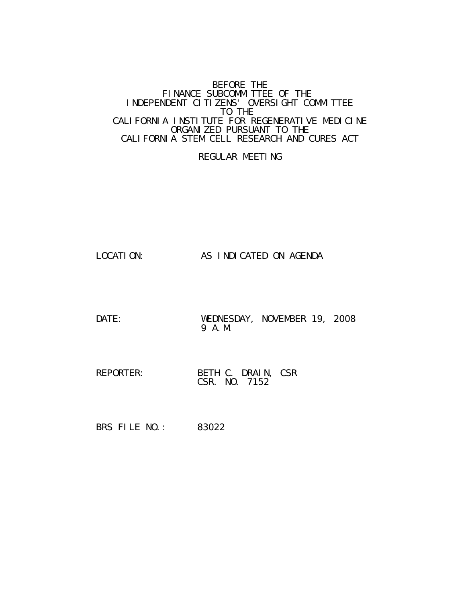#### BEFORE THE FINANCE SUBCOMMITTEE OF THE INDEPENDENT CITIZENS' OVERSIGHT COMMITTEE TO THE CALIFORNIA INSTITUTE FOR REGENERATIVE MEDICINE ORGANIZED PURSUANT TO THE CALIFORNIA STEM CELL RESEARCH AND CURES ACT

# REGULAR MEETING

LOCATION: AS INDICATED ON AGENDA

DATE: WEDNESDAY, NOVEMBER 19, 2008 9 A.M.

REPORTER: BETH C. DRAIN, CSR CSR. NO. 7152

BRS FILE NO.: 83022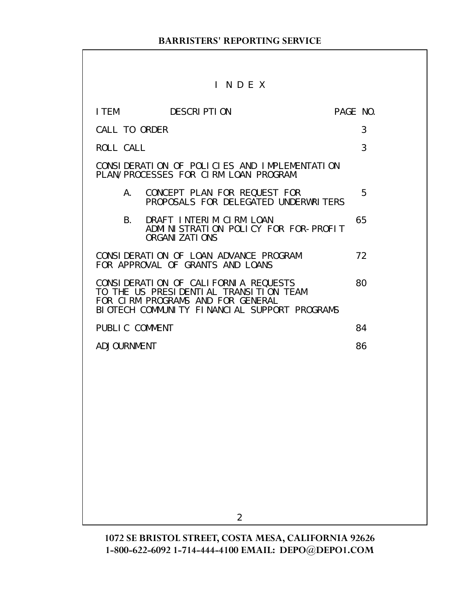# I N D E X

|                | I TEM DESCRIPTION                                                                                                                                                   | PAGE NO. |    |
|----------------|---------------------------------------------------------------------------------------------------------------------------------------------------------------------|----------|----|
| CALL TO ORDER  |                                                                                                                                                                     |          | 3  |
| ROLL CALL      |                                                                                                                                                                     |          | 3  |
|                | CONSIDERATION OF POLICIES AND IMPLEMENTATION<br>PLAN/PROCESSES FOR CIRM LOAN PROGRAM.                                                                               |          |    |
| A.             | CONCEPT PLAN FOR REQUEST FOR<br>PROPOSALS FOR DELEGATED UNDERWRITERS                                                                                                |          | 5  |
| <b>B.</b>      | DRAFT INTERIM CIRM LOAN<br>ADMINISTRATION POLICY FOR FOR-PROFIT<br><b>ORGANI ZATI ONS</b>                                                                           |          | 65 |
|                | CONSIDERATION OF LOAN ADVANCE PROGRAM<br>FOR APPROVAL OF GRANTS AND LOANS                                                                                           |          | 72 |
|                | CONSIDERATION OF CALIFORNIA REQUESTS<br>TO THE US PRESIDENTIAL TRANSITION TEAM<br>FOR CIRM PROGRAMS AND FOR GENERAL<br>BIOTECH COMMUNITY FINANCIAL SUPPORT PROGRAMS |          | 80 |
| PUBLIC COMMENT |                                                                                                                                                                     |          | 84 |
| ADJOURNMENT    |                                                                                                                                                                     |          | 86 |
|                |                                                                                                                                                                     |          |    |
|                |                                                                                                                                                                     |          |    |
|                |                                                                                                                                                                     |          |    |
|                |                                                                                                                                                                     |          |    |
|                |                                                                                                                                                                     |          |    |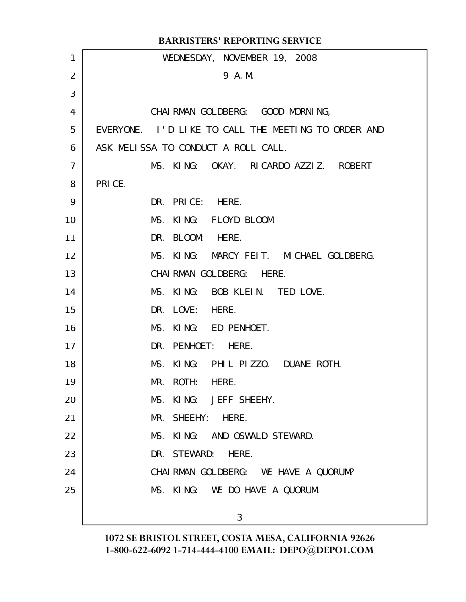|                | <b>BARRISTERS' REPORTING SERVICE</b>                |
|----------------|-----------------------------------------------------|
| 1              | WEDNESDAY, NOVEMBER 19, 2008                        |
| 2              | 9 A.M.                                              |
| 3              |                                                     |
| 4              | CHAI RMAN GOLDBERG: GOOD MORNING,                   |
| 5              | EVERYONE. I'D LIKE TO CALL THE MEETING TO ORDER AND |
| 6              | ASK MELISSA TO CONDUCT A ROLL CALL.                 |
| $\overline{7}$ | MS. KING: OKAY. RICARDO AZZIZ. ROBERT               |
| 8              | PRICE.                                              |
| 9              | DR. PRICE: HERE.                                    |
| 10             | MS. KING: FLOYD BLOOM.                              |
| 11             | DR. BLOOM: HERE.                                    |
| 12             | MS. KING: MARCY FEIT. MICHAEL GOLDBERG.             |
| 13             | CHAI RMAN GOLDBERG: HERE.                           |
| 14             | MS. KING: BOB KLEIN. TED LOVE.                      |
| 15             | DR. LOVE: HERE.                                     |
| 16             | MS. KING: ED PENHOET.                               |
| 17             | DR. PENHOET: HERE.                                  |
| 18             | MS. KING: PHIL PIZZO. DUANE ROTH.                   |
| 19             | MR.<br>ROTH:<br>HERE.                               |
| 20             | KING: JEFF SHEEHY.<br>MS.                           |
| 21             | SHEEHY:<br>HERE.<br>MR.                             |
| 22             | KING: AND OSWALD STEWARD.<br>MS.                    |
| 23             | DR. STEWARD:<br>HERE.                               |
| 24             | CHAI RMAN GOLDBERG: WE HAVE A QUORUM?               |
| 25             | MS. KING: WE DO HAVE A QUORUM.                      |
|                | 3                                                   |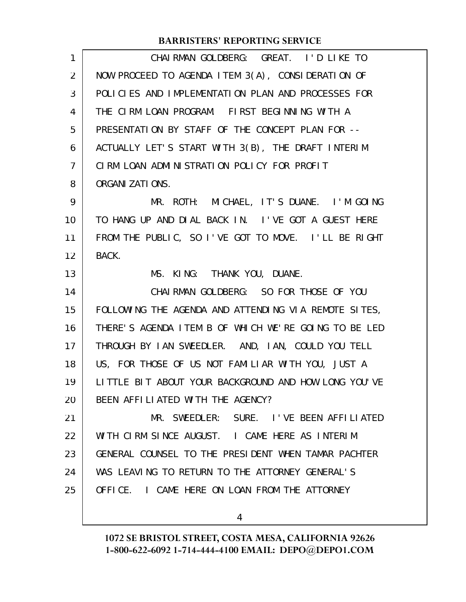| $\mathbf{1}$  | CHAIRMAN GOLDBERG: GREAT. I'D LIKE TO                |
|---------------|------------------------------------------------------|
| 2             | NOW PROCEED TO AGENDA ITEM 3(A), CONSIDERATION OF    |
| 3             | POLICIES AND IMPLEMENTATION PLAN AND PROCESSES FOR   |
| 4             | THE CIRM LOAN PROGRAM. FIRST BEGINNING WITH A        |
| 5             | PRESENTATION BY STAFF OF THE CONCEPT PLAN FOR --     |
| 6             | ACTUALLY LET'S START WITH 3(B), THE DRAFT INTERIM    |
| $\mathcal{I}$ | CIRM LOAN ADMINISTRATION POLICY FOR PROFIT           |
| 8             | ORGANI ZATI ONS.                                     |
| 9             | MR. ROTH: MICHAEL, IT'S DUANE. I'M GOING             |
| 10            | TO HANG UP AND DIAL BACK IN. I'VE GOT A GUEST HERE   |
| 11            | FROM THE PUBLIC, SO I'VE GOT TO MOVE. I'LL BE RIGHT  |
| 12            | BACK.                                                |
| 13            | MS. KING: THANK YOU, DUANE.                          |
| 14            | CHAI RMAN GOLDBERG: SO FOR THOSE OF YOU              |
| 15            | FOLLOWING THE AGENDA AND ATTENDING VIA REMOTE SITES, |
| 16            | THERE'S AGENDA ITEM B OF WHICH WE'RE GOING TO BE LED |
| 17            | THROUGH BY IAN SWEEDLER. AND, IAN, COULD YOU TELL    |
| 18            | US, FOR THOSE OF US NOT FAMILIAR WITH YOU, JUST A    |
| 19            | LITTLE BIT ABOUT YOUR BACKGROUND AND HOW LONG YOU'VE |
| 20            | BEEN AFFILIATED WITH THE AGENCY?                     |
| 21            | MR. SWEEDLER: SURE. I'VE BEEN AFFILIATED             |
| 22            | WITH CIRM SINCE AUGUST. I CAME HERE AS INTERIM       |
| 23            | GENERAL COUNSEL TO THE PRESIDENT WHEN TAMAR PACHTER  |
| 24            | WAS LEAVING TO RETURN TO THE ATTORNEY GENERAL'S      |
| 25            | OFFICE. I CAME HERE ON LOAN FROM THE ATTORNEY        |
|               |                                                      |
|               | 4                                                    |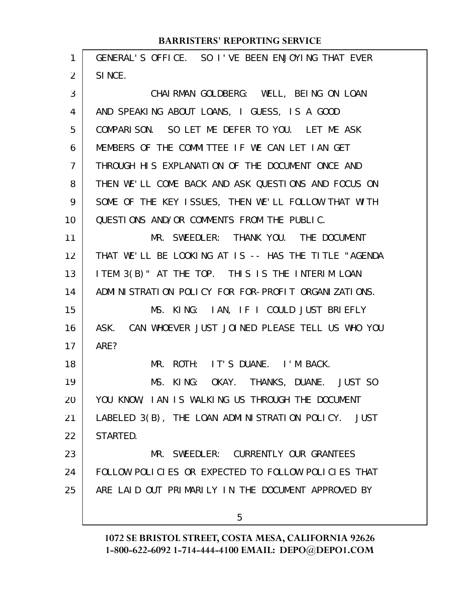| 1              | GENERAL'S OFFICE. SO I'VE BEEN ENJOYING THAT EVER    |
|----------------|------------------------------------------------------|
| 2              | SINCE.                                               |
| 3              | CHAIRMAN GOLDBERG: WELL, BEING ON LOAN               |
| 4              | AND SPEAKING ABOUT LOANS, I GUESS, IS A GOOD         |
| 5              | COMPARISON. SO LET ME DEFER TO YOU. LET ME ASK       |
| 6              | MEMBERS OF THE COMMITTEE IF WE CAN LET IAN GET       |
| $\overline{7}$ | THROUGH HIS EXPLANATION OF THE DOCUMENT ONCE AND     |
| 8              | THEN WE'LL COME BACK AND ASK QUESTIONS AND FOCUS ON  |
| 9              | SOME OF THE KEY ISSUES, THEN WE'LL FOLLOW THAT WITH  |
| 10             | QUESTIONS AND/OR COMMENTS FROM THE PUBLIC.           |
| 11             | MR. SWEEDLER: THANK YOU. THE DOCUMENT                |
| 12             | THAT WE'LL BE LOOKING AT IS -- HAS THE TITLE "AGENDA |
| 13             | ITEM 3(B)" AT THE TOP. THIS IS THE INTERIM LOAN      |
| 14             | ADMINISTRATION POLICY FOR FOR-PROFIT ORGANIZATIONS.  |
| 15             | MS. KING: IAN, IF I COULD JUST BRIEFLY               |
| 16             | ASK. CAN WHOEVER JUST JOINED PLEASE TELL US WHO YOU  |
| 17             | ARE?                                                 |
| 18             | ROTH: IT'S DUANE. I'M BACK.<br>MR.                   |
| 19             | MS. KING: OKAY. THANKS, DUANE. JUST SO               |
| 20             | YOU KNOW, IAN IS WALKING US THROUGH THE DOCUMENT     |
| 21             | LABELED 3(B), THE LOAN ADMINISTRATION POLICY. JUST   |
| 22             | STARTED.                                             |
| 23             | MR. SWEEDLER: CURRENTLY OUR GRANTEES                 |
| 24             | FOLLOW POLICIES OR EXPECTED TO FOLLOW POLICIES THAT  |
| 25             | ARE LAID OUT PRIMARILY IN THE DOCUMENT APPROVED BY   |
|                |                                                      |
|                | 5                                                    |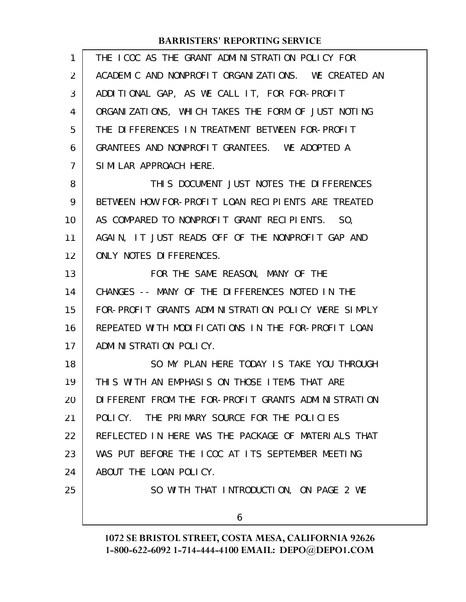| 1              | THE ICOC AS THE GRANT ADMINISTRATION POLICY FOR     |
|----------------|-----------------------------------------------------|
| 2              | ACADEMIC AND NONPROFIT ORGANIZATIONS. WE CREATED AN |
| 3              | ADDITIONAL GAP, AS WE CALL IT, FOR FOR-PROFIT       |
| 4              | ORGANIZATIONS, WHICH TAKES THE FORM OF JUST NOTING  |
| 5              | THE DIFFERENCES IN TREATMENT BETWEEN FOR-PROFIT     |
| 6              | GRANTEES AND NONPROFIT GRANTEES. WE ADOPTED A       |
| $\overline{7}$ | SIMILAR APPROACH HERE.                              |
| 8              | THIS DOCUMENT JUST NOTES THE DIFFERENCES            |
| 9              | BETWEEN HOW FOR-PROFIT LOAN RECIPIENTS ARE TREATED  |
| 10             | AS COMPARED TO NONPROFIT GRANT RECIPIENTS. SO,      |
| 11             | AGAIN, IT JUST READS OFF OF THE NONPROFIT GAP AND   |
| 12             | ONLY NOTES DIFFERENCES.                             |
| 13             | FOR THE SAME REASON, MANY OF THE                    |
| 14             | CHANGES -- MANY OF THE DIFFERENCES NOTED IN THE     |
| 15             | FOR-PROFIT GRANTS ADMINISTRATION POLICY WERE SIMPLY |
| 16             | REPEATED WITH MODIFICATIONS IN THE FOR-PROFIT LOAN  |
| 17             | ADMINISTRATION POLICY.                              |
| 18             | SO MY PLAN HERE TODAY IS TAKE YOU THROUGH           |
| 19             | THIS WITH AN EMPHASIS ON THOSE ITEMS THAT ARE       |
| 20             | DIFFERENT FROM THE FOR-PROFIT GRANTS ADMINISTRATION |
| 21             | POLICY. THE PRIMARY SOURCE FOR THE POLICIES         |
| 22             | REFLECTED IN HERE WAS THE PACKAGE OF MATERIALS THAT |
| 23             | WAS PUT BEFORE THE ICOC AT ITS SEPTEMBER MEETING    |
| 24             | ABOUT THE LOAN POLICY.                              |
| 25             | SO WITH THAT INTRODUCTION, ON PAGE 2 WE             |
|                | 6                                                   |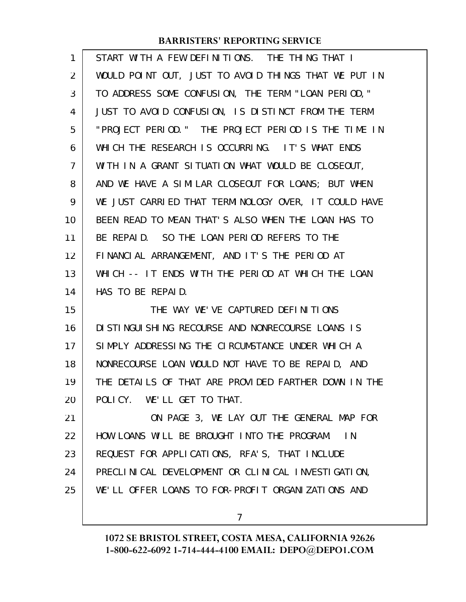| 1  | START WITH A FEW DEFINITIONS. THE THING THAT I       |
|----|------------------------------------------------------|
| 2  | WOULD POINT OUT, JUST TO AVOID THINGS THAT WE PUT IN |
| 3  | TO ADDRESS SOME CONFUSION, THE TERM "LOAN PERIOD,"   |
| 4  | JUST TO AVOID CONFUSION, IS DISTINCT FROM THE TERM   |
| 5  | "PROJECT PERIOD." THE PROJECT PERIOD IS THE TIME IN  |
| 6  | WHICH THE RESEARCH IS OCCURRING. IT'S WHAT ENDS      |
| 7  | WITH IN A GRANT SITUATION WHAT WOULD BE CLOSEOUT,    |
| 8  | AND WE HAVE A SIMILAR CLOSEOUT FOR LOANS; BUT WHEN   |
| 9  | WE JUST CARRIED THAT TERMINOLOGY OVER, IT COULD HAVE |
| 10 | BEEN READ TO MEAN THAT'S ALSO WHEN THE LOAN HAS TO   |
| 11 | BE REPAID. SO THE LOAN PERIOD REFERS TO THE          |
| 12 | FINANCIAL ARRANGEMENT, AND IT'S THE PERIOD AT        |
| 13 | WHICH -- IT ENDS WITH THE PERIOD AT WHICH THE LOAN   |
| 14 | HAS TO BE REPAID.                                    |
| 15 | THE WAY WE'VE CAPTURED DEFINITIONS                   |
| 16 | DI STI NGUI SHI NG RECOURSE AND NONRECOURSE LOANS IS |
| 17 | SIMPLY ADDRESSING THE CIRCUMSTANCE UNDER WHICH A     |
| 18 | NONRECOURSE LOAN WOULD NOT HAVE TO BE REPAID, AND    |
| 19 | THE DETAILS OF THAT ARE PROVIDED FARTHER DOWN IN THE |
| 20 | POLICY. WE'LL GET TO THAT.                           |
| 21 | ON PAGE 3, WE LAY OUT THE GENERAL MAP FOR            |
| 22 | HOW LOANS WILL BE BROUGHT INTO THE PROGRAM.<br>I N   |
| 23 | REQUEST FOR APPLICATIONS, RFA'S, THAT INCLUDE        |
| 24 | PRECLINICAL DEVELOPMENT OR CLINICAL INVESTIGATION,   |
|    |                                                      |
| 25 | WE'LL OFFER LOANS TO FOR-PROFIT ORGANIZATIONS AND    |

7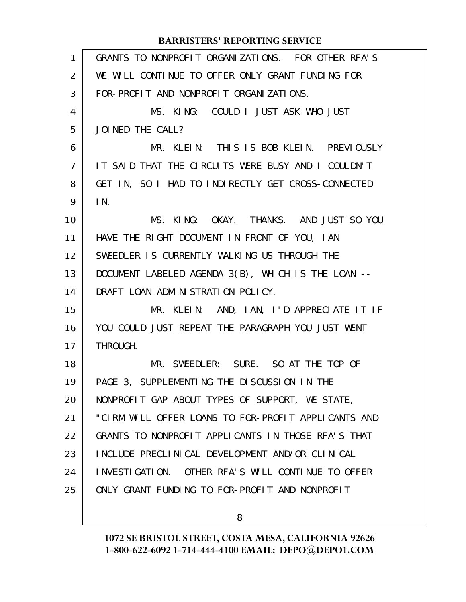| $\mathbf{1}$   | GRANTS TO NONPROFIT ORGANIZATIONS. FOR OTHER RFA'S  |
|----------------|-----------------------------------------------------|
| 2              | WE WILL CONTINUE TO OFFER ONLY GRANT FUNDING FOR    |
| 3              | FOR-PROFIT AND NONPROFIT ORGANIZATIONS.             |
| 4              | MS. KING: COULD I JUST ASK WHO JUST                 |
| 5              | JOINED THE CALL?                                    |
| 6              | MR. KLEIN: THIS IS BOB KLEIN. PREVIOUSLY            |
| $\overline{7}$ | IT SAID THAT THE CIRCUITS WERE BUSY AND I COULDN'T  |
| 8              | GET IN, SO I HAD TO INDIRECTLY GET CROSS-CONNECTED  |
| 9              | $\mathsf{IN}$ .                                     |
| 10             | MS. KING: OKAY. THANKS. AND JUST SO YOU             |
| 11             | HAVE THE RIGHT DOCUMENT IN FRONT OF YOU, IAN        |
| 12             | SWEEDLER IS CURRENTLY WALKING US THROUGH THE        |
| 13             | DOCUMENT LABELED AGENDA 3(B), WHICH IS THE LOAN --  |
| 14             | DRAFT LOAN ADMINISTRATION POLICY.                   |
| 15             | MR. KLEIN: AND, IAN, I'D APPRECIATE IT IF           |
| 16             | YOU COULD JUST REPEAT THE PARAGRAPH YOU JUST WENT   |
| 17             | THROUGH.                                            |
| 18             | MR. SWEEDLER: SURE. SO AT THE TOP OF                |
| 19             | PAGE 3, SUPPLEMENTING THE DISCUSSION IN THE         |
| 20             | NONPROFIT GAP ABOUT TYPES OF SUPPORT, WE STATE,     |
| 21             | "CIRM WILL OFFER LOANS TO FOR-PROFIT APPLICANTS AND |
| 22             | GRANTS TO NONPROFIT APPLICANTS IN THOSE RFA'S THAT  |
| 23             | INCLUDE PRECLINICAL DEVELOPMENT AND/OR CLINICAL     |
| 24             | INVESTIGATION. OTHER RFA'S WILL CONTINUE TO OFFER   |
| 25             | ONLY GRANT FUNDING TO FOR-PROFIT AND NONPROFIT      |
|                |                                                     |

8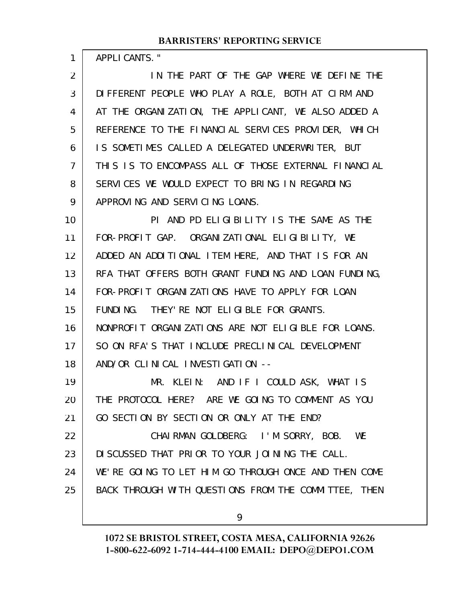APPLICANTS."

1

IN THE PART OF THE GAP WHERE WE DEFINE THE DIFFERENT PEOPLE WHO PLAY A ROLE, BOTH AT CIRM AND AT THE ORGANIZATION, THE APPLICANT, WE ALSO ADDED A REFERENCE TO THE FINANCIAL SERVICES PROVIDER, WHICH IS SOMETIMES CALLED A DELEGATED UNDERWRITER, BUT THIS IS TO ENCOMPASS ALL OF THOSE EXTERNAL FINANCIAL SERVICES WE WOULD EXPECT TO BRING IN REGARDING APPROVING AND SERVICING LOANS. 2 3 4 5 6 7 8 9

PI AND PD ELIGIBILITY IS THE SAME AS THE FOR-PROFIT GAP. ORGANIZATIONAL ELIGIBILITY, WE ADDED AN ADDITIONAL ITEM HERE, AND THAT IS FOR AN RFA THAT OFFERS BOTH GRANT FUNDING AND LOAN FUNDING, FOR-PROFIT ORGANIZATIONS HAVE TO APPLY FOR LOAN FUNDING. THEY'RE NOT ELIGIBLE FOR GRANTS. NONPROFIT ORGANIZATIONS ARE NOT ELIGIBLE FOR LOANS. SO ON RFA'S THAT INCLUDE PRECLINICAL DEVELOPMENT AND/OR CLINICAL INVESTIGATION -- 10 11 12 13 14 15 16 17 18

MR. KLEIN: AND IF I COULD ASK, WHAT IS THE PROTOCOL HERE? ARE WE GOING TO COMMENT AS YOU GO SECTION BY SECTION OR ONLY AT THE END? 19 20 21

CHAIRMAN GOLDBERG: I'M SORRY, BOB. WE DISCUSSED THAT PRIOR TO YOUR JOINING THE CALL. WE'RE GOING TO LET HIM GO THROUGH ONCE AND THEN COME BACK THROUGH WITH QUESTIONS FROM THE COMMITTEE, THEN 22 23 24 25

9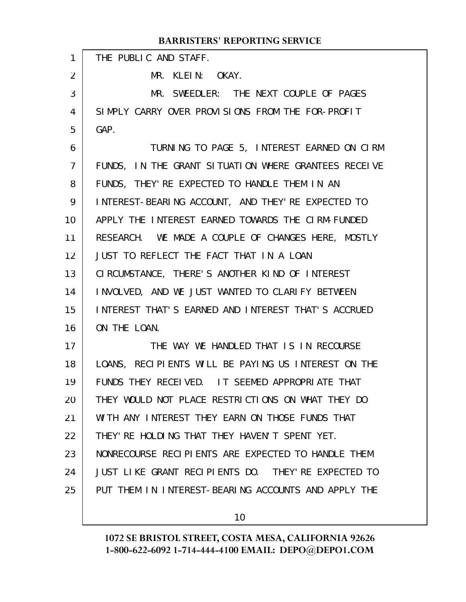| $\mathbf{1}$ | THE PUBLIC AND STAFF.                                |
|--------------|------------------------------------------------------|
| 2            | MR. KLEIN: OKAY.                                     |
| 3            | MR. SWEEDLER: THE NEXT COUPLE OF PAGES               |
| 4            | SIMPLY CARRY OVER PROVISIONS FROM THE FOR-PROFIT     |
| 5            | GAP.                                                 |
| 6            | TURNING TO PAGE 5, INTEREST EARNED ON CIRM           |
| 7            | FUNDS, IN THE GRANT SITUATION WHERE GRANTEES RECEIVE |
| 8            | FUNDS, THEY' RE EXPECTED TO HANDLE THEM IN AN        |
| 9            | INTEREST-BEARING ACCOUNT, AND THEY'RE EXPECTED TO    |
| 10           | APPLY THE INTEREST EARNED TOWARDS THE CIRM-FUNDED    |
| 11           | RESEARCH. WE MADE A COUPLE OF CHANGES HERE, MOSTLY   |
| 12           | JUST TO REFLECT THE FACT THAT IN A LOAN              |
| 13           | CIRCUMSTANCE, THERE'S ANOTHER KIND OF INTEREST       |
| 14           | INVOLVED, AND WE JUST WANTED TO CLARIFY BETWEEN      |
| 15           | INTEREST THAT'S EARNED AND INTEREST THAT'S ACCRUED   |
| 16           | ON THE LOAN.                                         |
| 17           | THE WAY WE HANDLED THAT IS IN RECOURSE               |
| 18           | LOANS, RECIPIENTS WILL BE PAYING US INTEREST ON THE  |
| 19           | FUNDS THEY RECEIVED. IT SEEMED APPROPRIATE THAT      |
| 20           | THEY WOULD NOT PLACE RESTRICTIONS ON WHAT THEY DO    |
| 21           | WITH ANY INTEREST THEY EARN ON THOSE FUNDS THAT      |
| 22           | THEY' RE HOLDING THAT THEY HAVEN'T SPENT YET.        |
| 23           | NONRECOURSE RECIPIENTS ARE EXPECTED TO HANDLE THEM   |
| 24           | JUST LIKE GRANT RECIPIENTS DO. THEY'RE EXPECTED TO   |
| 25           | PUT THEM IN INTEREST-BEARING ACCOUNTS AND APPLY THE  |
|              |                                                      |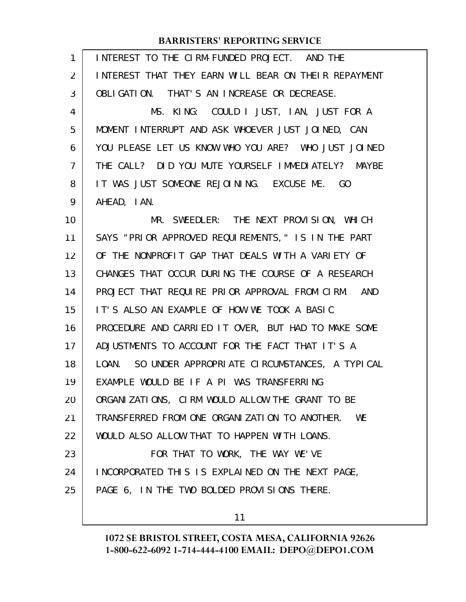| 1  | INTEREST TO THE CIRM-FUNDED PROJECT. AND THE           |
|----|--------------------------------------------------------|
| 2  | INTEREST THAT THEY EARN WILL BEAR ON THEIR REPAYMENT   |
| 3  | OBLIGATION. THAT'S AN INCREASE OR DECREASE.            |
| 4  | MS. KING: COULD I JUST, IAN, JUST FOR A                |
| 5  | MOMENT INTERRUPT AND ASK WHOEVER JUST JOINED, CAN      |
| 6  | YOU PLEASE LET US KNOW WHO YOU ARE? WHO JUST JOINED    |
| 7  | THE CALL? DID YOU MUTE YOURSELF IMMEDIATELY? MAYBE     |
| 8  | IT WAS JUST SOMEONE REJOINING. EXCUSE ME. GO           |
| 9  | AHEAD, I AN.                                           |
| 10 | MR. SWEEDLER: THE NEXT PROVISION, WHICH                |
| 11 | SAYS "PRIOR APPROVED REQUIREMENTS," IS IN THE PART     |
| 12 | OF THE NONPROFIT GAP THAT DEALS WITH A VARIETY OF      |
| 13 | CHANGES THAT OCCUR DURING THE COURSE OF A RESEARCH     |
| 14 | PROJECT THAT REQUIRE PRIOR APPROVAL FROM CIRM.<br>AND  |
| 15 | IT'S ALSO AN EXAMPLE OF HOW WE TOOK A BASIC            |
| 16 | PROCEDURE AND CARRIED IT OVER, BUT HAD TO MAKE SOME    |
| 17 | ADJUSTMENTS TO ACCOUNT FOR THE FACT THAT IT'S A        |
| 18 | SO UNDER APPROPRIATE CIRCUMSTANCES, A TYPICAL<br>LOAN. |
| 19 | EXAMPLE WOULD BE IF A PI WAS TRANSFERRING              |
| 20 | ORGANIZATIONS, CIRM WOULD ALLOW THE GRANT TO BE        |
| 21 | TRANSFERRED FROM ONE ORGANIZATION TO ANOTHER. WE       |
| 22 | WOULD ALSO ALLOW THAT TO HAPPEN WITH LOANS.            |
| 23 | FOR THAT TO WORK, THE WAY WE'VE                        |
| 24 | INCORPORATED THIS IS EXPLAINED ON THE NEXT PAGE,       |
| 25 | PAGE 6, IN THE TWO BOLDED PROVISIONS THERE.            |
|    | 11                                                     |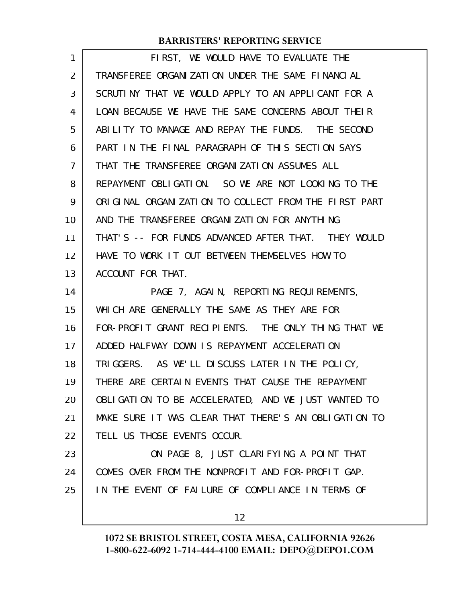| 1  | FIRST, WE WOULD HAVE TO EVALUATE THE                 |
|----|------------------------------------------------------|
| 2  | TRANSFEREE ORGANIZATION UNDER THE SAME FINANCIAL     |
| 3  | SCRUTINY THAT WE WOULD APPLY TO AN APPLICANT FOR A   |
| 4  | LOAN BECAUSE WE HAVE THE SAME CONCERNS ABOUT THELR   |
| 5  | ABILITY TO MANAGE AND REPAY THE FUNDS. THE SECOND    |
| 6  | PART IN THE FINAL PARAGRAPH OF THIS SECTION SAYS     |
| 7  | THAT THE TRANSFEREE ORGANIZATION ASSUMES ALL         |
| 8  | REPAYMENT OBLIGATION. SO WE ARE NOT LOOKING TO THE   |
| 9  | ORIGINAL ORGANIZATION TO COLLECT FROM THE FIRST PART |
| 10 | AND THE TRANSFEREE ORGANIZATION FOR ANYTHING         |
| 11 | THAT'S -- FOR FUNDS ADVANCED AFTER THAT. THEY WOULD  |
| 12 | HAVE TO WORK IT OUT BETWEEN THEMSELVES HOW TO        |
| 13 | ACCOUNT FOR THAT.                                    |
| 14 | PAGE 7, AGAIN, REPORTING REQUIREMENTS,               |
| 15 | WHICH ARE GENERALLY THE SAME AS THEY ARE FOR         |
| 16 | FOR-PROFIT GRANT RECIPIENTS. THE ONLY THING THAT WE  |
| 17 | ADDED HALFWAY DOWN IS REPAYMENT ACCELERATION         |
| 18 | TRIGGERS. AS WE'LL DISCUSS LATER IN THE POLICY,      |
| 19 | THERE ARE CERTAIN EVENTS THAT CAUSE THE REPAYMENT    |
| 20 | OBLIGATION TO BE ACCELERATED, AND WE JUST WANTED TO  |
| 21 | MAKE SURE IT WAS CLEAR THAT THERE'S AN OBLIGATION TO |
| 22 | TELL US THOSE EVENTS OCCUR.                          |
| 23 | ON PAGE 8, JUST CLARIFYING A POINT THAT              |
| 24 | COMES OVER FROM THE NONPROFIT AND FOR-PROFIT GAP.    |
| 25 | IN THE EVENT OF FAILURE OF COMPLIANCE IN TERMS OF    |
|    | 12                                                   |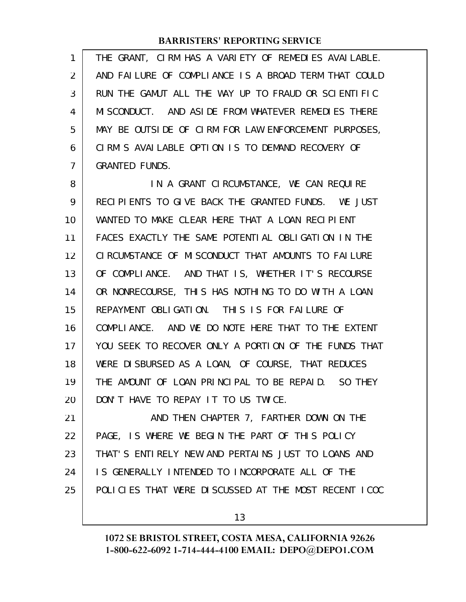| 1  | THE GRANT, CIRM HAS A VARIETY OF REMEDIES AVAILABLE. |
|----|------------------------------------------------------|
| 2  | AND FAILURE OF COMPLIANCE IS A BROAD TERM THAT COULD |
| 3  | RUN THE GAMUT ALL THE WAY UP TO FRAUD OR SCIENTIFIC  |
| 4  | MISCONDUCT. AND ASIDE FROM WHATEVER REMEDIES THERE   |
| 5  | MAY BE OUTSIDE OF CIRM FOR LAW ENFORCEMENT PURPOSES, |
| 6  | CIRM'S AVAILABLE OPTION IS TO DEMAND RECOVERY OF     |
| 7  | <b>GRANTED FUNDS.</b>                                |
| 8  | IN A GRANT CIRCUMSTANCE, WE CAN REQUIRE              |
| 9  | RECIPIENTS TO GIVE BACK THE GRANTED FUNDS. WE JUST   |
| 10 | WANTED TO MAKE CLEAR HERE THAT A LOAN RECIPIENT      |
| 11 | FACES EXACTLY THE SAME POTENTIAL OBLIGATION IN THE   |
| 12 | CIRCUMSTANCE OF MISCONDUCT THAT AMOUNTS TO FAILURE   |
| 13 | OF COMPLIANCE. AND THAT IS, WHETHER IT'S RECOURSE    |
| 14 | OR NONRECOURSE, THIS HAS NOTHING TO DO WITH A LOAN   |
| 15 | REPAYMENT OBLIGATION. THIS IS FOR FAILURE OF         |
| 16 | COMPLIANCE. AND WE DO NOTE HERE THAT TO THE EXTENT   |
| 17 | YOU SEEK TO RECOVER ONLY A PORTION OF THE FUNDS THAT |
| 18 | WERE DISBURSED AS A LOAN, OF COURSE, THAT REDUCES    |
| 19 | THE AMOUNT OF LOAN PRINCIPAL TO BE REPAID. SO THEY   |
| 20 | DON'T HAVE TO REPAY IT TO US TWICE.                  |
| 21 | AND THEN CHAPTER 7, FARTHER DOWN ON THE              |
| 22 | PAGE, IS WHERE WE BEGIN THE PART OF THIS POLICY      |
| 23 | THAT'S ENTIRELY NEW AND PERTAINS JUST TO LOANS AND   |
| 24 | IS GENERALLY INTENDED TO INCORPORATE ALL OF THE      |
| 25 | POLICIES THAT WERE DISCUSSED AT THE MOST RECENT ICOC |
|    |                                                      |

13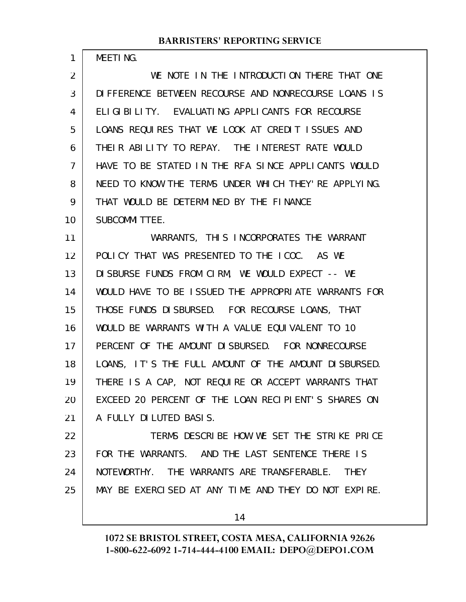MEETING.

1

WE NOTE IN THE INTRODUCTION THERE THAT ONE DIFFERENCE BETWEEN RECOURSE AND NONRECOURSE LOANS IS ELIGIBILITY. EVALUATING APPLICANTS FOR RECOURSE LOANS REQUIRES THAT WE LOOK AT CREDIT ISSUES AND THEIR ABILITY TO REPAY. THE INTEREST RATE WOULD HAVE TO BE STATED IN THE RFA SINCE APPLICANTS WOULD NEED TO KNOW THE TERMS UNDER WHICH THEY'RE APPLYING. THAT WOULD BE DETERMINED BY THE FINANCE SUBCOMMITTEE. WARRANTS, THIS INCORPORATES THE WARRANT 2 3 4 5 6 7 8 9 10 11

POLICY THAT WAS PRESENTED TO THE ICOC. AS WE DISBURSE FUNDS FROM CIRM, WE WOULD EXPECT -- WE WOULD HAVE TO BE ISSUED THE APPROPRIATE WARRANTS FOR THOSE FUNDS DISBURSED. FOR RECOURSE LOANS, THAT WOULD BE WARRANTS WITH A VALUE EQUIVALENT TO 10 PERCENT OF THE AMOUNT DISBURSED. FOR NONRECOURSE LOANS, IT'S THE FULL AMOUNT OF THE AMOUNT DISBURSED. THERE IS A CAP, NOT REQUIRE OR ACCEPT WARRANTS THAT EXCEED 20 PERCENT OF THE LOAN RECIPIENT'S SHARES ON A FULLY DILUTED BASIS. 12 13 14 15 16 17 18 19 20 21

TERMS DESCRIBE HOW WE SET THE STRIKE PRICE FOR THE WARRANTS. AND THE LAST SENTENCE THERE IS NOTEWORTHY. THE WARRANTS ARE TRANSFERABLE. THEY MAY BE EXERCISED AT ANY TIME AND THEY DO NOT EXPIRE. 22 23 24 25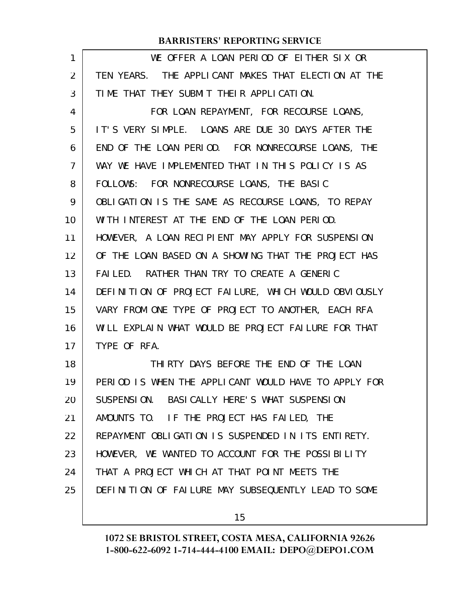| 1              | WE OFFER A LOAN PERIOD OF EITHER SIX OR              |
|----------------|------------------------------------------------------|
| 2              | TEN YEARS. THE APPLICANT MAKES THAT ELECTION AT THE  |
| 3              | TIME THAT THEY SUBMIT THEIR APPLICATION.             |
| 4              | FOR LOAN REPAYMENT, FOR RECOURSE LOANS,              |
| 5              | IT'S VERY SIMPLE. LOANS ARE DUE 30 DAYS AFTER THE    |
| 6              | END OF THE LOAN PERIOD. FOR NONRECOURSE LOANS, THE   |
| $\overline{7}$ | WAY WE HAVE IMPLEMENTED THAT IN THIS POLICY IS AS    |
| 8              | FOLLOWS: FOR NONRECOURSE LOANS, THE BASIC            |
| 9              | OBLIGATION IS THE SAME AS RECOURSE LOANS, TO REPAY   |
| 10             | WITH INTEREST AT THE END OF THE LOAN PERIOD.         |
| 11             | HOWEVER, A LOAN RECIPIENT MAY APPLY FOR SUSPENSION   |
| 12             | OF THE LOAN BASED ON A SHOWING THAT THE PROJECT HAS  |
| 13             | FAILED. RATHER THAN TRY TO CREATE A GENERIC          |
| 14             | DEFINITION OF PROJECT FAILURE, WHICH WOULD OBVIOUSLY |
| 15             | VARY FROM ONE TYPE OF PROJECT TO ANOTHER, EACH RFA   |
| 16             | WILL EXPLAIN WHAT WOULD BE PROJECT FAILURE FOR THAT  |
| 17             | TYPE OF RFA.                                         |
| 18             | THIRTY DAYS BEFORE THE END OF THE LOAN               |
| 19             | PERIOD IS WHEN THE APPLICANT WOULD HAVE TO APPLY FOR |
| 20             | SUSPENSION. BASICALLY HERE'S WHAT SUSPENSION         |
| 21             | AMOUNTS TO. IF THE PROJECT HAS FAILED, THE           |
| 22             | REPAYMENT OBLIGATION IS SUSPENDED IN ITS ENTIRETY.   |
| 23             | HOWEVER, WE WANTED TO ACCOUNT FOR THE POSSIBILITY    |
| 24             | THAT A PROJECT WHICH AT THAT POINT MEETS THE         |
| 25             | DEFINITION OF FAILURE MAY SUBSEQUENTLY LEAD TO SOME  |
|                |                                                      |

15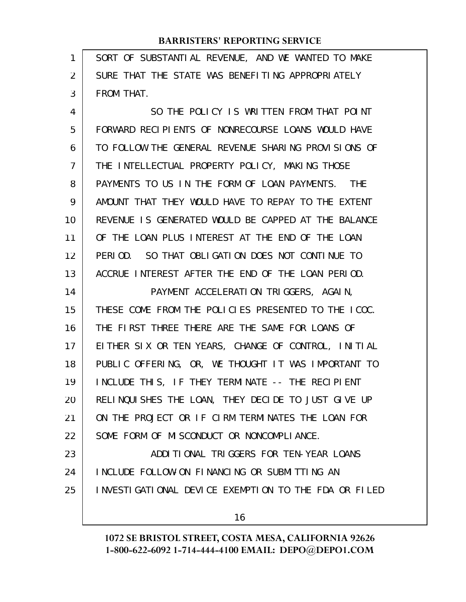| 1  | SORT OF SUBSTANTIAL REVENUE, AND WE WANTED TO MAKE   |
|----|------------------------------------------------------|
| 2  | SURE THAT THE STATE WAS BENEFITING APPROPRIATELY     |
| 3  | FROM THAT.                                           |
| 4  | SO THE POLICY IS WRITTEN FROM THAT POINT             |
| 5  | FORWARD RECIPIENTS OF NONRECOURSE LOANS WOULD HAVE   |
| 6  | TO FOLLOW THE GENERAL REVENUE SHARING PROVISIONS OF  |
| 7  | THE INTELLECTUAL PROPERTY POLICY, MAKING THOSE       |
| 8  | PAYMENTS TO US IN THE FORM OF LOAN PAYMENTS. THE     |
| 9  | AMOUNT THAT THEY WOULD HAVE TO REPAY TO THE EXTENT   |
| 10 | REVENUE IS GENERATED WOULD BE CAPPED AT THE BALANCE  |
| 11 | OF THE LOAN PLUS INTEREST AT THE END OF THE LOAN     |
| 12 | PERIOD. SO THAT OBLIGATION DOES NOT CONTINUE TO      |
| 13 | ACCRUE INTEREST AFTER THE END OF THE LOAN PERIOD.    |
| 14 | PAYMENT ACCELERATION TRIGGERS, AGAIN,                |
| 15 | THESE COME FROM THE POLICIES PRESENTED TO THE ICOC.  |
| 16 | THE FIRST THREE THERE ARE THE SAME FOR LOANS OF      |
| 17 | EITHER SIX OR TEN YEARS, CHANGE OF CONTROL, INITIAL  |
| 18 | PUBLIC OFFERING, OR, WE THOUGHT IT WAS IMPORTANT TO  |
| 19 | INCLUDE THIS, IF THEY TERMINATE -- THE RECIPIENT     |
| 20 | RELINQUISHES THE LOAN, THEY DECIDE TO JUST GIVE UP   |
| 21 | ON THE PROJECT OR IF CIRM TERMINATES THE LOAN FOR    |
| 22 | SOME FORM OF MISCONDUCT OR NONCOMPLIANCE.            |
| 23 | ADDITIONAL TRIGGERS FOR TEN-YEAR LOANS               |
| 24 | INCLUDE FOLLOW-ON FINANCING OR SUBMITTING AN         |
| 25 | INVESTIGATIONAL DEVICE EXEMPTION TO THE FDA OR FILED |
|    | 16                                                   |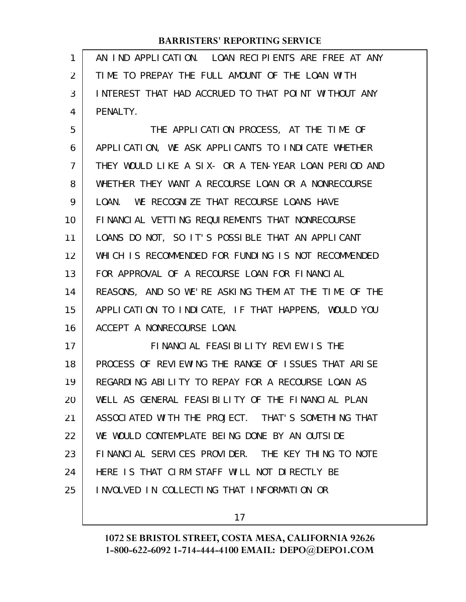| 1              | AN IND APPLICATION. LOAN RECIPIENTS ARE FREE AT ANY  |
|----------------|------------------------------------------------------|
| $\overline{2}$ | TIME TO PREPAY THE FULL AMOUNT OF THE LOAN WITH      |
| 3              | INTEREST THAT HAD ACCRUED TO THAT POINT WITHOUT ANY  |
| 4              | PENALTY.                                             |
| 5              | THE APPLICATION PROCESS, AT THE TIME OF              |
| 6              | APPLICATION, WE ASK APPLICANTS TO INDICATE WHETHER   |
| 7              | THEY WOULD LIKE A SIX- OR A TEN-YEAR LOAN PERIOD AND |
| 8              | WHETHER THEY WANT A RECOURSE LOAN OR A NONRECOURSE   |
| 9              | LOAN. WE RECOGNIZE THAT RECOURSE LOANS HAVE          |
| 10             | FINANCIAL VETTING REQUIREMENTS THAT NONRECOURSE      |
| 11             | LOANS DO NOT, SO IT'S POSSIBLE THAT AN APPLICANT     |
| 12             | WHICH IS RECOMMENDED FOR FUNDING IS NOT RECOMMENDED  |
| 13             | FOR APPROVAL OF A RECOURSE LOAN FOR FINANCIAL        |
| 14             | REASONS, AND SO WE'RE ASKING THEM AT THE TIME OF THE |
| 15             | APPLICATION TO INDICATE, IF THAT HAPPENS, WOULD YOU  |
| 16             | ACCEPT A NONRECOURSE LOAN.                           |
| 17             | FINANCIAL FEASIBILITY REVIEW IS THE                  |
| 18             | PROCESS OF REVIEWING THE RANGE OF ISSUES THAT ARISE  |
| 19             | REGARDING ABILITY TO REPAY FOR A RECOURSE LOAN AS    |
| 20             | WELL AS GENERAL FEASIBILITY OF THE FINANCIAL PLAN    |
| 21             | ASSOCIATED WITH THE PROJECT. THAT'S SOMETHING THAT   |
| 22             | WE WOULD CONTEMPLATE BEING DONE BY AN OUTSIDE        |
| 23             | FINANCIAL SERVICES PROVIDER. THE KEY THING TO NOTE   |
| 24             | HERE IS THAT CIRM STAFF WILL NOT DIRECTLY BE         |
| 25             | INVOLVED IN COLLECTING THAT INFORMATION OR           |
|                |                                                      |

17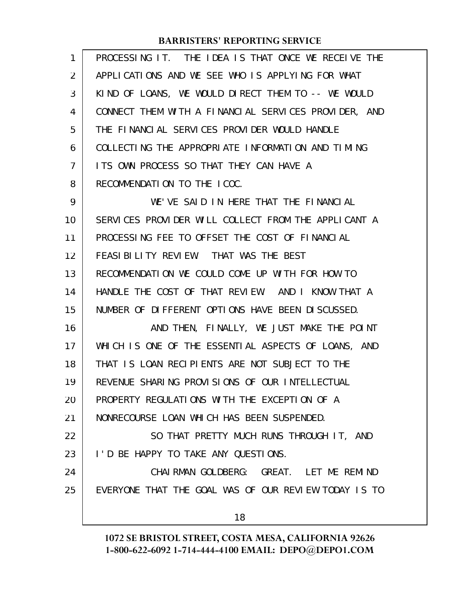| 1  | PROCESSING IT. THE IDEA IS THAT ONCE WE RECEIVE THE  |
|----|------------------------------------------------------|
| 2  | APPLICATIONS AND WE SEE WHO IS APPLYING FOR WHAT     |
| 3  | KIND OF LOANS, WE WOULD DIRECT THEM TO -- WE WOULD   |
| 4  | CONNECT THEM WITH A FINANCIAL SERVICES PROVIDER, AND |
| 5  | THE FINANCIAL SERVICES PROVIDER WOULD HANDLE         |
| 6  | COLLECTING THE APPROPRIATE INFORMATION AND TIMING    |
| 7  | ITS OWN PROCESS SO THAT THEY CAN HAVE A              |
| 8  | RECOMMENDATION TO THE ICOC.                          |
| 9  | WE'VE SAID IN HERE THAT THE FINANCIAL                |
| 10 | SERVICES PROVIDER WILL COLLECT FROM THE APPLICANT A  |
| 11 | PROCESSING FEE TO OFFSET THE COST OF FINANCIAL       |
| 12 | FEASIBILITY REVIEW. THAT WAS THE BEST                |
| 13 | RECOMMENDATION WE COULD COME UP WITH FOR HOW TO      |
| 14 | HANDLE THE COST OF THAT REVIEW. AND I KNOW THAT A    |
| 15 | NUMBER OF DIFFERENT OPTIONS HAVE BEEN DISCUSSED.     |
| 16 | AND THEN, FINALLY, WE JUST MAKE THE POINT            |
| 17 | WHICH IS ONE OF THE ESSENTIAL ASPECTS OF LOANS, AND  |
| 18 | THAT IS LOAN RECIPIENTS ARE NOT SUBJECT TO THE       |
| 19 | REVENUE SHARING PROVISIONS OF OUR INTELLECTUAL       |
| 20 | PROPERTY REGULATIONS WITH THE EXCEPTION OF A         |
| 21 | NONRECOURSE LOAN WHICH HAS BEEN SUSPENDED.           |
| 22 | SO THAT PRETTY MUCH RUNS THROUGH IT, AND             |
| 23 | I'D BE HAPPY TO TAKE ANY QUESTIONS.                  |
| 24 | CHAI RMAN GOLDBERG: GREAT. LET ME REMIND             |
| 25 | EVERYONE THAT THE GOAL WAS OF OUR REVIEW TODAY IS TO |
|    | 18                                                   |
|    |                                                      |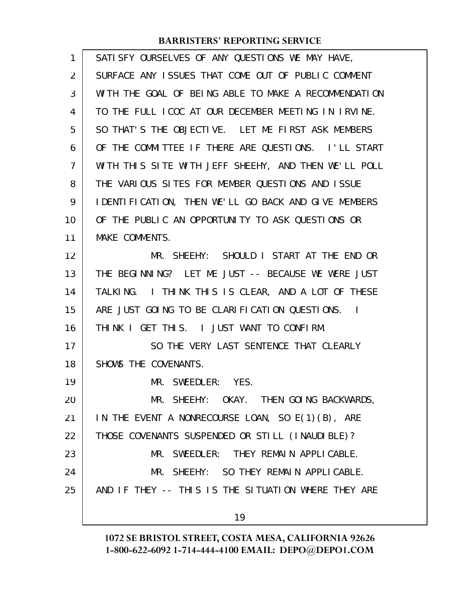| 1  | SATI SFY OURSELVES OF ANY QUESTIONS WE MAY HAVE,     |
|----|------------------------------------------------------|
| 2  | SURFACE ANY ISSUES THAT COME OUT OF PUBLIC COMMENT   |
| 3  | WITH THE GOAL OF BEING ABLE TO MAKE A RECOMMENDATION |
| 4  | TO THE FULL ICOC AT OUR DECEMBER MEETING IN IRVINE.  |
| 5  | SO THAT'S THE OBJECTIVE. LET ME FIRST ASK MEMBERS    |
| 6  | OF THE COMMITTEE IF THERE ARE QUESTIONS. I'LL START  |
| 7  | WITH THIS SITE WITH JEFF SHEEHY, AND THEN WE'LL POLL |
| 8  | THE VARIOUS SITES FOR MEMBER QUESTIONS AND ISSUE     |
| 9  | I DENTIFICATION, THEN WE'LL GO BACK AND GIVE MEMBERS |
| 10 | OF THE PUBLIC AN OPPORTUNITY TO ASK QUESTIONS OR     |
| 11 | MAKE COMMENTS.                                       |
| 12 | MR. SHEEHY: SHOULD I START AT THE END OR             |
| 13 | THE BEGINNING? LET ME JUST -- BECAUSE WE WERE JUST   |
| 14 | TALKING. I THINK THIS IS CLEAR, AND A LOT OF THESE   |
| 15 | ARE JUST GOING TO BE CLARIFICATION QUESTIONS.        |
| 16 | THINK I GET THIS. I JUST WANT TO CONFIRM.            |
| 17 | SO THE VERY LAST SENTENCE THAT CLEARLY               |
| 18 | SHOWS THE COVENANTS.                                 |
| 19 | MR. SWEEDLER: YES.                                   |
| 20 | MR. SHEEHY: OKAY. THEN GOING BACKWARDS,              |
| 21 | IN THE EVENT A NONRECOURSE LOAN, SO E(1)(B), ARE     |
| 22 | THOSE COVENANTS SUSPENDED OR STILL (INAUDIBLE)?      |
| 23 | MR. SWEEDLER: THEY REMAIN APPLICABLE.                |
| 24 | MR. SHEEHY: SO THEY REMAIN APPLICABLE.               |
| 25 | AND IF THEY -- THIS IS THE SITUATION WHERE THEY ARE  |
|    | 19                                                   |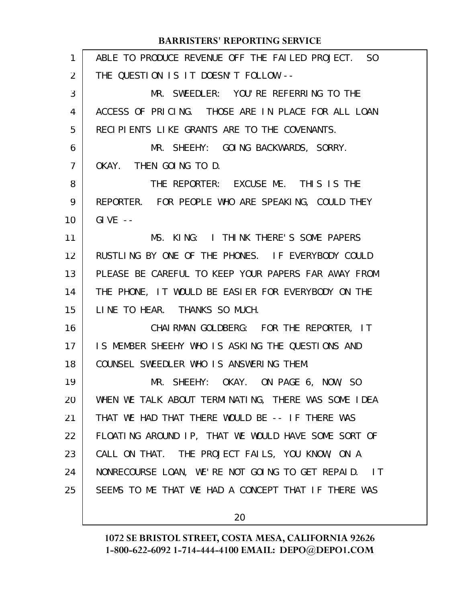| $\mathbf{1}$ | ABLE TO PRODUCE REVENUE OFF THE FAILED PROJECT. SO  |
|--------------|-----------------------------------------------------|
| 2            | THE QUESTION IS IT DOESN'T FOLLOW --                |
| 3            | MR. SWEEDLER: YOU'RE REFERRING TO THE               |
| 4            | ACCESS OF PRICING. THOSE ARE IN PLACE FOR ALL LOAN  |
| 5            | RECIPIENTS LIKE GRANTS ARE TO THE COVENANTS.        |
| 6            | MR. SHEEHY: GOING BACKWARDS, SORRY.                 |
| 7            | OKAY. THEN GOING TO D.                              |
| 8            | THE REPORTER: EXCUSE ME. THIS IS THE                |
| 9            | REPORTER. FOR PEOPLE WHO ARE SPEAKING, COULD THEY   |
| 10           | $GIVE - -$                                          |
| 11           | MS. KING: I THINK THERE'S SOME PAPERS               |
| 12           | RUSTLING BY ONE OF THE PHONES. IF EVERYBODY COULD   |
| 13           | PLEASE BE CAREFUL TO KEEP YOUR PAPERS FAR AWAY FROM |
| 14           | THE PHONE, IT WOULD BE EASIER FOR EVERYBODY ON THE  |
| 15           | LINE TO HEAR. THANKS SO MUCH.                       |
| 16           | CHAIRMAN GOLDBERG: FOR THE REPORTER, IT             |
| 17           | IS MEMBER SHEEHY WHO IS ASKING THE QUESTIONS AND    |
| 18           | COUNSEL SWEEDLER WHO IS ANSWERING THEM.             |
| 19           | MR. SHEEHY: OKAY. ON PAGE 6, NOW, SO                |
| 20           | WHEN WE TALK ABOUT TERMINATING, THERE WAS SOME IDEA |
| 21           | THAT WE HAD THAT THERE WOULD BE -- IF THERE WAS     |
| 22           | FLOATING AROUND IP, THAT WE WOULD HAVE SOME SORT OF |
| 23           | CALL ON THAT. THE PROJECT FAILS, YOU KNOW, ON A     |
| 24           | NONRECOURSE LOAN, WE'RE NOT GOING TO GET REPAID. IT |
| 25           | SEEMS TO ME THAT WE HAD A CONCEPT THAT IF THERE WAS |
|              |                                                     |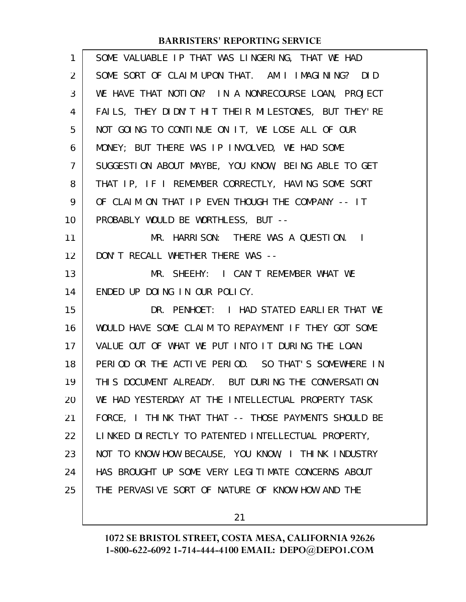| 1              | SOME VALUABLE IP THAT WAS LINGERING, THAT WE HAD     |
|----------------|------------------------------------------------------|
| $\overline{2}$ | SOME SORT OF CLAIM UPON THAT. AM I IMAGINING? DID    |
| 3              | WE HAVE THAT NOTION? IN A NONRECOURSE LOAN, PROJECT  |
| 4              | FAILS, THEY DIDN'T HIT THEIR MILESTONES, BUT THEY'RE |
| 5              | NOT GOING TO CONTINUE ON IT, WE LOSE ALL OF OUR      |
| 6              | MONEY; BUT THERE WAS IP INVOLVED, WE HAD SOME        |
| $\overline{7}$ | SUGGESTION ABOUT MAYBE, YOU KNOW, BEING ABLE TO GET  |
| 8              | THAT IP, IF I REMEMBER CORRECTLY, HAVING SOME SORT   |
| 9              | OF CLAIM ON THAT IP EVEN THOUGH THE COMPANY -- IT    |
| 10             | PROBABLY WOULD BE WORTHLESS, BUT --                  |
| 11             | MR. HARRISON: THERE WAS A QUESTION. I                |
| 12             | DON'T RECALL WHETHER THERE WAS --                    |
| 13             | MR. SHEEHY: I CAN'T REMEMBER WHAT WE                 |
| 14             | ENDED UP DOING IN OUR POLICY.                        |
| 15             | DR. PENHOET: I HAD STATED EARLIER THAT WE            |
| 16             | WOULD HAVE SOME CLAIM TO REPAYMENT IF THEY GOT SOME  |
| 17             | VALUE OUT OF WHAT WE PUT INTO IT DURING THE LOAN     |
| 18             | PERIOD OR THE ACTIVE PERIOD. SO THAT'S SOMEWHERE IN  |
| 19             | THIS DOCUMENT ALREADY. BUT DURING THE CONVERSATION   |
| 20             | WE HAD YESTERDAY AT THE INTELLECTUAL PROPERTY TASK   |
| 21             | FORCE, I THINK THAT THAT -- THOSE PAYMENTS SHOULD BE |
| 22             | LINKED DIRECTLY TO PATENTED INTELLECTUAL PROPERTY,   |
| 23             | NOT TO KNOW-HOW BECAUSE, YOU KNOW, I THINK INDUSTRY  |
| 24             | HAS BROUGHT UP SOME VERY LEGITIMATE CONCERNS ABOUT   |
| 25             | THE PERVASIVE SORT OF NATURE OF KNOW-HOW AND THE     |
|                |                                                      |

21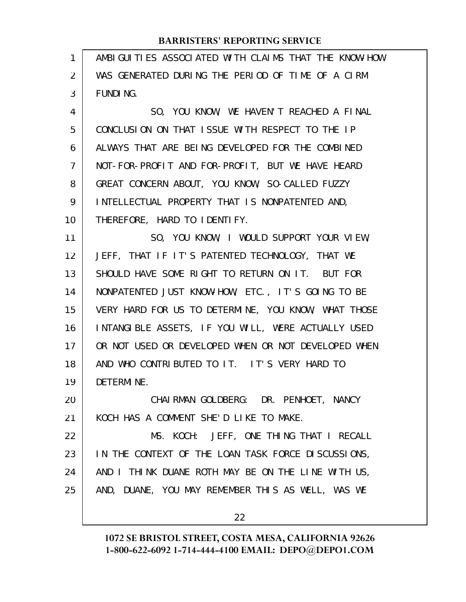| AMBIGUITIES ASSOCIATED WITH CLAIMS THAT THE KNOW-HOW |
|------------------------------------------------------|
| WAS GENERATED DURING THE PERIOD OF TIME OF A CIRM    |
| FUNDI NG.                                            |
| SO, YOU KNOW, WE HAVEN'T REACHED A FINAL             |
| CONCLUSION ON THAT ISSUE WITH RESPECT TO THE IP      |
| ALWAYS THAT ARE BEING DEVELOPED FOR THE COMBINED     |
| NOT-FOR-PROFIT AND FOR-PROFIT, BUT WE HAVE HEARD     |
| GREAT CONCERN ABOUT, YOU KNOW, SO-CALLED FUZZY       |
| INTELLECTUAL PROPERTY THAT IS NONPATENTED AND,       |
| THEREFORE, HARD TO IDENTIFY.                         |
| SO, YOU KNOW, I WOULD SUPPORT YOUR VIEW,             |
| JEFF, THAT IF IT'S PATENTED TECHNOLOGY, THAT WE      |
| SHOULD HAVE SOME RIGHT TO RETURN ON IT. BUT FOR      |
| NONPATENTED JUST KNOW-HOW, ETC., IT'S GOING TO BE    |
| VERY HARD FOR US TO DETERMINE, YOU KNOW, WHAT THOSE  |
| INTANGIBLE ASSETS, IF YOU WILL, WERE ACTUALLY USED   |
| OR NOT USED OR DEVELOPED WHEN OR NOT DEVELOPED WHEN  |
| AND WHO CONTRIBUTED TO IT. IT'S VERY HARD TO         |
| DETERMINE.                                           |
| CHAIRMAN GOLDBERG: DR. PENHOET, NANCY                |
| KOCH HAS A COMMENT SHE'D LIKE TO MAKE.               |
| MS. KOCH: JEFF, ONE THING THAT I RECALL              |
| IN THE CONTEXT OF THE LOAN TASK FORCE DISCUSSIONS,   |
| AND I THINK DUANE ROTH MAY BE ON THE LINE WITH US,   |
| AND, DUANE, YOU MAY REMEMBER THIS AS WELL, WAS WE    |
| 22                                                   |
|                                                      |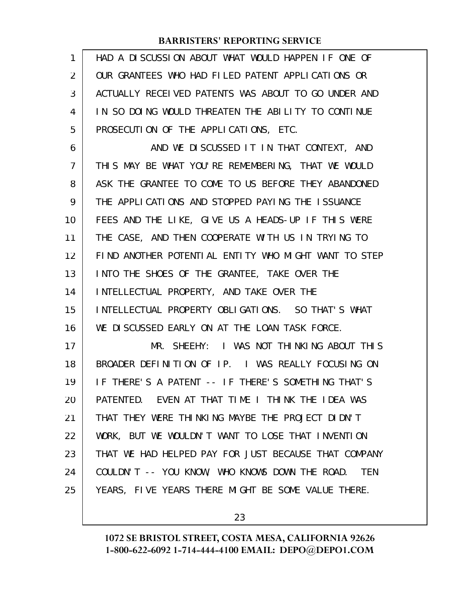| 1  | HAD A DISCUSSION ABOUT WHAT WOULD HAPPEN IF ONE OF           |
|----|--------------------------------------------------------------|
| 2  | OUR GRANTEES WHO HAD FILED PATENT APPLICATIONS OR            |
| 3  | ACTUALLY RECEIVED PATENTS WAS ABOUT TO GO UNDER AND          |
| 4  | IN SO DOING WOULD THREATEN THE ABILITY TO CONTINUE           |
| 5  | PROSECUTION OF THE APPLICATIONS, ETC.                        |
| 6  | AND WE DISCUSSED IT IN THAT CONTEXT, AND                     |
| 7  | THIS MAY BE WHAT YOU'RE REMEMBERING, THAT WE WOULD           |
| 8  | ASK THE GRANTEE TO COME TO US BEFORE THEY ABANDONED          |
| 9  | THE APPLICATIONS AND STOPPED PAYING THE ISSUANCE             |
| 10 | FEES AND THE LIKE, GIVE US A HEADS-UP IF THIS WERE           |
| 11 | THE CASE, AND THEN COOPERATE WITH US IN TRYING TO            |
| 12 | FIND ANOTHER POTENTIAL ENTITY WHO MIGHT WANT TO STEP         |
| 13 | INTO THE SHOES OF THE GRANTEE, TAKE OVER THE                 |
| 14 | INTELLECTUAL PROPERTY, AND TAKE OVER THE                     |
| 15 | INTELLECTUAL PROPERTY OBLIGATIONS. SO THAT'S WHAT            |
| 16 | WE DISCUSSED EARLY ON AT THE LOAN TASK FORCE.                |
| 17 | MR. SHEEHY: I WAS NOT THINKING ABOUT THIS                    |
| 18 | BROADER DEFINITION OF IP. I WAS REALLY FOCUSING ON           |
| 19 | IF THERE'S A PATENT -- IF THERE'S SOMETHING THAT'S           |
| 20 | PATENTED. EVEN AT THAT TIME I THINK THE IDEA WAS             |
| 21 | THAT THEY WERE THINKING MAYBE THE PROJECT DIDN'T             |
| 22 | WORK, BUT WE WOULDN'T WANT TO LOSE THAT INVENTION            |
| 23 | THAT WE HAD HELPED PAY FOR JUST BECAUSE THAT COMPANY         |
| 24 | COULDN'T -- YOU KNOW, WHO KNOWS DOWN THE ROAD.<br><b>TEN</b> |
| 25 | YEARS, FIVE YEARS THERE MIGHT BE SOME VALUE THERE.           |
|    |                                                              |

23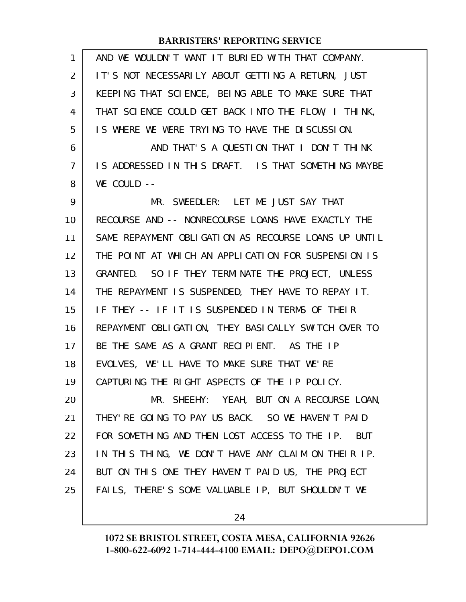| 1  | AND WE WOULDN'T WANT IT BURIED WITH THAT COMPANY.           |
|----|-------------------------------------------------------------|
| 2  | IT'S NOT NECESSARILY ABOUT GETTING A RETURN, JUST           |
| 3  | KEEPING THAT SCIENCE, BEING ABLE TO MAKE SURE THAT          |
| 4  | THAT SCIENCE COULD GET BACK INTO THE FLOW, I THINK,         |
| 5  | IS WHERE WE WERE TRYING TO HAVE THE DISCUSSION.             |
| 6  | AND THAT'S A QUESTION THAT I DON'T THINK                    |
| 7  | IS ADDRESSED IN THIS DRAFT. IS THAT SOMETHING MAYBE         |
| 8  | WE COULD --                                                 |
| 9  | MR. SWEEDLER: LET ME JUST SAY THAT                          |
| 10 | RECOURSE AND -- NONRECOURSE LOANS HAVE EXACTLY THE          |
| 11 | SAME REPAYMENT OBLIGATION AS RECOURSE LOANS UP UNTIL        |
| 12 | THE POINT AT WHICH AN APPLICATION FOR SUSPENSION IS         |
| 13 | GRANTED. SO IF THEY TERMINATE THE PROJECT, UNLESS           |
| 14 | THE REPAYMENT IS SUSPENDED, THEY HAVE TO REPAY IT.          |
| 15 | IF THEY -- IF IT IS SUSPENDED IN TERMS OF THEIR             |
| 16 | REPAYMENT OBLIGATION, THEY BASICALLY SWITCH OVER TO         |
| 17 | BE THE SAME AS A GRANT RECIPIENT. AS THE IP                 |
| 18 | EVOLVES, WE'LL HAVE TO MAKE SURE THAT WE'RE                 |
| 19 | CAPTURING THE RIGHT ASPECTS OF THE IP POLICY.               |
| 20 | MR. SHEEHY: YEAH, BUT ON A RECOURSE LOAN,                   |
| 21 | THEY' RE GOING TO PAY US BACK. SO WE HAVEN'T PAID           |
| 22 | FOR SOMETHING AND THEN LOST ACCESS TO THE IP.<br><b>BUT</b> |
| 23 | IN THIS THING, WE DON'T HAVE ANY CLAIM ON THEIR IP.         |
| 24 | BUT ON THIS ONE THEY HAVEN'T PAID US, THE PROJECT           |
| 25 | FAILS, THERE'S SOME VALUABLE IP, BUT SHOULDN'T WE           |
|    |                                                             |

24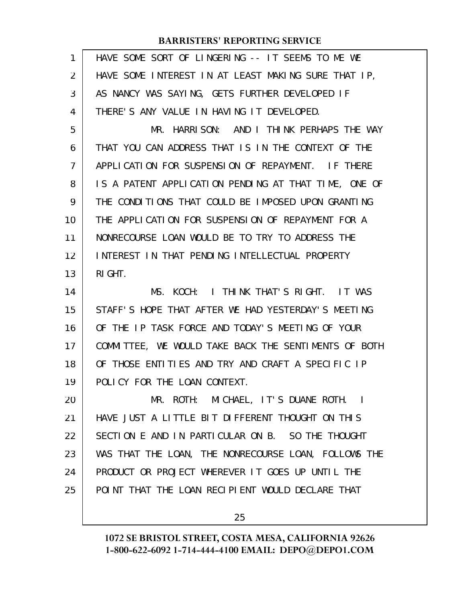| 1              | HAVE SOME SORT OF LINGERING -- IT SEEMS TO ME WE     |
|----------------|------------------------------------------------------|
| $\overline{2}$ | HAVE SOME INTEREST IN AT LEAST MAKING SURE THAT IP,  |
| 3              | AS NANCY WAS SAYING, GETS FURTHER DEVELOPED IF       |
| 4              | THERE'S ANY VALUE IN HAVING IT DEVELOPED.            |
| 5              | MR. HARRISON: AND I THINK PERHAPS THE WAY            |
| 6              | THAT YOU CAN ADDRESS THAT IS IN THE CONTEXT OF THE   |
| 7              | APPLICATION FOR SUSPENSION OF REPAYMENT. IF THERE    |
| 8              | IS A PATENT APPLICATION PENDING AT THAT TIME, ONE OF |
| 9              | THE CONDITIONS THAT COULD BE IMPOSED UPON GRANTING   |
| 10             | THE APPLICATION FOR SUSPENSION OF REPAYMENT FOR A    |
| 11             | NONRECOURSE LOAN WOULD BE TO TRY TO ADDRESS THE      |
| 12             | INTEREST IN THAT PENDING INTELLECTUAL PROPERTY       |
| 13             | RI GHT.                                              |
|                |                                                      |
| 14             | MS. KOCH: I THINK THAT'S RIGHT. IT WAS               |
| 15             | STAFF'S HOPE THAT AFTER WE HAD YESTERDAY'S MEETING   |
| 16             | OF THE IP TASK FORCE AND TODAY'S MEETING OF YOUR     |
| 17             | COMMITTEE, WE WOULD TAKE BACK THE SENTIMENTS OF BOTH |
| 18             | OF THOSE ENTITIES AND TRY AND CRAFT A SPECIFIC IP    |
| 19             | POLICY FOR THE LOAN CONTEXT.                         |
| 20             | MR. ROTH: MICHAEL, IT'S DUANE ROTH.                  |
| 21             | HAVE JUST A LITTLE BIT DIFFERENT THOUGHT ON THIS     |
| 22             | SECTION E AND IN PARTICULAR ON B. SO THE THOUGHT     |
| 23             | WAS THAT THE LOAN, THE NONRECOURSE LOAN, FOLLOWS THE |
| 24             | PRODUCT OR PROJECT WHEREVER IT GOES UP UNTIL THE     |
| 25             | POINT THAT THE LOAN RECIPIENT WOULD DECLARE THAT     |

25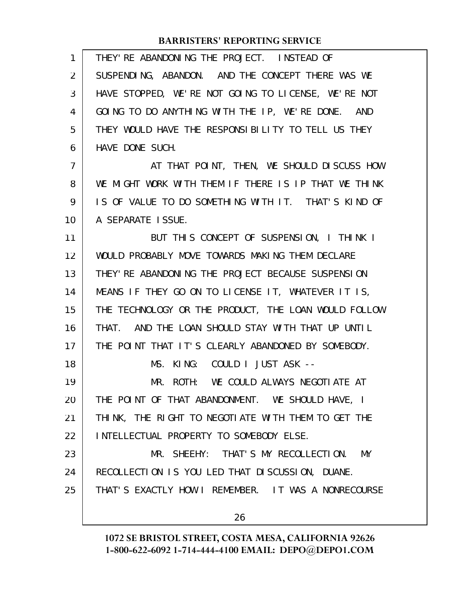| 1                 | THEY' RE ABANDONING THE PROJECT. INSTEAD OF          |
|-------------------|------------------------------------------------------|
| $\overline{2}$    | SUSPENDING, ABANDON. AND THE CONCEPT THERE WAS WE    |
| 3                 | HAVE STOPPED, WE'RE NOT GOING TO LICENSE, WE'RE NOT  |
| 4                 | GOING TO DO ANYTHING WITH THE IP, WE'RE DONE. AND    |
| 5                 | THEY WOULD HAVE THE RESPONSIBILITY TO TELL US THEY   |
| 6                 | HAVE DONE SUCH.                                      |
| 7                 | AT THAT POINT, THEN, WE SHOULD DISCUSS HOW           |
| 8                 | WE MIGHT WORK WITH THEM IF THERE IS IP THAT WE THINK |
| 9                 | IS OF VALUE TO DO SOMETHING WITH IT. THAT'S KIND OF  |
| 10                | A SEPARATE ISSUE.                                    |
| 11                | BUT THIS CONCEPT OF SUSPENSION, I THINK I            |
| $12 \overline{ }$ | WOULD PROBABLY MOVE TOWARDS MAKING THEM DECLARE      |
| 13                | THEY' RE ABANDONING THE PROJECT BECAUSE SUSPENSION   |
| 14                | MEANS IF THEY GO ON TO LICENSE IT, WHATEVER IT IS,   |
| 15                | THE TECHNOLOGY OR THE PRODUCT, THE LOAN WOULD FOLLOW |
| 16                | THAT. AND THE LOAN SHOULD STAY WITH THAT UP UNTIL    |
| 17                | THE POINT THAT IT'S CLEARLY ABANDONED BY SOMEBODY.   |
| 18                | MS. KING: COULD I JUST ASK --                        |
| 19                | MR. ROTH: WE COULD ALWAYS NEGOTIATE AT               |
| 20                | THE POINT OF THAT ABANDONMENT. WE SHOULD HAVE, I     |
| 21                | THINK, THE RIGHT TO NEGOTIATE WITH THEM TO GET THE   |
| 22                | INTELLECTUAL PROPERTY TO SOMEBODY ELSE.              |
| 23                | MR. SHEEHY: THAT'S MY RECOLLECTION. MY               |
| 24                | RECOLLECTION IS YOU LED THAT DISCUSSION, DUANE.      |
| 25                | THAT'S EXACTLY HOW I REMEMBER. IT WAS A NONRECOURSE  |
|                   | 26                                                   |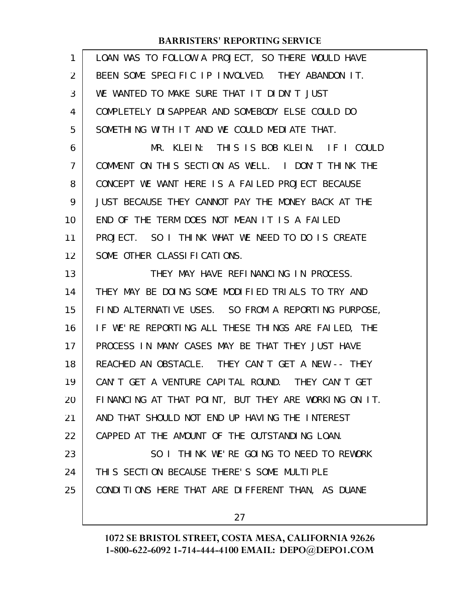| 1  | LOAN WAS TO FOLLOW A PROJECT, SO THERE WOULD HAVE    |
|----|------------------------------------------------------|
| 2  | BEEN SOME SPECIFIC IP INVOLVED. THEY ABANDON IT.     |
| 3  | WE WANTED TO MAKE SURE THAT IT DIDN'T JUST           |
| 4  | COMPLETELY DI SAPPEAR AND SOMEBODY ELSE COULD DO     |
| 5  | SOMETHING WITH IT AND WE COULD MEDIATE THAT.         |
| 6  | MR. KLEIN: THIS IS BOB KLEIN. IF I COULD             |
| 7  | COMMENT ON THIS SECTION AS WELL. I DON'T THINK THE   |
| 8  | CONCEPT WE WANT HERE IS A FAILED PROJECT BECAUSE     |
| 9  | JUST BECAUSE THEY CANNOT PAY THE MONEY BACK AT THE   |
| 10 | END OF THE TERM DOES NOT MEAN IT IS A FAILED         |
| 11 | PROJECT. SO I THINK WHAT WE NEED TO DO IS CREATE     |
| 12 | SOME OTHER CLASSIFICATIONS.                          |
| 13 | THEY MAY HAVE REFINANCING IN PROCESS.                |
| 14 | THEY MAY BE DOING SOME MODIFIED TRIALS TO TRY AND    |
| 15 | FIND ALTERNATIVE USES. SO FROM A REPORTING PURPOSE,  |
| 16 | IF WE'RE REPORTING ALL THESE THINGS ARE FAILED, THE  |
| 17 | PROCESS IN MANY CASES MAY BE THAT THEY JUST HAVE     |
| 18 | REACHED AN OBSTACLE. THEY CAN'T GET A NEW -- THEY    |
| 19 | CAN'T GET A VENTURE CAPITAL ROUND. THEY CAN'T GET    |
| 20 | FINANCING AT THAT POINT, BUT THEY ARE WORKING ON IT. |
| 21 | AND THAT SHOULD NOT END UP HAVING THE INTEREST       |
| 22 | CAPPED AT THE AMOUNT OF THE OUTSTANDING LOAN.        |
| 23 | SO I THINK WE'RE GOING TO NEED TO REWORK             |
| 24 | THIS SECTION BECAUSE THERE'S SOME MULTIPLE           |
| 25 | CONDITIONS HERE THAT ARE DIFFERENT THAN, AS DUANE    |
|    | 27                                                   |
|    |                                                      |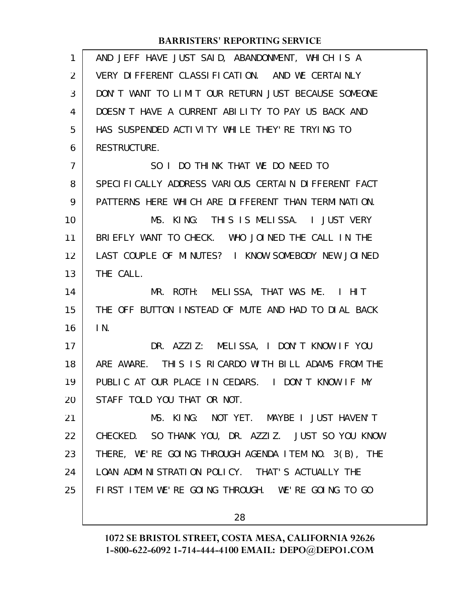| $\mathbf{1}$ | AND JEFF HAVE JUST SAID, ABANDONMENT, WHICH IS A     |
|--------------|------------------------------------------------------|
| 2            | VERY DI FFERENT CLASSI FICATION. AND WE CERTAINLY    |
| 3            | DON'T WANT TO LIMIT OUR RETURN JUST BECAUSE SOMEONE  |
| 4            | DOESN'T HAVE A CURRENT ABILITY TO PAY US BACK AND    |
| 5            | HAS SUSPENDED ACTIVITY WHILE THEY'RE TRYING TO       |
| 6            | RESTRUCTURE.                                         |
| 7            | SO I DO THINK THAT WE DO NEED TO                     |
| 8            | SPECIFICALLY ADDRESS VARIOUS CERTAIN DIFFERENT FACT  |
| 9            | PATTERNS HERE WHICH ARE DIFFERENT THAN TERMINATION.  |
| 10           | THIS IS MELISSA. I JUST VERY<br>MS. KING:            |
| 11           | BRIEFLY WANT TO CHECK. WHO JOINED THE CALL IN THE    |
| 12           | LAST COUPLE OF MINUTES? I KNOW SOMEBODY NEW JOINED   |
| 13           | THE CALL.                                            |
| 14           | MR. ROTH: MELISSA, THAT WAS ME. I HIT                |
| 15           | THE OFF BUTTON INSTEAD OF MUTE AND HAD TO DIAL BACK  |
| 16           | IN.                                                  |
| 17           | DR. AZZIZ: MELISSA, I DON'T KNOW IF YOU              |
| 18           | ARE AWARE. THIS IS RICARDO WITH BILL ADAMS FROM THE  |
| 19           | PUBLIC AT OUR PLACE IN CEDARS. I DON'T KNOW IF MY    |
| 20           | STAFF TOLD YOU THAT OR NOT.                          |
| 21           | MS. KING: NOT YET. MAYBE I JUST HAVEN'T              |
| 22           | CHECKED. SO THANK YOU, DR. AZZIZ. JUST SO YOU KNOW   |
| 23           | THERE, WE'RE GOING THROUGH AGENDA ITEM NO. 3(B), THE |
| 24           | LOAN ADMINISTRATION POLICY. THAT'S ACTUALLY THE      |
| 25           | FIRST ITEM WE'RE GOING THROUGH. WE'RE GOING TO GO    |
|              | 28                                                   |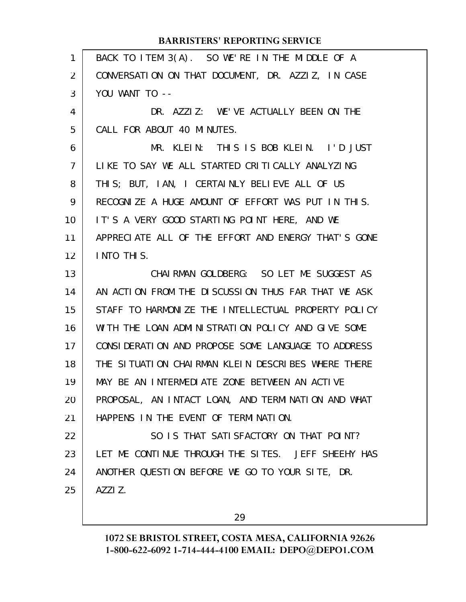| 1              | BACK TO ITEM 3(A). SO WE'RE IN THE MIDDLE OF A      |
|----------------|-----------------------------------------------------|
| $\overline{2}$ | CONVERSATION ON THAT DOCUMENT, DR. AZZIZ, IN CASE   |
| 3              | YOU WANT TO --                                      |
| 4              | DR. AZZIZ: WE'VE ACTUALLY BEEN ON THE               |
| 5              | CALL FOR ABOUT 40 MINUTES.                          |
| 6              | MR. KLEIN: THIS IS BOB KLEIN. I'D JUST              |
| $\overline{7}$ | LIKE TO SAY WE ALL STARTED CRITICALLY ANALYZING     |
| 8              | THIS; BUT, IAN, I CERTAINLY BELIEVE ALL OF US       |
| 9              | RECOGNIZE A HUGE AMOUNT OF EFFORT WAS PUT IN THIS.  |
| 10             | IT'S A VERY GOOD STARTING POINT HERE, AND WE        |
| 11             | APPRECIATE ALL OF THE EFFORT AND ENERGY THAT'S GONE |
| 12             | INTO THIS.                                          |
| 13             | CHAIRMAN GOLDBERG: SO LET ME SUGGEST AS             |
| 14             | AN ACTION FROM THE DISCUSSION THUS FAR THAT WE ASK  |
| 15             | STAFF TO HARMONIZE THE INTELLECTUAL PROPERTY POLICY |
| 16             | WITH THE LOAN ADMINISTRATION POLICY AND GIVE SOME   |
| 17             | CONSIDERATION AND PROPOSE SOME LANGUAGE TO ADDRESS  |
| 18             | THE SITUATION CHAIRMAN KLEIN DESCRIBES WHERE THERE  |
| 19             | MAY BE AN INTERMEDIATE ZONE BETWEEN AN ACTIVE       |
| 20             | PROPOSAL, AN INTACT LOAN, AND TERMINATION AND WHAT  |
| 21             | HAPPENS IN THE EVENT OF TERMINATION.                |
| 22             | SO IS THAT SATISFACTORY ON THAT POINT?              |
| 23             | LET ME CONTINUE THROUGH THE SITES. JEFF SHEEHY HAS  |
| 24             | ANOTHER QUESTION BEFORE WE GO TO YOUR SITE, DR.     |
| 25             | AZZI Z.                                             |
|                |                                                     |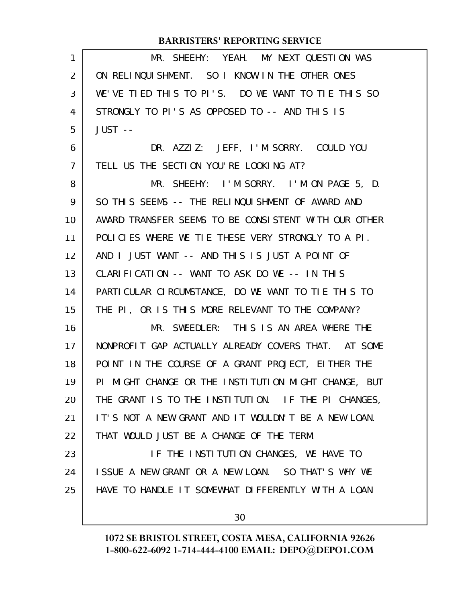| $\mathbf{1}$   | MR. SHEEHY: YEAH. MY NEXT QUESTION WAS               |
|----------------|------------------------------------------------------|
| 2              | ON RELINQUISHMENT. SO I KNOW IN THE OTHER ONES       |
| 3              | WE'VE TIED THIS TO PI'S. DO WE WANT TO TIE THIS SO   |
| 4              | STRONGLY TO PI'S AS OPPOSED TO -- AND THIS IS        |
| 5              | JUST --                                              |
| 6              | DR. AZZIZ: JEFF, I'M SORRY. COULD YOU                |
| $\overline{7}$ | TELL US THE SECTION YOU'RE LOOKING AT?               |
| 8              | MR. SHEEHY: I'M SORRY. I'M ON PAGE 5, D.             |
| 9              | SO THIS SEEMS -- THE RELINQUISHMENT OF AWARD AND     |
| 10             | AWARD TRANSFER SEEMS TO BE CONSISTENT WITH OUR OTHER |
| 11             | POLICIES WHERE WE TIE THESE VERY STRONGLY TO A PI.   |
| 12             | AND I JUST WANT -- AND THIS IS JUST A POINT OF       |
| 13             | CLARIFICATION -- WANT TO ASK DO WE -- IN THIS        |
| 14             | PARTICULAR CIRCUMSTANCE, DO WE WANT TO TIE THIS TO   |
| 15             | THE PI, OR IS THIS MORE RELEVANT TO THE COMPANY?     |
| 16             | MR. SWEEDLER: THIS IS AN AREA WHERE THE              |
| 17             | NONPROFIT GAP ACTUALLY ALREADY COVERS THAT. AT SOME  |
| 18             | POINT IN THE COURSE OF A GRANT PROJECT, EITHER THE   |
| 19             | PI MIGHT CHANGE OR THE INSTITUTION MIGHT CHANGE, BUT |
| 20             | THE GRANT IS TO THE INSTITUTION. IF THE PI CHANGES,  |
| 21             | IT'S NOT A NEW GRANT AND IT WOULDN'T BE A NEW LOAN.  |
| 22             | THAT WOULD JUST BE A CHANGE OF THE TERM.             |
| 23             | IF THE INSTITUTION CHANGES, WE HAVE TO               |
| 24             | ISSUE A NEW GRANT OR A NEW LOAN. SO THAT'S WHY WE    |
| 25             | HAVE TO HANDLE IT SOMEWHAT DIFFERENTLY WITH A LOAN   |
|                | 30                                                   |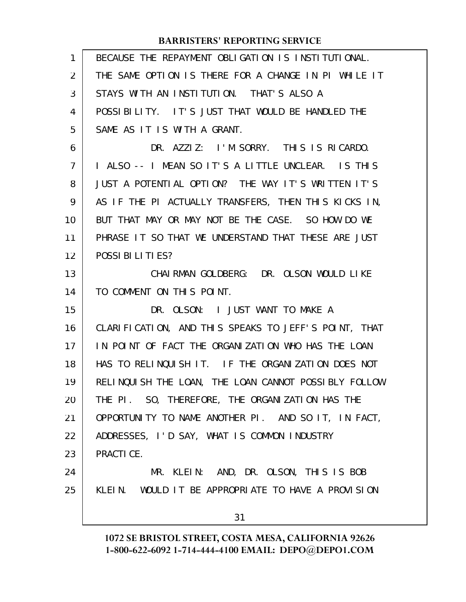| 1              | BECAUSE THE REPAYMENT OBLIGATION IS INSTITUTIONAL.   |
|----------------|------------------------------------------------------|
| 2              | THE SAME OPTION IS THERE FOR A CHANGE IN PI WHILE IT |
| 3              | STAYS WITH AN INSTITUTION. THAT'S ALSO A             |
| 4              | POSSIBILITY. IT'S JUST THAT WOULD BE HANDLED THE     |
| 5              | SAME AS IT IS WITH A GRANT.                          |
| 6              | DR. AZZIZ: I'M SORRY. THIS IS RICARDO.               |
| $\overline{7}$ | I ALSO -- I MEAN SO IT'S A LITTLE UNCLEAR. IS THIS   |
| 8              | JUST A POTENTIAL OPTION? THE WAY IT'S WRITTEN IT'S   |
| 9              | AS IF THE PI ACTUALLY TRANSFERS, THEN THIS KICKS IN, |
| 10             | BUT THAT MAY OR MAY NOT BE THE CASE. SO HOW DO WE    |
| 11             | PHRASE IT SO THAT WE UNDERSTAND THAT THESE ARE JUST  |
| 12             | POSSIBILITIES?                                       |
| 13             | CHAIRMAN GOLDBERG: DR. OLSON WOULD LIKE              |
| 14             | TO COMMENT ON THIS POINT.                            |
| 15             | DR. OLSON: I JUST WANT TO MAKE A                     |
| 16             | CLARIFICATION, AND THIS SPEAKS TO JEFF'S POINT, THAT |
| 17             | IN POINT OF FACT THE ORGANIZATION WHO HAS THE LOAN   |
| 18             | HAS TO RELINQUISH IT. IF THE ORGANIZATION DOES NOT   |
| 19             | RELINQUISH THE LOAN, THE LOAN CANNOT POSSIBLY FOLLOW |
| 20             | THE PI. SO, THEREFORE, THE ORGANIZATION HAS THE      |
| 21             | OPPORTUNITY TO NAME ANOTHER PI. AND SO IT, IN FACT,  |
| 22             | ADDRESSES, I'D SAY, WHAT IS COMMON INDUSTRY          |
| 23             | PRACTICE.                                            |
| 24             | MR. KLEIN: AND, DR. OLSON, THIS IS BOB               |
| 25             | KLEIN. WOULD IT BE APPROPRIATE TO HAVE A PROVISION   |
|                | 31                                                   |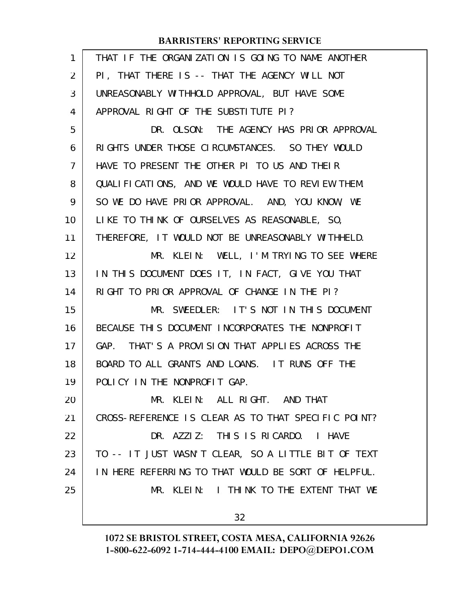| 1              | THAT IF THE ORGANIZATION IS GOING TO NAME ANOTHER   |
|----------------|-----------------------------------------------------|
| 2              | PI, THAT THERE IS -- THAT THE AGENCY WILL NOT       |
| 3              | UNREASONABLY WITHHOLD APPROVAL, BUT HAVE SOME       |
| 4              | APPROVAL RIGHT OF THE SUBSTITUTE PI?                |
| 5              | DR. OLSON: THE AGENCY HAS PRIOR APPROVAL            |
| 6              | RIGHTS UNDER THOSE CIRCUMSTANCES. SO THEY WOULD     |
| $\overline{7}$ | HAVE TO PRESENT THE OTHER PI TO US AND THEIR        |
| 8              | QUALIFICATIONS, AND WE WOULD HAVE TO REVIEW THEM.   |
| 9              | SO WE DO HAVE PRIOR APPROVAL. AND, YOU KNOW, WE     |
| 10             | LIKE TO THINK OF OURSELVES AS REASONABLE, SO,       |
| 11             | THEREFORE, IT WOULD NOT BE UNREASONABLY WITHHELD.   |
| 12             | MR. KLEIN: WELL, I'M TRYING TO SEE WHERE            |
| 13             | IN THIS DOCUMENT DOES IT, IN FACT, GIVE YOU THAT    |
| 14             | RIGHT TO PRIOR APPROVAL OF CHANGE IN THE PI?        |
| 15             | MR. SWEEDLER: IT'S NOT IN THIS DOCUMENT             |
| 16             | BECAUSE THIS DOCUMENT INCORPORATES THE NONPROFIT    |
| 17             | GAP. THAT'S A PROVISION THAT APPLIES ACROSS THE     |
| 18             | BOARD TO ALL GRANTS AND LOANS. IT RUNS OFF THE      |
| 19             | POLICY IN THE NONPROFIT GAP.                        |
| 20             | MR. KLEIN: ALL RIGHT. AND THAT                      |
| 21             | CROSS-REFERENCE IS CLEAR AS TO THAT SPECIFIC POINT? |
| 22             | DR. AZZIZ: THIS IS RICARDO. I HAVE                  |
| 23             | TO -- IT JUST WASN'T CLEAR, SO A LITTLE BIT OF TEXT |
| 24             | IN HERE REFERRING TO THAT WOULD BE SORT OF HELPFUL. |
| 25             | MR. KLEIN: I THINK TO THE EXTENT THAT WE            |
|                | 32                                                  |
|                |                                                     |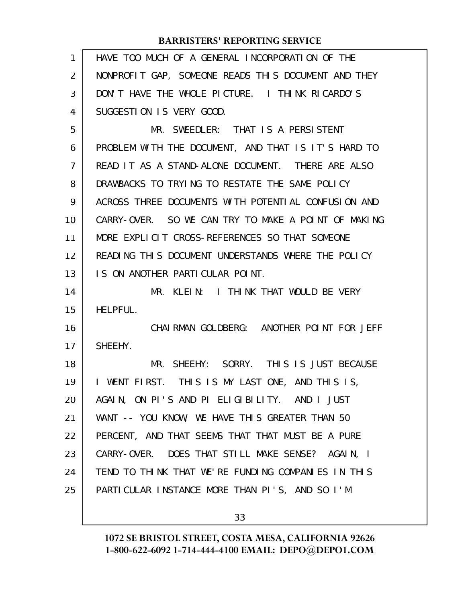| $\mathbf{1}$ | HAVE TOO MUCH OF A GENERAL INCORPORATION OF THE               |
|--------------|---------------------------------------------------------------|
| 2            | NONPROFIT GAP, SOMEONE READS THIS DOCUMENT AND THEY           |
| 3            | DON'T HAVE THE WHOLE PICTURE. I THINK RICARDO'S               |
| 4            | SUGGESTION IS VERY GOOD.                                      |
| 5            | MR. SWEEDLER: THAT IS A PERSISTENT                            |
| 6            | PROBLEM WITH THE DOCUMENT, AND THAT IS IT'S HARD TO           |
| 7            | READ IT AS A STAND-ALONE DOCUMENT. THERE ARE ALSO             |
| 8            | DRAWBACKS TO TRYING TO RESTATE THE SAME POLICY                |
| 9            | ACROSS THREE DOCUMENTS WITH POTENTIAL CONFUSION AND           |
| 10           | CARRY-OVER. SO WE CAN TRY TO MAKE A POINT OF MAKING           |
| 11           | MORE EXPLICIT CROSS-REFERENCES SO THAT SOMEONE                |
| 12           | READING THIS DOCUMENT UNDERSTANDS WHERE THE POLICY            |
| 13           | IS ON ANOTHER PARTICULAR POINT.                               |
| 14           | MR. KLEIN: I THINK THAT WOULD BE VERY                         |
| 15           | HELPFUL.                                                      |
| 16           | CHAIRMAN GOLDBERG: ANOTHER POINT FOR JEFF                     |
| 17           | SHEEHY.                                                       |
| 18           | MR. SHEEHY: SORRY. THIS IS JUST BECAUSE                       |
| 19           | WENT FIRST. THIS IS MY LAST ONE, AND THIS IS,<br>$\mathbf{I}$ |
| 20           | AGAIN, ON PI'S AND PI ELIGIBILITY. AND I JUST                 |
| 21           | WANT -- YOU KNOW, WE HAVE THIS GREATER THAN 50                |
| 22           | PERCENT, AND THAT SEEMS THAT THAT MUST BE A PURE              |
| 23           | CARRY-OVER. DOES THAT STILL MAKE SENSE? AGAIN, I              |
| 24           | TEND TO THINK THAT WE'RE FUNDING COMPANIES IN THIS            |
| 25           | PARTICULAR INSTANCE MORE THAN PI'S, AND SO I'M                |
|              |                                                               |

33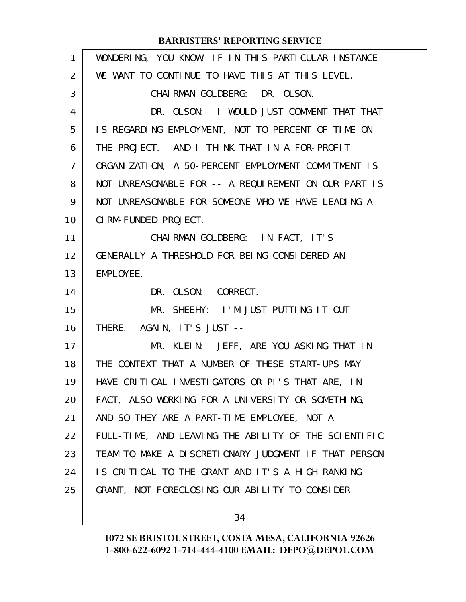| 1  | WONDERING, YOU KNOW, IF IN THIS PARTICULAR INSTANCE  |
|----|------------------------------------------------------|
| 2  | WE WANT TO CONTINUE TO HAVE THIS AT THIS LEVEL.      |
| 3  | CHAI RMAN GOLDBERG: DR. OLSON.                       |
| 4  | DR. OLSON: I WOULD JUST COMMENT THAT THAT            |
| 5  | IS REGARDING EMPLOYMENT, NOT TO PERCENT OF TIME ON   |
| 6  | THE PROJECT. AND I THINK THAT IN A FOR-PROFIT        |
| 7  | ORGANIZATION, A 50-PERCENT EMPLOYMENT COMMITMENT IS  |
| 8  | NOT UNREASONABLE FOR -- A REQUIREMENT ON OUR PART IS |
| 9  | NOT UNREASONABLE FOR SOMEONE WHO WE HAVE LEADING A   |
| 10 | CIRM-FUNDED PROJECT.                                 |
| 11 | CHAIRMAN GOLDBERG: IN FACT, IT'S                     |
| 12 | GENERALLY A THRESHOLD FOR BEING CONSIDERED AN        |
| 13 | EMPLOYEE.                                            |
| 14 | DR. OLSON: CORRECT.                                  |
| 15 | MR. SHEEHY: I'M JUST PUTTING IT OUT                  |
| 16 | THERE. AGAIN, IT'S JUST --                           |
| 17 | MR. KLEIN: JEFF, ARE YOU ASKING THAT IN              |
| 18 | THE CONTEXT THAT A NUMBER OF THESE START-UPS MAY     |
| 19 | HAVE CRITICAL INVESTIGATORS OR PI'S THAT ARE, IN     |
| 20 | FACT, ALSO WORKING FOR A UNIVERSITY OR SOMETHING,    |
| 21 | AND SO THEY ARE A PART-TIME EMPLOYEE, NOT A          |
| 22 | FULL-TIME, AND LEAVING THE ABILITY OF THE SCIENTIFIC |
| 23 | TEAM TO MAKE A DISCRETIONARY JUDGMENT IF THAT PERSON |
| 24 | IS CRITICAL TO THE GRANT AND IT'S A HIGH RANKING     |
| 25 | GRANT, NOT FORECLOSING OUR ABILITY TO CONSIDER       |
|    |                                                      |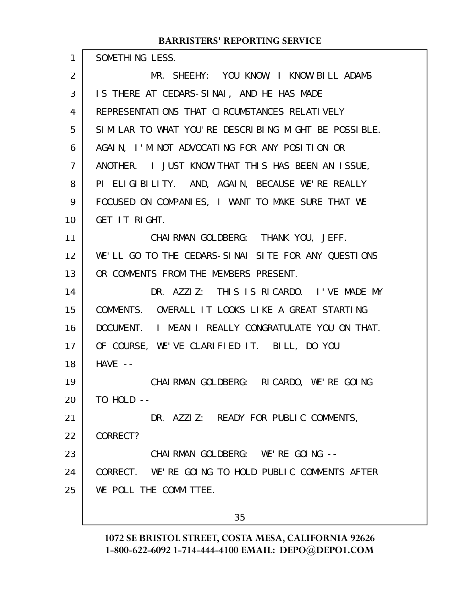| $\mathbf{1}$   | SOMETHING LESS.                                      |
|----------------|------------------------------------------------------|
| 2              | MR. SHEEHY: YOU KNOW, I KNOW BILL ADAMS              |
| 3              | IS THERE AT CEDARS-SINAI, AND HE HAS MADE            |
| 4              | REPRESENTATIONS THAT CIRCUMSTANCES RELATIVELY        |
| 5              | SIMILAR TO WHAT YOU'RE DESCRIBING MIGHT BE POSSIBLE. |
| 6              | AGAIN, I'M NOT ADVOCATING FOR ANY POSITION OR        |
| $\overline{7}$ | ANOTHER. I JUST KNOW THAT THIS HAS BEEN AN ISSUE,    |
| 8              | PI ELIGIBILITY. AND, AGAIN, BECAUSE WE'RE REALLY     |
| 9              | FOCUSED ON COMPANIES, I WANT TO MAKE SURE THAT WE    |
| 10             | GET IT RIGHT.                                        |
| 11             | CHAIRMAN GOLDBERG: THANK YOU, JEFF.                  |
| 12             | WE'LL GO TO THE CEDARS-SINAI SITE FOR ANY QUESTIONS  |
| 13             | OR COMMENTS FROM THE MEMBERS PRESENT.                |
| 14             | DR. AZZIZ: THIS IS RICARDO. I'VE MADE MY             |
| 15             | COMMENTS. OVERALL IT LOOKS LIKE A GREAT STARTING     |
| 16             | DOCUMENT. I MEAN I REALLY CONGRATULATE YOU ON THAT.  |
| 17             | OF COURSE, WE'VE CLARIFIED IT. BILL, DO YOU          |
| 18             | $HAVE - -$                                           |
| 19             | CHAI RMAN GOLDBERG: RICARDO, WE'RE GOING             |
| 20             | TO HOLD --                                           |
| 21             | DR. AZZIZ: READY FOR PUBLIC COMMENTS,                |
| 22             | CORRECT?                                             |
| 23             | CHAIRMAN GOLDBERG: WE'RE GOING --                    |
| 24             | CORRECT. WE'RE GOING TO HOLD PUBLIC COMMENTS AFTER   |
| 25             | WE POLL THE COMMITTEE.                               |
|                | 35                                                   |
|                |                                                      |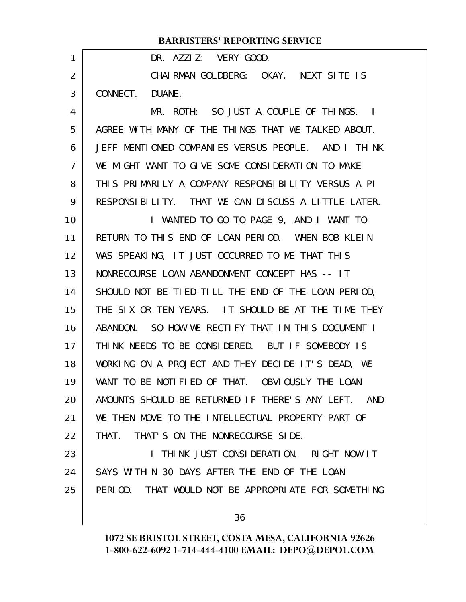#### DR. AZZIZ: VERY GOOD. CHAIRMAN GOLDBERG: OKAY. NEXT SITE IS CONNECT. DUANE. MR. ROTH: SO JUST A COUPLE OF THINGS. I AGREE WITH MANY OF THE THINGS THAT WE TALKED ABOUT. JEFF MENTIONED COMPANIES VERSUS PEOPLE. AND I THINK WE MIGHT WANT TO GIVE SOME CONSIDERATION TO MAKE THIS PRIMARILY A COMPANY RESPONSIBILITY VERSUS A PI RESPONSIBILITY. THAT WE CAN DISCUSS A LITTLE LATER. I WANTED TO GO TO PAGE 9, AND I WANT TO RETURN TO THIS END OF LOAN PERIOD. WHEN BOB KLEIN WAS SPEAKING, IT JUST OCCURRED TO ME THAT THIS NONRECOURSE LOAN ABANDONMENT CONCEPT HAS -- IT SHOULD NOT BE TIED TILL THE END OF THE LOAN PERIOD, THE SIX OR TEN YEARS. IT SHOULD BE AT THE TIME THEY ABANDON. SO HOW WE RECTIFY THAT IN THIS DOCUMENT I THINK NEEDS TO BE CONSIDERED. BUT IF SOMEBODY IS WORKING ON A PROJECT AND THEY DECIDE IT'S DEAD, WE WANT TO BE NOTIFIED OF THAT. OBVIOUSLY THE LOAN AMOUNTS SHOULD BE RETURNED IF THERE'S ANY LEFT. AND WE THEN MOVE TO THE INTELLECTUAL PROPERTY PART OF THAT. THAT'S ON THE NONRECOURSE SIDE. I THINK JUST CONSIDERATION. RIGHT NOW IT SAYS WITHIN 30 DAYS AFTER THE END OF THE LOAN PERIOD. THAT WOULD NOT BE APPROPRIATE FOR SOMETHING **BARRISTERS' REPORTING SERVICE** 1 2 3 4 5 6 7 8 9 10 11 12 13 14 15 16 17 18 19 20 21 22 23 24 25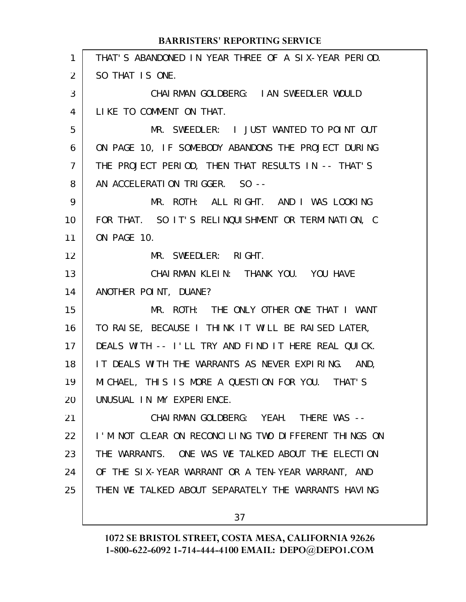| $\mathbf{1}$ | THAT'S ABANDONED IN YEAR THREE OF A SIX-YEAR PERIOD. |
|--------------|------------------------------------------------------|
| 2            | SO THAT IS ONE.                                      |
| 3            | CHAIRMAN GOLDBERG: IAN SWEEDLER WOULD                |
| 4            | LIKE TO COMMENT ON THAT.                             |
| 5            | MR. SWEEDLER: I JUST WANTED TO POINT OUT             |
| 6            | ON PAGE 10, IF SOMEBODY ABANDONS THE PROJECT DURING  |
| 7            | THE PROJECT PERIOD, THEN THAT RESULTS IN -- THAT'S   |
| 8            | AN ACCELERATION TRIGGER. SO --                       |
| 9            | MR. ROTH: ALL RIGHT. AND I WAS LOOKING               |
| 10           | FOR THAT. SO IT'S RELINQUISHMENT OR TERMINATION, C   |
| 11           | ON PAGE 10.                                          |
| 12           | MR. SWEEDLER: RIGHT.                                 |
| 13           | CHAI RMAN KLEIN: THANK YOU. YOU HAVE                 |
| 14           | ANOTHER POINT, DUANE?                                |
| 15           | MR. ROTH: THE ONLY OTHER ONE THAT I WANT             |
| 16           | TO RAISE, BECAUSE I THINK IT WILL BE RAISED LATER,   |
| 17           | DEALS WITH -- I'LL TRY AND FIND IT HERE REAL QUICK.  |
| 18           | IT DEALS WITH THE WARRANTS AS NEVER EXPIRING. AND,   |
| 19           | MICHAEL, THIS IS MORE A QUESTION FOR YOU. THAT'S     |
| 20           | UNUSUAL IN MY EXPERIENCE.                            |
| 21           | CHAIRMAN GOLDBERG: YEAH. THERE WAS --                |
| 22           | I'M NOT CLEAR ON RECONCILING TWO DIFFERENT THINGS ON |
| 23           | THE WARRANTS. ONE WAS WE TALKED ABOUT THE ELECTION   |
| 24           | OF THE SIX-YEAR WARRANT OR A TEN-YEAR WARRANT, AND   |
| 25           | THEN WE TALKED ABOUT SEPARATELY THE WARRANTS HAVING  |
|              |                                                      |
|              | 37                                                   |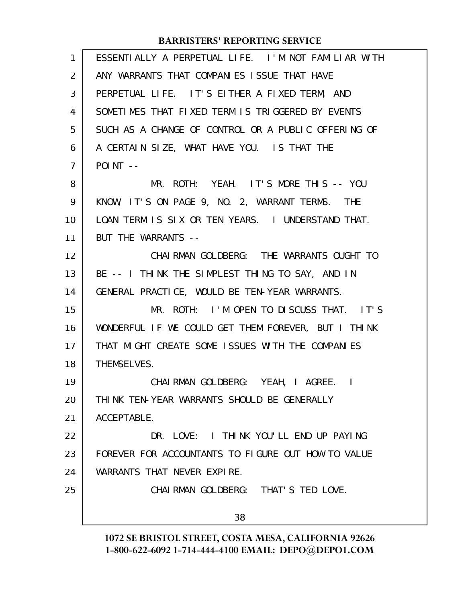| $\mathbf{1}$   | ESSENTIALLY A PERPETUAL LIFE. I'M NOT FAMILIAR WITH |
|----------------|-----------------------------------------------------|
| 2              | ANY WARRANTS THAT COMPANIES ISSUE THAT HAVE         |
| 3              | PERPETUAL LIFE. IT'S EITHER A FIXED TERM, AND       |
| 4              | SOMETIMES THAT FIXED TERM IS TRIGGERED BY EVENTS    |
| 5              | SUCH AS A CHANGE OF CONTROL OR A PUBLIC OFFERING OF |
| 6              | A CERTAIN SIZE, WHAT HAVE YOU. IS THAT THE          |
| $\overline{7}$ | $POINT$ --                                          |
| 8              | MR. ROTH: YEAH. IT'S MORE THIS -- YOU               |
| 9              | KNOW, IT'S ON PAGE 9, NO. 2, WARRANT TERMS. THE     |
| 10             | LOAN TERM IS SIX OR TEN YEARS. I UNDERSTAND THAT.   |
| 11             | BUT THE WARRANTS --                                 |
| 12             | CHAI RMAN GOLDBERG: THE WARRANTS OUGHT TO           |
| 13             | BE -- I THINK THE SIMPLEST THING TO SAY, AND IN     |
| 14             | GENERAL PRACTICE, WOULD BE TEN-YEAR WARRANTS.       |
| 15             | MR. ROTH: I'M OPEN TO DISCUSS THAT. IT'S            |
| 16             | WONDERFUL IF WE COULD GET THEM FOREVER, BUT I THINK |
| 17             | THAT MIGHT CREATE SOME ISSUES WITH THE COMPANIES    |
| 18             | THEMSELVES.                                         |
| 19             | CHAI RMAN GOLDBERG: YEAH, I AGREE. I                |
| 20             | THINK TEN-YEAR WARRANTS SHOULD BE GENERALLY         |
| 21             | ACCEPTABLE.                                         |
| 22             | DR. LOVE: I THINK YOU'LL END UP PAYING              |
| 23             | FOREVER FOR ACCOUNTANTS TO FIGURE OUT HOW TO VALUE  |
| 24             | WARRANTS THAT NEVER EXPIRE.                         |
| 25             | CHAIRMAN GOLDBERG: THAT'S TED LOVE.                 |
|                | 38                                                  |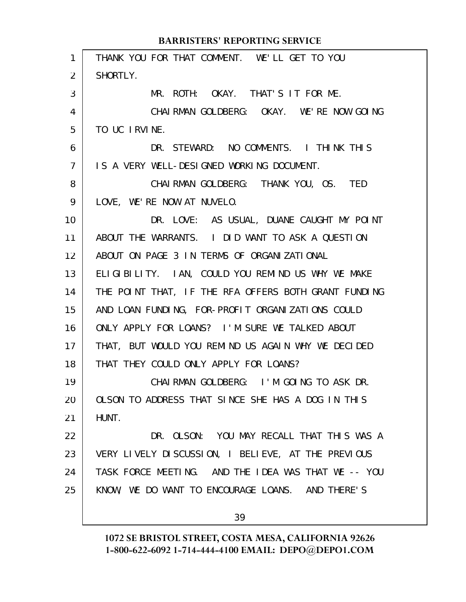| $\mathbf{1}$    | THANK YOU FOR THAT COMMENT. WE'LL GET TO YOU         |
|-----------------|------------------------------------------------------|
| $\overline{2}$  | SHORTLY.                                             |
| 3               | MR. ROTH: OKAY. THAT'S IT FOR ME.                    |
| 4               | CHAIRMAN GOLDBERG: OKAY. WE'RE NOW GOING             |
| 5               | TO UC IRVINE.                                        |
| 6               | DR. STEWARD: NO COMMENTS. I THINK THIS               |
| $\overline{7}$  | IS A VERY WELL-DESIGNED WORKING DOCUMENT.            |
| 8               | CHAIRMAN GOLDBERG: THANK YOU, OS. TED                |
| 9               | LOVE, WE'RE NOW AT NUVELO.                           |
| 10 <sup>°</sup> | DR. LOVE: AS USUAL, DUANE CAUGHT MY POINT            |
| 11              | ABOUT THE WARRANTS. I DID WANT TO ASK A QUESTION     |
| 12 <sup>2</sup> | ABOUT ON PAGE 3 IN TERMS OF ORGANIZATIONAL           |
| 13              | ELIGIBILITY. IAN, COULD YOU REMIND US WHY WE MAKE    |
| 14              | THE POINT THAT, IF THE RFA OFFERS BOTH GRANT FUNDING |
| 15              | AND LOAN FUNDING, FOR-PROFIT ORGANIZATIONS COULD     |
| 16              | ONLY APPLY FOR LOANS? I'M SURE WE TALKED ABOUT       |
| 17              | THAT, BUT WOULD YOU REMIND US AGAIN WHY WE DECIDED   |
| 18              | THAT THEY COULD ONLY APPLY FOR LOANS?                |
| 19              | CHAIRMAN GOLDBERG: I'M GOING TO ASK DR.              |
| 20              | OLSON TO ADDRESS THAT SINCE SHE HAS A DOG IN THIS    |
| 21              | HUNT.                                                |
| 22              | DR. OLSON: YOU MAY RECALL THAT THIS WAS A            |
| 23              | VERY LIVELY DISCUSSION, I BELIEVE, AT THE PREVIOUS   |
| 24              | TASK FORCE MEETING. AND THE IDEA WAS THAT WE -- YOU  |
| 25              | KNOW, WE DO WANT TO ENCOURAGE LOANS. AND THERE'S     |
|                 |                                                      |

39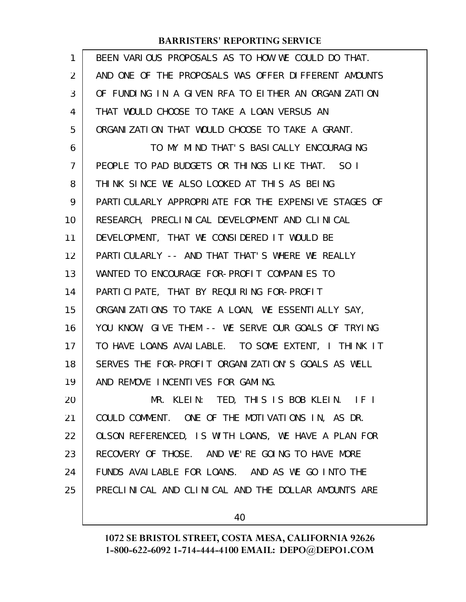| $\mathbf{1}$   | BEEN VARIOUS PROPOSALS AS TO HOW WE COULD DO THAT.    |
|----------------|-------------------------------------------------------|
| $\overline{2}$ | AND ONE OF THE PROPOSALS WAS OFFER DIFFERENT AMOUNTS  |
| 3              | OF FUNDING IN A GIVEN RFA TO EITHER AN ORGANIZATION   |
| 4              | THAT WOULD CHOOSE TO TAKE A LOAN VERSUS AN            |
| 5              | ORGANIZATION THAT WOULD CHOOSE TO TAKE A GRANT.       |
| 6              | TO MY MIND THAT'S BASICALLY ENCOURAGING               |
| $\overline{7}$ | PEOPLE TO PAD BUDGETS OR THINGS LIKE THAT. SO I       |
| 8              | THINK SINCE WE ALSO LOOKED AT THIS AS BEING           |
| 9              | PARTI CULARLY APPROPRIATE FOR THE EXPENSIVE STAGES OF |
| 10             | RESEARCH, PRECLINICAL DEVELOPMENT AND CLINICAL        |
| 11             | DEVELOPMENT, THAT WE CONSIDERED IT WOULD BE           |
| 12             | PARTICULARLY -- AND THAT THAT'S WHERE WE REALLY       |
| 13             | WANTED TO ENCOURAGE FOR-PROFIT COMPANIES TO           |
| 14             | PARTICIPATE, THAT BY REQUIRING FOR-PROFIT             |
| 15             | ORGANIZATIONS TO TAKE A LOAN, WE ESSENTIALLY SAY,     |
| 16             | YOU KNOW, GIVE THEM -- WE SERVE OUR GOALS OF TRYING   |
| 17             | TO HAVE LOANS AVAILABLE. TO SOME EXTENT, I THINK IT   |
| 18             | SERVES THE FOR-PROFIT ORGANIZATION'S GOALS AS WELL    |
| 19             | AND REMOVE INCENTIVES FOR GAMING.                     |
| 20             | MR. KLEIN: TED, THIS IS BOB KLEIN. IF I               |
| 21             | COULD COMMENT. ONE OF THE MOTIVATIONS IN, AS DR.      |
| 22             | OLSON REFERENCED, IS WITH LOANS, WE HAVE A PLAN FOR   |
| 23             | RECOVERY OF THOSE. AND WE'RE GOING TO HAVE MORE       |
| 24             | FUNDS AVAILABLE FOR LOANS. AND AS WE GO INTO THE      |
| 25             | PRECLINICAL AND CLINICAL AND THE DOLLAR AMOUNTS ARE   |
|                |                                                       |

40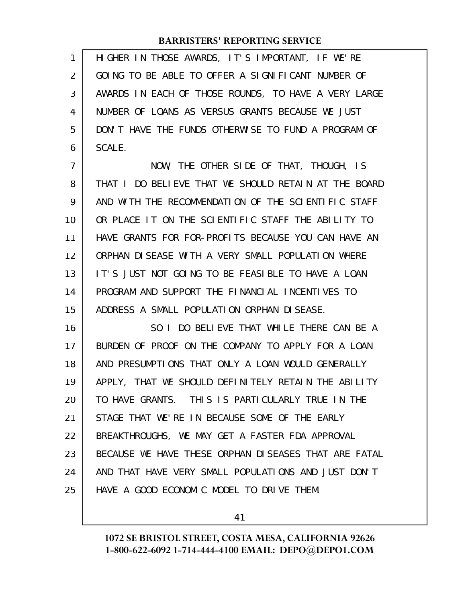| 1              | HIGHER IN THOSE AWARDS, IT'S IMPORTANT, IF WE'RE     |
|----------------|------------------------------------------------------|
| 2              | GOING TO BE ABLE TO OFFER A SIGNIFICANT NUMBER OF    |
| 3              | AWARDS IN EACH OF THOSE ROUNDS, TO HAVE A VERY LARGE |
| 4              | NUMBER OF LOANS AS VERSUS GRANTS BECAUSE WE JUST     |
| 5              | DON'T HAVE THE FUNDS OTHERWISE TO FUND A PROGRAM OF  |
| 6              | SCALE.                                               |
| $\overline{7}$ | NOW, THE OTHER SIDE OF THAT, THOUGH, IS              |
| 8              | THAT I DO BELIEVE THAT WE SHOULD RETAIN AT THE BOARD |
| 9              | AND WITH THE RECOMMENDATION OF THE SCIENTIFIC STAFF  |
| 10             | OR PLACE IT ON THE SCIENTIFIC STAFF THE ABILITY TO   |
| 11             | HAVE GRANTS FOR FOR-PROFITS BECAUSE YOU CAN HAVE AN  |
| 12             | ORPHAN DISEASE WITH A VERY SMALL POPULATION WHERE    |
| 13             | IT'S JUST NOT GOING TO BE FEASIBLE TO HAVE A LOAN    |
| 14             | PROGRAM AND SUPPORT THE FINANCIAL INCENTIVES TO      |
| 15             | ADDRESS A SMALL POPULATION ORPHAN DISEASE.           |
| 16             | SO I DO BELIEVE THAT WHILE THERE CAN BE A            |
| 17             | BURDEN OF PROOF ON THE COMPANY TO APPLY FOR A LOAN   |
| 18             | AND PRESUMPTIONS THAT ONLY A LOAN WOULD GENERALLY    |
| 19             | APPLY, THAT WE SHOULD DEFINITELY RETAIN THE ABILITY  |
| 20             | TO HAVE GRANTS. THIS IS PARTICULARLY TRUE IN THE     |
| 21             | STAGE THAT WE'RE IN BECAUSE SOME OF THE EARLY        |
| 22             | BREAKTHROUGHS, WE MAY GET A FASTER FDA APPROVAL      |
| 23             | BECAUSE WE HAVE THESE ORPHAN DISEASES THAT ARE FATAL |
| 24             | AND THAT HAVE VERY SMALL POPULATIONS AND JUST DON'T  |
| 25             | HAVE A GOOD ECONOMIC MODEL TO DRIVE THEM.            |
|                |                                                      |

41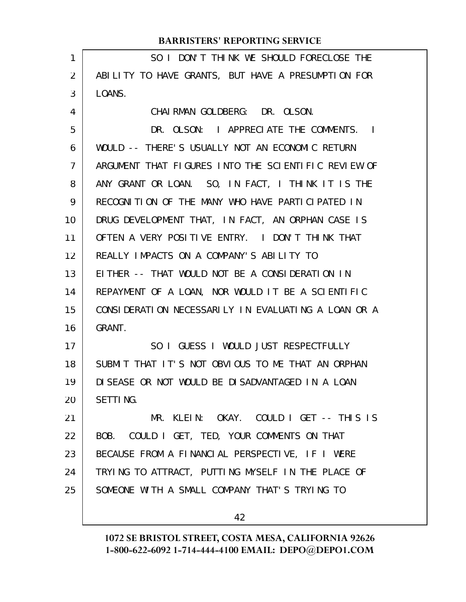| 1              | SO I DON'T THINK WE SHOULD FORECLOSE THE            |
|----------------|-----------------------------------------------------|
| $\overline{2}$ | ABILITY TO HAVE GRANTS, BUT HAVE A PRESUMPTION FOR  |
| 3              | LOANS.                                              |
| 4              | CHAI RMAN GOLDBERG: DR. OLSON.                      |
| 5              | DR. OLSON: I APPRECIATE THE COMMENTS. I             |
| 6              | WOULD -- THERE'S USUALLY NOT AN ECONOMIC RETURN     |
| $\overline{7}$ | ARGUMENT THAT FIGURES INTO THE SCIENTIFIC REVIEW OF |
| 8              | ANY GRANT OR LOAN. SO, IN FACT, I THINK IT IS THE   |
| 9              | RECOGNITION OF THE MANY WHO HAVE PARTICIPATED IN    |
| 10             | DRUG DEVELOPMENT THAT, IN FACT, AN ORPHAN CASE IS   |
| 11             | OFTEN A VERY POSITIVE ENTRY. I DON'T THINK THAT     |
| 12             | REALLY IMPACTS ON A COMPANY'S ABILITY TO            |
| 13             | EITHER -- THAT WOULD NOT BE A CONSIDERATION IN      |
| 14             | REPAYMENT OF A LOAN, NOR WOULD IT BE A SCIENTIFIC   |
| 15             | CONSIDERATION NECESSARILY IN EVALUATING A LOAN OR A |
| 16             | GRANT.                                              |
| 17             | SO I GUESS I WOULD JUST RESPECTFULLY                |
| 18             | SUBMIT THAT IT'S NOT OBVIOUS TO ME THAT AN ORPHAN   |
| 19             | DI SEASE OR NOT WOULD BE DI SADVANTAGED IN A LOAN   |
| 20             | SETTING.                                            |
| 21             | MR. KLEIN: OKAY. COULD I GET -- THIS IS             |
| 22             | BOB. COULD I GET, TED, YOUR COMMENTS ON THAT        |
| 23             | BECAUSE FROM A FINANCIAL PERSPECTIVE, IF I WERE     |
| 24             | TRYING TO ATTRACT, PUTTING MYSELF IN THE PLACE OF   |
| 25             | SOMEONE WITH A SMALL COMPANY THAT'S TRYING TO       |
|                |                                                     |
|                | 42                                                  |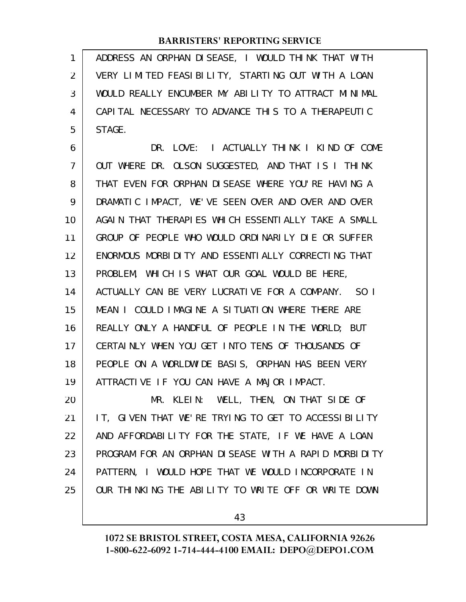ADDRESS AN ORPHAN DISEASE, I WOULD THINK THAT WITH VERY LIMITED FEASIBILITY, STARTING OUT WITH A LOAN WOULD REALLY ENCUMBER MY ABILITY TO ATTRACT MINIMAL CAPITAL NECESSARY TO ADVANCE THIS TO A THERAPEUTIC STAGE. 1 2 3 4 5

DR. LOVE: I ACTUALLY THINK I KIND OF COME OUT WHERE DR. OLSON SUGGESTED, AND THAT IS I THINK THAT EVEN FOR ORPHAN DISEASE WHERE YOU'RE HAVING A DRAMATIC IMPACT, WE'VE SEEN OVER AND OVER AND OVER AGAIN THAT THERAPIES WHICH ESSENTIALLY TAKE A SMALL GROUP OF PEOPLE WHO WOULD ORDINARILY DIE OR SUFFER ENORMOUS MORBIDITY AND ESSENTIALLY CORRECTING THAT PROBLEM, WHICH IS WHAT OUR GOAL WOULD BE HERE, ACTUALLY CAN BE VERY LUCRATIVE FOR A COMPANY. SO I MEAN I COULD IMAGINE A SITUATION WHERE THERE ARE REALLY ONLY A HANDFUL OF PEOPLE IN THE WORLD; BUT CERTAINLY WHEN YOU GET INTO TENS OF THOUSANDS OF PEOPLE ON A WORLDWIDE BASIS, ORPHAN HAS BEEN VERY ATTRACTIVE IF YOU CAN HAVE A MAJOR IMPACT. 6 7 8 9 10 11 12 13 14 15 16 17 18 19

MR. KLEIN: WELL, THEN, ON THAT SIDE OF IT, GIVEN THAT WE'RE TRYING TO GET TO ACCESSIBILITY AND AFFORDABILITY FOR THE STATE, IF WE HAVE A LOAN PROGRAM FOR AN ORPHAN DISEASE WITH A RAPID MORBIDITY PATTERN, I WOULD HOPE THAT WE WOULD INCORPORATE IN OUR THINKING THE ABILITY TO WRITE OFF OR WRITE DOWN 20 21 22 23 24 25

43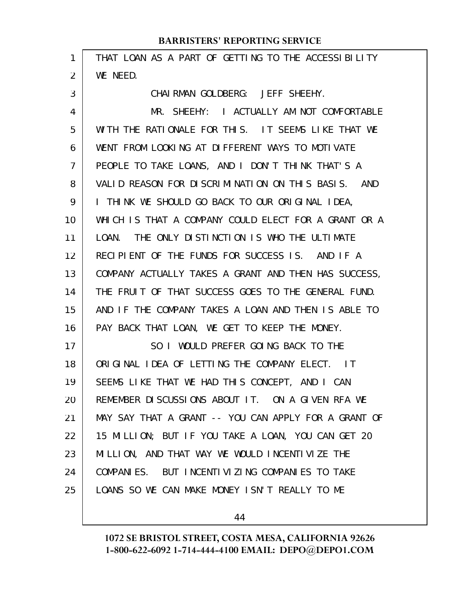| 1  | THAT LOAN AS A PART OF GETTING TO THE ACCESSIBILITY           |
|----|---------------------------------------------------------------|
| 2  | WE NEED.                                                      |
| 3  | CHAIRMAN GOLDBERG: JEFF SHEEHY.                               |
| 4  | MR. SHEEHY: I ACTUALLY AM NOT COMFORTABLE                     |
| 5  | WITH THE RATIONALE FOR THIS. IT SEEMS LIKE THAT WE            |
| 6  | WENT FROM LOOKING AT DIFFERENT WAYS TO MOTIVATE               |
| 7  | PEOPLE TO TAKE LOANS, AND I DON'T THINK THAT'S A              |
| 8  | VALID REASON FOR DISCRIMINATION ON THIS BASIS. AND            |
| 9  | I THINK WE SHOULD GO BACK TO OUR ORIGINAL IDEA,               |
| 10 | WHICH IS THAT A COMPANY COULD ELECT FOR A GRANT OR A          |
| 11 | LOAN. THE ONLY DISTINCTION IS WHO THE ULTIMATE                |
| 12 | RECIPIENT OF THE FUNDS FOR SUCCESS IS. AND IF A               |
| 13 | COMPANY ACTUALLY TAKES A GRANT AND THEN HAS SUCCESS,          |
| 14 | THE FRUIT OF THAT SUCCESS GOES TO THE GENERAL FUND.           |
| 15 | AND IF THE COMPANY TAKES A LOAN AND THEN IS ABLE TO           |
| 16 | PAY BACK THAT LOAN, WE GET TO KEEP THE MONEY.                 |
| 17 | SO I WOULD PREFER GOING BACK TO THE                           |
| 18 | ORIGINAL IDEA OF LETTING THE COMPANY ELECT.<br>$\overline{1}$ |
| 19 | SEEMS LIKE THAT WE HAD THIS CONCEPT, AND I CAN                |
| 20 | REMEMBER DISCUSSIONS ABOUT IT. ON A GIVEN RFA WE              |
| 21 | MAY SAY THAT A GRANT -- YOU CAN APPLY FOR A GRANT OF          |
| 22 | 15 MILLION; BUT IF YOU TAKE A LOAN, YOU CAN GET 20            |
| 23 | MILLION, AND THAT WAY WE WOULD INCENTIVIZE THE                |
| 24 | COMPANIES. BUT INCENTIVIZING COMPANIES TO TAKE                |
| 25 | LOANS SO WE CAN MAKE MONEY ISN'T REALLY TO ME                 |
|    |                                                               |

44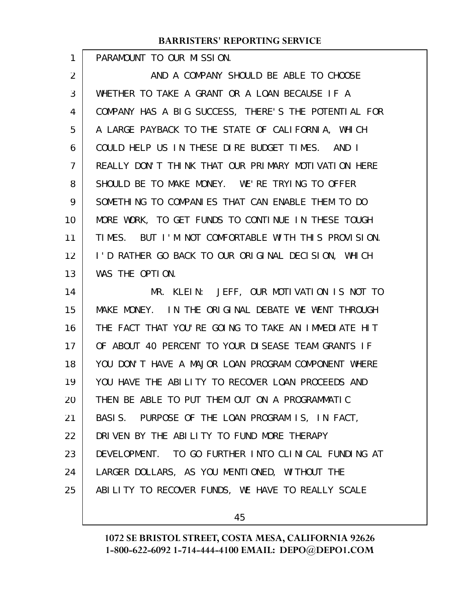PARAMOUNT TO OUR MISSION.

1

AND A COMPANY SHOULD BE ABLE TO CHOOSE WHETHER TO TAKE A GRANT OR A LOAN BECAUSE IF A COMPANY HAS A BIG SUCCESS, THERE'S THE POTENTIAL FOR A LARGE PAYBACK TO THE STATE OF CALIFORNIA, WHICH COULD HELP US IN THESE DIRE BUDGET TIMES. AND I REALLY DON'T THINK THAT OUR PRIMARY MOTIVATION HERE SHOULD BE TO MAKE MONEY. WE'RE TRYING TO OFFER SOMETHING TO COMPANIES THAT CAN ENABLE THEM TO DO MORE WORK, TO GET FUNDS TO CONTINUE IN THESE TOUGH TIMES. BUT I'M NOT COMFORTABLE WITH THIS PROVISION. I'D RATHER GO BACK TO OUR ORIGINAL DECISION, WHICH WAS THE OPTION. MR. KLEIN: JEFF, OUR MOTIVATION IS NOT TO MAKE MONEY. IN THE ORIGINAL DEBATE WE WENT THROUGH 2 3 4 5 6 7 8 9 10 11 12 13 14 15

THE FACT THAT YOU'RE GOING TO TAKE AN IMMEDIATE HIT OF ABOUT 40 PERCENT TO YOUR DISEASE TEAM GRANTS IF YOU DON'T HAVE A MAJOR LOAN PROGRAM COMPONENT WHERE YOU HAVE THE ABILITY TO RECOVER LOAN PROCEEDS AND THEN BE ABLE TO PUT THEM OUT ON A PROGRAMMATIC BASIS. PURPOSE OF THE LOAN PROGRAM IS, IN FACT, DRIVEN BY THE ABILITY TO FUND MORE THERAPY DEVELOPMENT. TO GO FURTHER INTO CLINICAL FUNDING AT LARGER DOLLARS, AS YOU MENTIONED, WITHOUT THE ABILITY TO RECOVER FUNDS, WE HAVE TO REALLY SCALE 16 17 18 19 20 21 22 23 24 25

45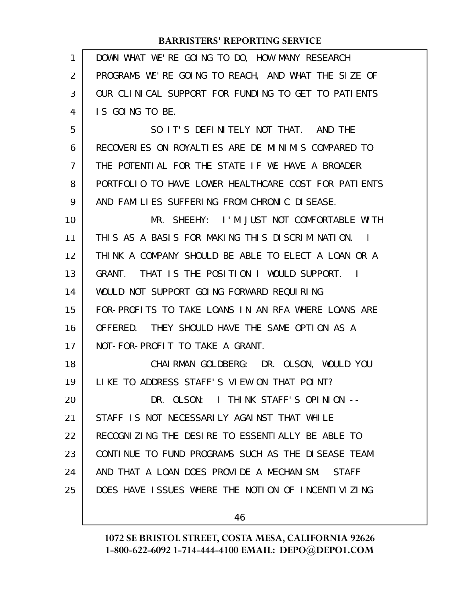| 1  | DOWN WHAT WE'RE GOING TO DO, HOW MANY RESEARCH            |
|----|-----------------------------------------------------------|
| 2  | PROGRAMS WE'RE GOING TO REACH, AND WHAT THE SIZE OF       |
| 3  | OUR CLINICAL SUPPORT FOR FUNDING TO GET TO PATIENTS       |
| 4  | IS GOING TO BE.                                           |
| 5  | SO IT'S DEFINITELY NOT THAT. AND THE                      |
| 6  | RECOVERIES ON ROYALTIES ARE DE MINIMIS COMPARED TO        |
| 7  | THE POTENTIAL FOR THE STATE IF WE HAVE A BROADER          |
| 8  | PORTFOLIO TO HAVE LOWER HEALTHCARE COST FOR PATIENTS      |
| 9  | AND FAMILIES SUFFERING FROM CHRONIC DISEASE.              |
| 10 | MR. SHEEHY: I'M JUST NOT COMFORTABLE WITH                 |
| 11 | THIS AS A BASIS FOR MAKING THIS DISCRIMINATION. I         |
| 12 | THINK A COMPANY SHOULD BE ABLE TO ELECT A LOAN OR A       |
| 13 | GRANT. THAT IS THE POSITION I WOULD SUPPORT. I            |
| 14 | WOULD NOT SUPPORT GOING FORWARD REQUIRING                 |
| 15 | FOR-PROFITS TO TAKE LOANS IN AN RFA WHERE LOANS ARE       |
| 16 | OFFERED. THEY SHOULD HAVE THE SAME OPTION AS A            |
| 17 | NOT-FOR-PROFIT TO TAKE A GRANT.                           |
| 18 | CHAIRMAN GOLDBERG: DR. OLSON, WOULD YOU                   |
| 19 | LIKE TO ADDRESS STAFF'S VIEW ON THAT POINT?               |
| 20 | DR. OLSON: I THINK STAFF'S OPINION --                     |
| 21 | STAFF IS NOT NECESSARILY AGAINST THAT WHILE               |
| 22 | RECOGNIZING THE DESIRE TO ESSENTIALLY BE ABLE TO          |
| 23 | CONTINUE TO FUND PROGRAMS SUCH AS THE DISEASE TEAM        |
| 24 | AND THAT A LOAN DOES PROVIDE A MECHANISM.<br><b>STAFF</b> |
| 25 | DOES HAVE ISSUES WHERE THE NOTION OF INCENTIVIZING        |
|    | 46                                                        |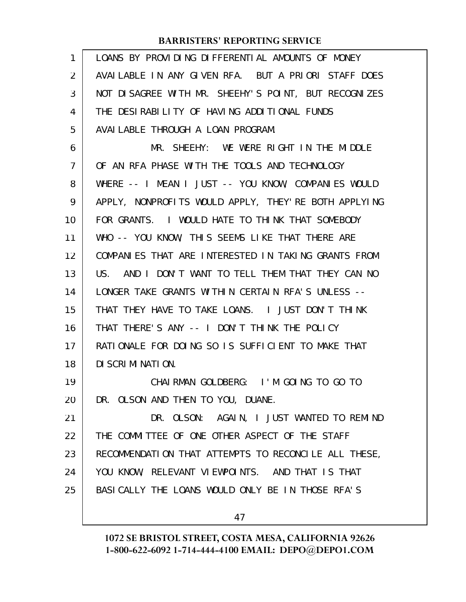| 1              | LOANS BY PROVIDING DIFFERENTIAL AMOUNTS OF MONEY     |
|----------------|------------------------------------------------------|
| 2              | AVAILABLE IN ANY GIVEN RFA. BUT A PRIORI STAFF DOES  |
| 3              | NOT DISAGREE WITH MR. SHEEHY'S POINT, BUT RECOGNIZES |
| 4              | THE DESIRABILITY OF HAVING ADDITIONAL FUNDS          |
| 5              | AVAI LABLE THROUGH A LOAN PROGRAM.                   |
| 6              | MR. SHEEHY: WE WERE RIGHT IN THE MIDDLE              |
| $\overline{7}$ | OF AN RFA PHASE WITH THE TOOLS AND TECHNOLOGY        |
| 8              | WHERE -- I MEAN I JUST -- YOU KNOW, COMPANIES WOULD  |
| 9              | APPLY, NONPROFITS WOULD APPLY, THEY'RE BOTH APPLYING |
| 10             | FOR GRANTS. I WOULD HATE TO THINK THAT SOMEBODY      |
| 11             | WHO -- YOU KNOW, THIS SEEMS LIKE THAT THERE ARE      |
| 12             | COMPANIES THAT ARE INTERESTED IN TAKING GRANTS FROM  |
| 13             | US. AND I DON'T WANT TO TELL THEM THAT THEY CAN NO   |
| 14             | LONGER TAKE GRANTS WITHIN CERTAIN RFA'S UNLESS --    |
| 15             | THAT THEY HAVE TO TAKE LOANS. I JUST DON'T THINK     |
| 16             | THAT THERE'S ANY -- I DON'T THINK THE POLICY         |
| 17             | RATIONALE FOR DOING SO IS SUFFICIENT TO MAKE THAT    |
| 18             | DI SCRI MI NATI ON.                                  |
| 19             | CHAIRMAN GOLDBERG: I'M GOING TO GO TO                |
| 20             | DR. OLSON AND THEN TO YOU, DUANE.                    |
| 21             | DR. OLSON: AGAIN, I JUST WANTED TO REMIND            |
| 22             | THE COMMITTEE OF ONE OTHER ASPECT OF THE STAFF       |
| 23             | RECOMMENDATION THAT ATTEMPTS TO RECONCILE ALL THESE, |
| 24             | YOU KNOW, RELEVANT VIEWPOINTS. AND THAT IS THAT      |
| 25             | BASI CALLY THE LOANS WOULD ONLY BE IN THOSE RFA'S    |
|                | 47                                                   |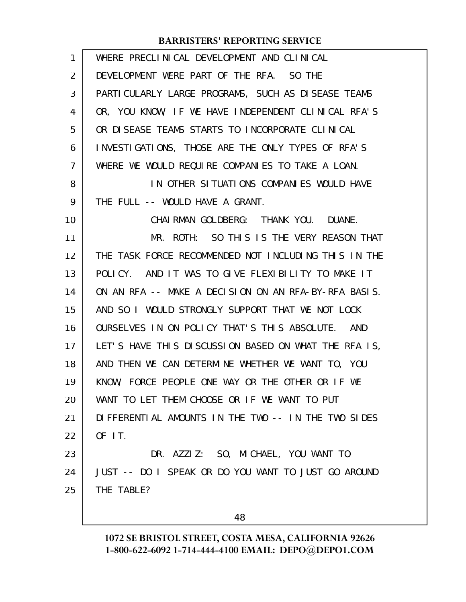| 1              | WHERE PRECLINICAL DEVELOPMENT AND CLINICAL           |
|----------------|------------------------------------------------------|
| 2              | DEVELOPMENT WERE PART OF THE RFA. SO THE             |
| 3              | PARTI CULARLY LARGE PROGRAMS, SUCH AS DISEASE TEAMS  |
| 4              | OR, YOU KNOW, IF WE HAVE INDEPENDENT CLINICAL RFA'S  |
| 5              | OR DISEASE TEAMS STARTS TO INCORPORATE CLINICAL      |
| 6              | INVESTIGATIONS, THOSE ARE THE ONLY TYPES OF RFA'S    |
| $\overline{7}$ | WHERE WE WOULD REQUIRE COMPANIES TO TAKE A LOAN.     |
| 8              | IN OTHER SITUATIONS COMPANIES WOULD HAVE             |
| 9              | THE FULL -- WOULD HAVE A GRANT.                      |
| 10             | CHAI RMAN GOLDBERG: THANK YOU. DUANE.                |
| 11             | MR. ROTH: SO THIS IS THE VERY REASON THAT            |
| 12             | THE TASK FORCE RECOMMENDED NOT INCLUDING THIS IN THE |
| 13             | POLICY. AND IT WAS TO GIVE FLEXIBILITY TO MAKE IT    |
| 14             | ON AN RFA -- MAKE A DECISION ON AN RFA-BY-RFA BASIS. |
| 15             | AND SO I WOULD STRONGLY SUPPORT THAT WE NOT LOCK     |
| 16             | OURSELVES IN ON POLICY THAT'S THIS ABSOLUTE. AND     |
| 17             | LET'S HAVE THIS DISCUSSION BASED ON WHAT THE RFA IS, |
| 18             | AND THEN WE CAN DETERMINE WHETHER WE WANT TO, YOU    |
| 19             | KNOW, FORCE PEOPLE ONE WAY OR THE OTHER OR IF WE     |
| 20             | WANT TO LET THEM CHOOSE OR IF WE WANT TO PUT         |
| 21             | DIFFERENTIAL AMOUNTS IN THE TWO -- IN THE TWO SIDES  |
| 22             | OF IT.                                               |
| 23             | DR. AZZIZ: SO, MICHAEL, YOU WANT TO                  |
| 24             | JUST -- DO I SPEAK OR DO YOU WANT TO JUST GO AROUND  |
| 25             | THE TABLE?                                           |
|                |                                                      |

48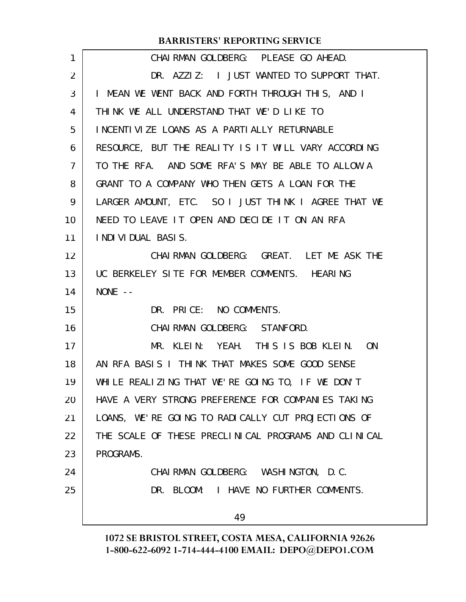| 1              | CHAIRMAN GOLDBERG: PLEASE GO AHEAD.                  |
|----------------|------------------------------------------------------|
| $\overline{2}$ | DR. AZZIZ: I JUST WANTED TO SUPPORT THAT.            |
| 3              | I MEAN WE WENT BACK AND FORTH THROUGH THIS, AND I    |
| 4              | THINK WE ALL UNDERSTAND THAT WE'D LIKE TO            |
| 5              | INCENTIVIZE LOANS AS A PARTIALLY RETURNABLE          |
| 6              | RESOURCE, BUT THE REALITY IS IT WILL VARY ACCORDING  |
| $\overline{7}$ | TO THE RFA. AND SOME RFA'S MAY BE ABLE TO ALLOW A    |
| 8              | GRANT TO A COMPANY WHO THEN GETS A LOAN FOR THE      |
| 9              | LARGER AMOUNT, ETC. SO I JUST THINK I AGREE THAT WE  |
| 10             | NEED TO LEAVE IT OPEN AND DECIDE IT ON AN RFA        |
| 11             | <b>INDIVIDUAL BASIS.</b>                             |
| 12             | CHAIRMAN GOLDBERG: GREAT. LET ME ASK THE             |
| 13             | UC BERKELEY SITE FOR MEMBER COMMENTS. HEARING        |
| 14             | NONE $--$                                            |
| 15             | DR. PRICE: NO COMMENTS.                              |
| 16             | CHAI RMAN GOLDBERG: STANFORD.                        |
| 17             | MR. KLEIN: YEAH. THIS IS BOB KLEIN. ON               |
| 18             | AN RFA BASIS I THINK THAT MAKES SOME GOOD SENSE      |
| 19             | WHILE REALIZING THAT WE'RE GOING TO, IF WE DON'T     |
| 20             | HAVE A VERY STRONG PREFERENCE FOR COMPANIES TAKING   |
| 21             | LOANS, WE'RE GOING TO RADICALLY CUT PROJECTIONS OF   |
| 22             | THE SCALE OF THESE PRECLINICAL PROGRAMS AND CLINICAL |
| 23             | PROGRAMS.                                            |
| 24             | CHAI RMAN GOLDBERG: WASHI NGTON, D.C.                |
| 25             | DR. BLOOM: I HAVE NO FURTHER COMMENTS.               |
|                | 49                                                   |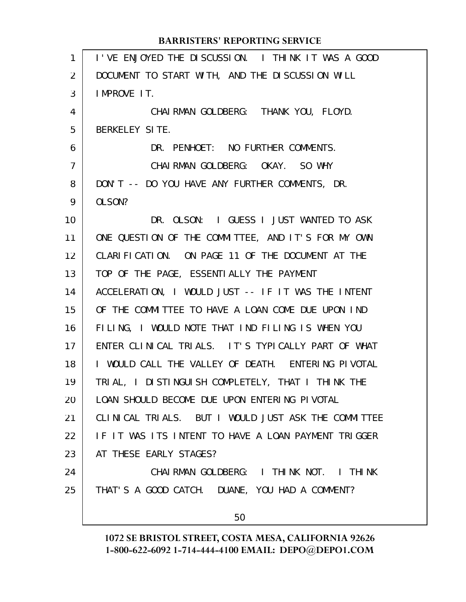|    | <b>BARRISTERS' REPORTING SERVICE</b>                |
|----|-----------------------------------------------------|
| 1  | I'VE ENJOYED THE DISCUSSION. I THINK IT WAS A GOOD  |
| 2  | DOCUMENT TO START WITH, AND THE DISCUSSION WILL     |
| 3  | IMPROVE IT.                                         |
| 4  | CHAIRMAN GOLDBERG: THANK YOU, FLOYD.                |
| 5  | BERKELEY SITE.                                      |
| 6  | DR. PENHOET: NO FURTHER COMMENTS.                   |
| 7  | CHAIRMAN GOLDBERG: OKAY. SO WHY                     |
| 8  | DON'T -- DO YOU HAVE ANY FURTHER COMMENTS, DR.      |
| 9  | OLSON?                                              |
| 10 | DR. OLSON: I GUESS I JUST WANTED TO ASK             |
| 11 | ONE QUESTION OF THE COMMITTEE, AND IT'S FOR MY OWN  |
| 12 | CLARIFICATION. ON PAGE 11 OF THE DOCUMENT AT THE    |
| 13 | TOP OF THE PAGE, ESSENTIALLY THE PAYMENT            |
| 14 | ACCELERATION, I WOULD JUST -- IF IT WAS THE INTENT  |
| 15 | OF THE COMMITTEE TO HAVE A LOAN COME DUE UPON IND   |
| 16 | FILING, I WOULD NOTE THAT IND FILING IS WHEN YOU    |
| 17 | ENTER CLINICAL TRIALS. IT'S TYPICALLY PART OF WHAT  |
| 18 | I WOULD CALL THE VALLEY OF DEATH. ENTERING PIVOTAL  |
| 19 | TRIAL, I DISTINGUISH COMPLETELY, THAT I THINK THE   |
| 20 | LOAN SHOULD BECOME DUE UPON ENTERING PIVOTAL        |
| 21 | CLINICAL TRIALS. BUT I WOULD JUST ASK THE COMMITTEE |
| 22 | IF IT WAS ITS INTENT TO HAVE A LOAN PAYMENT TRIGGER |
| 23 | AT THESE EARLY STAGES?                              |
| 24 | CHAIRMAN GOLDBERG: I THINK NOT. I THINK             |
| 25 | THAT'S A GOOD CATCH. DUANE, YOU HAD A COMMENT?      |
|    | 50                                                  |
|    |                                                     |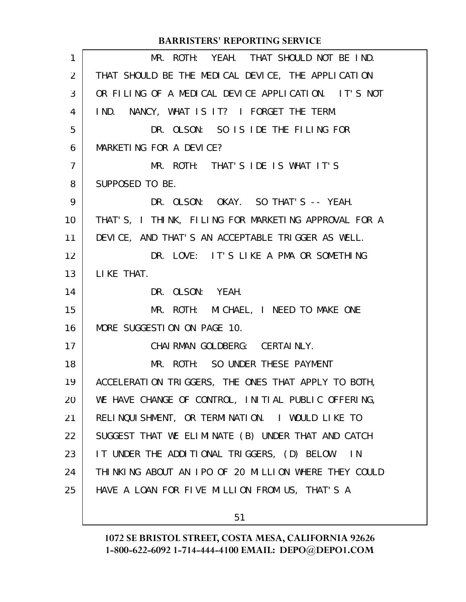|                | <b>BARRISTERS' REPORTING SERVICE</b>                 |
|----------------|------------------------------------------------------|
| 1              | MR. ROTH: YEAH. THAT SHOULD NOT BE IND.              |
| 2              | THAT SHOULD BE THE MEDICAL DEVICE, THE APPLICATION   |
| 3              | OR FILING OF A MEDICAL DEVICE APPLICATION. IT'S NOT  |
| 4              | IND. NANCY, WHAT IS IT? I FORGET THE TERM.           |
| 5              | DR. OLSON: SO IS IDE THE FILING FOR                  |
| 6              | MARKETING FOR A DEVICE?                              |
| $\overline{7}$ | MR. ROTH: THAT'S IDE IS WHAT IT'S                    |
| 8              | SUPPOSED TO BE.                                      |
| 9              | DR. OLSON: OKAY. SO THAT'S -- YEAH.                  |
| 10             | THAT'S, I THINK, FILING FOR MARKETING APPROVAL FOR A |
| 11             | DEVICE, AND THAT'S AN ACCEPTABLE TRIGGER AS WELL.    |
| 12             | DR. LOVE: IT'S LIKE A PMA OR SOMETHING               |
| 13             | LIKE THAT.                                           |
| 14             | DR. OLSON: YEAH.                                     |
| 15             | MR. ROTH: MICHAEL, I NEED TO MAKE ONE                |
| 16             | MORE SUGGESTION ON PAGE 10.                          |
| 17             | CHAI RMAN GOLDBERG: CERTAI NLY.                      |
| 18             | MR. ROTH: SO UNDER THESE PAYMENT                     |
| 19             | ACCELERATION TRIGGERS, THE ONES THAT APPLY TO BOTH,  |
| 20             | WE HAVE CHANGE OF CONTROL, INITIAL PUBLIC OFFERING,  |
| 21             | RELINQUISHMENT, OR TERMINATION. I WOULD LIKE TO      |
| 22             | SUGGEST THAT WE ELIMINATE (B) UNDER THAT AND CATCH   |
| 23             | IT UNDER THE ADDITIONAL TRIGGERS, (D) BELOW.<br>IN.  |
| 24             | THINKING ABOUT AN IPO OF 20 MILLION WHERE THEY COULD |
| 25             | HAVE A LOAN FOR FIVE MILLION FROM US, THAT'S A       |
|                |                                                      |

# 51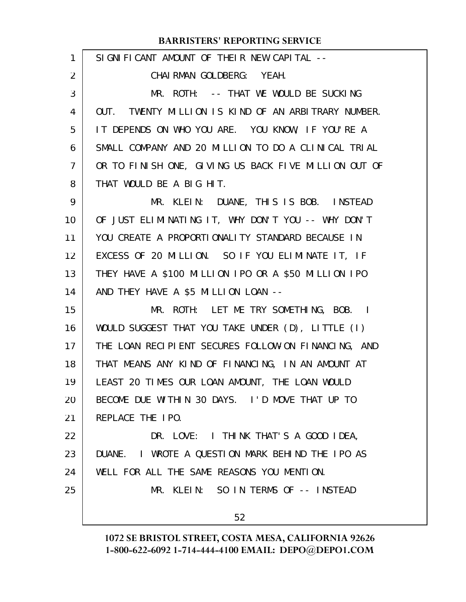| $\mathbf{1}$ | SIGNIFICANT AMOUNT OF THEIR NEW CAPITAL --           |
|--------------|------------------------------------------------------|
| 2            | CHAI RMAN GOLDBERG: YEAH.                            |
| 3            | MR. ROTH: -- THAT WE WOULD BE SUCKING                |
| 4            | OUT. TWENTY MILLION IS KIND OF AN ARBITRARY NUMBER.  |
| 5            | IT DEPENDS ON WHO YOU ARE. YOU KNOW, IF YOU'RE A     |
| 6            | SMALL COMPANY AND 20 MILLION TO DO A CLINICAL TRIAL  |
| 7            | OR TO FINISH ONE, GIVING US BACK FIVE MILLION OUT OF |
| 8            | THAT WOULD BE A BIG HIT.                             |
| 9            | MR. KLEIN: DUANE, THIS IS BOB. INSTEAD               |
| 10           | OF JUST ELIMINATING IT, WHY DON'T YOU -- WHY DON'T   |
| 11           | YOU CREATE A PROPORTIONALITY STANDARD BECAUSE IN     |
| 12           | EXCESS OF 20 MILLION. SO IF YOU ELIMINATE IT, IF     |
| 13           | THEY HAVE A \$100 MILLION IPO OR A \$50 MILLION IPO  |
| 14           | AND THEY HAVE A \$5 MILLION LOAN --                  |
| 15           | MR. ROTH: LET ME TRY SOMETHING, BOB. I               |
| 16           | WOULD SUGGEST THAT YOU TAKE UNDER (D), LITTLE (I)    |
| 17           | THE LOAN RECIPIENT SECURES FOLLOW-ON FINANCING, AND  |
| 18           | THAT MEANS ANY KIND OF FINANCING, IN AN AMOUNT AT    |
| 19           | LEAST 20 TIMES OUR LOAN AMOUNT, THE LOAN WOULD       |
| 20           | BECOME DUE WITHIN 30 DAYS. I'D MOVE THAT UP TO       |
| 21           | REPLACE THE IPO.                                     |
| 22           | DR. LOVE: I THINK THAT'S A GOOD IDEA,                |
| 23           | DUANE. I WROTE A QUESTION MARK BEHIND THE IPO AS     |
| 24           | WELL FOR ALL THE SAME REASONS YOU MENTION.           |
| 25           | MR. KLEIN: SO IN TERMS OF -- INSTEAD                 |
|              | 52                                                   |
|              |                                                      |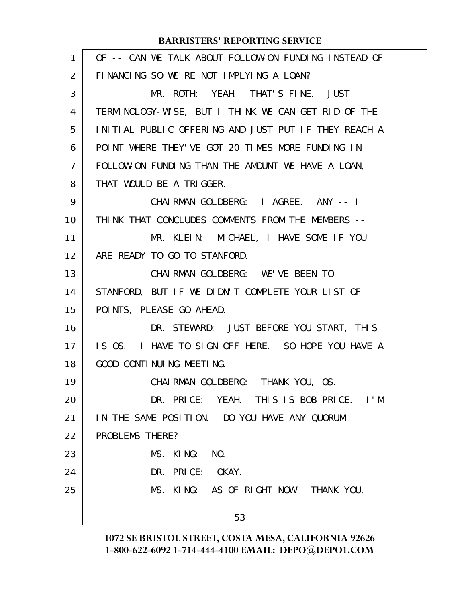| 1              | OF -- CAN WE TALK ABOUT FOLLOW-ON FUNDING INSTEAD OF |
|----------------|------------------------------------------------------|
| $\overline{2}$ | FINANCING SO WE'RE NOT IMPLYING A LOAN?              |
| 3              | MR. ROTH: YEAH. THAT'S FINE. JUST                    |
| 4              | TERMINOLOGY-WISE, BUT I THINK WE CAN GET RID OF THE  |
| 5              | INITIAL PUBLIC OFFERING AND JUST PUT IF THEY REACH A |
| 6              | POINT WHERE THEY'VE GOT 20 TIMES MORE FUNDING IN     |
| $\overline{7}$ | FOLLOW-ON FUNDING THAN THE AMOUNT WE HAVE A LOAN,    |
| 8              | THAT WOULD BE A TRIGGER.                             |
| 9              | CHAI RMAN GOLDBERG: I AGREE. ANY -- I                |
| 10             | THINK THAT CONCLUDES COMMENTS FROM THE MEMBERS --    |
| 11             | MR. KLEIN: MICHAEL, I HAVE SOME IF YOU               |
| 12             | ARE READY TO GO TO STANFORD.                         |
| 13             | CHAIRMAN GOLDBERG: WE'VE BEEN TO                     |
| 14             | STANFORD, BUT IF WE DIDN'T COMPLETE YOUR LIST OF     |
| 15             | POINTS, PLEASE GO AHEAD.                             |
| 16             | DR. STEWARD: JUST BEFORE YOU START, THIS             |
| 17             | IS OS. I HAVE TO SIGN OFF HERE. SO HOPE YOU HAVE A   |
| 18             | GOOD CONTINUING MEETING.                             |
| 19             | CHAI RMAN GOLDBERG: THANK YOU, OS.                   |
| 20             | DR. PRICE: YEAH. THIS IS BOB PRICE. I'M              |
| 21             | IN THE SAME POSITION. DO YOU HAVE ANY QUORUM         |
| 22             | PROBLEMS THERE?                                      |
| 23             | MS. KING:<br>NO.                                     |
| 24             | DR. PRICE: OKAY.                                     |
| 25             | MS. KING: AS OF RIGHT NOW. THANK YOU,                |
|                | 53                                                   |
|                |                                                      |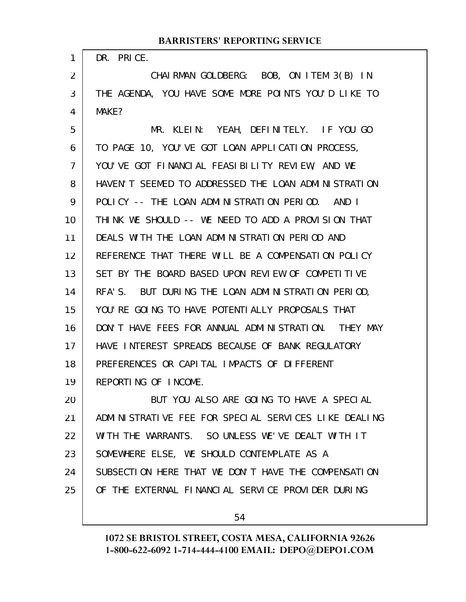| 1              | DR. PRICE.                                           |
|----------------|------------------------------------------------------|
| $\overline{2}$ | CHAIRMAN GOLDBERG: BOB, ON ITEM 3(B) IN              |
| 3              | THE AGENDA, YOU HAVE SOME MORE POINTS YOU'D LIKE TO  |
| 4              | MAKE?                                                |
| 5              | MR. KLEIN: YEAH, DEFINITELY. IF YOU GO               |
| 6              | TO PAGE 10, YOU'VE GOT LOAN APPLICATION PROCESS,     |
| $\overline{7}$ | YOU'VE GOT FINANCIAL FEASIBILITY REVIEW, AND WE      |
| 8              | HAVEN'T SEEMED TO ADDRESSED THE LOAN ADMINISTRATION  |
| 9              | POLICY -- THE LOAN ADMINISTRATION PERIOD. AND I      |
| 10             | THINK WE SHOULD -- WE NEED TO ADD A PROVISION THAT   |
| 11             | DEALS WITH THE LOAN ADMINISTRATION PERIOD AND        |
| 12             | REFERENCE THAT THERE WILL BE A COMPENSATION POLICY   |
| 13             | SET BY THE BOARD BASED UPON REVIEW OF COMPETITIVE    |
| 14             | RFA'S. BUT DURING THE LOAN ADMINISTRATION PERIOD,    |
| 15             | YOU'RE GOING TO HAVE POTENTIALLY PROPOSALS THAT      |
| 16             | DON'T HAVE FEES FOR ANNUAL ADMINISTRATION. THEY MAY  |
| 17             | HAVE INTEREST SPREADS BECAUSE OF BANK REGULATORY     |
| 18             | PREFERENCES OR CAPITAL IMPACTS OF DIFFERENT          |
| 19             | REPORTING OF INCOME.                                 |
| 20             | BUT YOU ALSO ARE GOING TO HAVE A SPECIAL             |
| 21             | ADMINISTRATIVE FEE FOR SPECIAL SERVICES LIKE DEALING |
| 22             | WITH THE WARRANTS. SO UNLESS WE'VE DEALT WITH IT     |
| 23             | SOMEWHERE ELSE, WE SHOULD CONTEMPLATE AS A           |
| 24             | SUBSECTION HERE THAT WE DON'T HAVE THE COMPENSATION  |
| 25             | OF THE EXTERNAL FINANCIAL SERVICE PROVIDER DURING    |
|                |                                                      |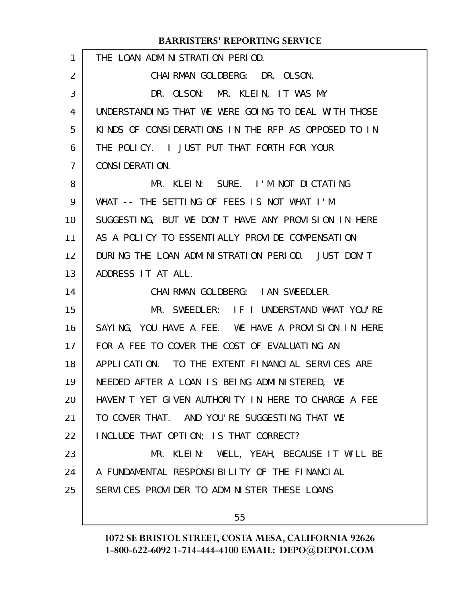| 1  | THE LOAN ADMINISTRATION PERIOD.                     |
|----|-----------------------------------------------------|
| 2  | CHAIRMAN GOLDBERG: DR. OLSON.                       |
| 3  | DR. OLSON: MR. KLEIN, IT WAS MY                     |
| 4  | UNDERSTANDING THAT WE WERE GOING TO DEAL WITH THOSE |
| 5  | KINDS OF CONSIDERATIONS IN THE RFP AS OPPOSED TO IN |
| 6  | THE POLICY. I JUST PUT THAT FORTH FOR YOUR          |
| 7  | CONSIDERATION.                                      |
| 8  | MR. KLEIN: SURE. I'M NOT DICTATING                  |
| 9  | WHAT -- THE SETTING OF FEES IS NOT WHAT I'M         |
| 10 | SUGGESTING, BUT WE DON'T HAVE ANY PROVISION IN HERE |
| 11 | AS A POLICY TO ESSENTIALLY PROVIDE COMPENSATION     |
| 12 | DURING THE LOAN ADMINISTRATION PERIOD. JUST DON'T   |
| 13 | ADDRESS IT AT ALL.                                  |
| 14 | CHAI RMAN GOLDBERG: I AN SWEEDLER.                  |
| 15 | MR. SWEEDLER: IF I UNDERSTAND WHAT YOU'RE           |
| 16 | SAYING, YOU HAVE A FEE. WE HAVE A PROVISION IN HERE |
| 17 | FOR A FEE TO COVER THE COST OF EVALUATING AN        |
| 18 | APPLICATION. TO THE EXTENT FINANCIAL SERVICES ARE   |
| 19 |                                                     |
|    | NEEDED AFTER A LOAN IS BEING ADMINISTERED, WE       |
| 20 | HAVEN'T YET GIVEN AUTHORITY IN HERE TO CHARGE A FEE |
| 21 | TO COVER THAT. AND YOU'RE SUGGESTING THAT WE        |
| 22 | INCLUDE THAT OPTION; IS THAT CORRECT?               |
| 23 | MR. KLEIN: WELL, YEAH, BECAUSE IT WILL BE           |
| 24 | A FUNDAMENTAL RESPONSIBILITY OF THE FINANCIAL       |
| 25 | SERVICES PROVIDER TO ADMINISTER THESE LOANS         |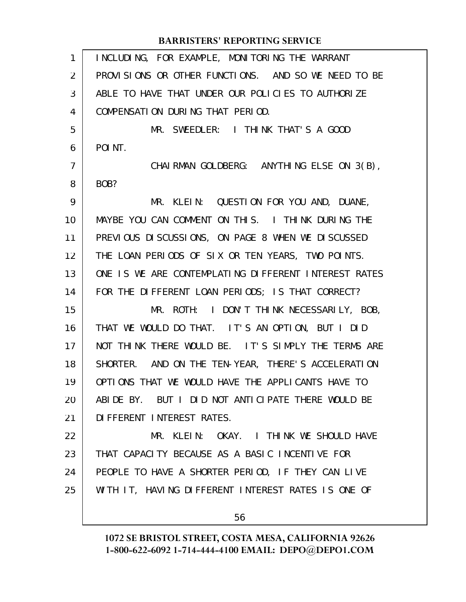| 1              | INCLUDING, FOR EXAMPLE, MONITORING THE WARRANT       |
|----------------|------------------------------------------------------|
| $\overline{2}$ | PROVISIONS OR OTHER FUNCTIONS. AND SO WE NEED TO BE  |
| 3              | ABLE TO HAVE THAT UNDER OUR POLICIES TO AUTHORIZE    |
| 4              | COMPENSATION DURING THAT PERIOD.                     |
| 5              | MR. SWEEDLER: I THINK THAT'S A GOOD                  |
| 6              | POI NT.                                              |
| 7              | CHAIRMAN GOLDBERG: ANYTHING ELSE ON 3(B),            |
| 8              | BOB?                                                 |
| 9              | MR. KLEIN: QUESTION FOR YOU AND, DUANE,              |
| 10             | MAYBE YOU CAN COMMENT ON THIS. I THINK DURING THE    |
| 11             | PREVIOUS DISCUSSIONS, ON PAGE 8 WHEN WE DISCUSSED    |
| 12             | THE LOAN PERIODS OF SIX OR TEN YEARS, TWO POINTS.    |
| 13             | ONE IS WE ARE CONTEMPLATING DIFFERENT INTEREST RATES |
| 14             | FOR THE DIFFERENT LOAN PERIODS; IS THAT CORRECT?     |
| 15             | MR. ROTH: I DON'T THINK NECESSARILY, BOB,            |
| 16             | THAT WE WOULD DO THAT. IT'S AN OPTION, BUT I DID     |
| 17             | NOT THINK THERE WOULD BE. IT'S SIMPLY THE TERMS ARE  |
| 18             | SHORTER. AND ON THE TEN-YEAR, THERE'S ACCELERATION   |
| 19             | OPTIONS THAT WE WOULD HAVE THE APPLICANTS HAVE TO    |
| 20             | ABIDE BY. BUT I DID NOT ANTICIPATE THERE WOULD BE    |
| 21             | DI FFERENT INTEREST RATES.                           |
| 22             | MR. KLEIN: OKAY. I THINK WE SHOULD HAVE              |
| 23             | THAT CAPACITY BECAUSE AS A BASIC INCENTIVE FOR       |
| 24             | PEOPLE TO HAVE A SHORTER PERIOD, IF THEY CAN LIVE    |
| 25             | WITH IT, HAVING DIFFERENT INTEREST RATES IS ONE OF   |
|                | 56                                                   |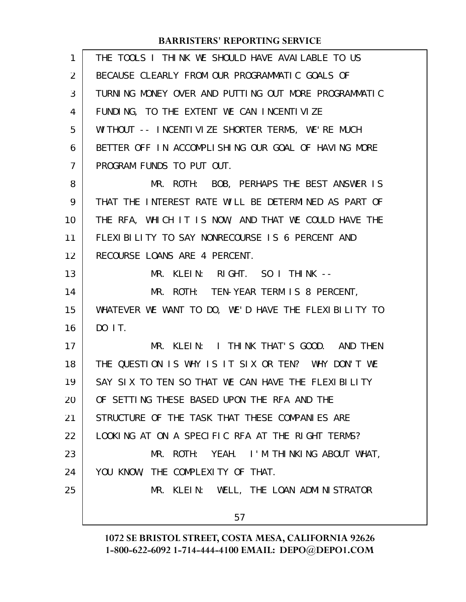| 1              | THE TOOLS I THINK WE SHOULD HAVE AVAILABLE TO US     |
|----------------|------------------------------------------------------|
| $\overline{2}$ | BECAUSE CLEARLY FROM OUR PROGRAMMATIC GOALS OF       |
| 3              | TURNING MONEY OVER AND PUTTING OUT MORE PROGRAMMATIC |
| 4              | FUNDING, TO THE EXTENT WE CAN INCENTIVIZE            |
| 5              | WITHOUT -- INCENTIVIZE SHORTER TERMS, WE'RE MUCH     |
| 6              | BETTER OFF IN ACCOMPLISHING OUR GOAL OF HAVING MORE  |
| $\overline{7}$ | PROGRAM FUNDS TO PUT OUT.                            |
| 8              | MR. ROTH: BOB, PERHAPS THE BEST ANSWER IS            |
| 9              | THAT THE INTEREST RATE WILL BE DETERMINED AS PART OF |
| 10             | THE RFA, WHICH IT IS NOW, AND THAT WE COULD HAVE THE |
| 11             | FLEXIBILITY TO SAY NONRECOURSE IS 6 PERCENT AND      |
| 12             | RECOURSE LOANS ARE 4 PERCENT.                        |
| 13             | MR. KLEIN: RIGHT. SO I THINK --                      |
| 14             | MR. ROTH: TEN-YEAR TERM IS 8 PERCENT,                |
| 15             | WHATEVER WE WANT TO DO, WE'D HAVE THE FLEXIBILITY TO |
| 16             | DO 1 T.                                              |
| 17             | MR. KLEIN: I THINK THAT'S GOOD. AND THEN             |
| 18             | THE QUESTION IS WHY IS IT SIX OR TEN? WHY DON'T WE   |
| 19             | SAY SIX TO TEN SO THAT WE CAN HAVE THE FLEXIBILITY   |
| 20             | OF SETTING THESE BASED UPON THE RFA AND THE          |
| 21             | STRUCTURE OF THE TASK THAT THESE COMPANIES ARE       |
| 22             | LOOKING AT ON A SPECIFIC RFA AT THE RIGHT TERMS?     |
| 23             | MR. ROTH: YEAH. I'M THINKING ABOUT WHAT,             |
| 24             | YOU KNOW, THE COMPLEXITY OF THAT.                    |
| 25             | MR. KLEIN: WELL, THE LOAN ADMINISTRATOR              |
|                | 57                                                   |
|                |                                                      |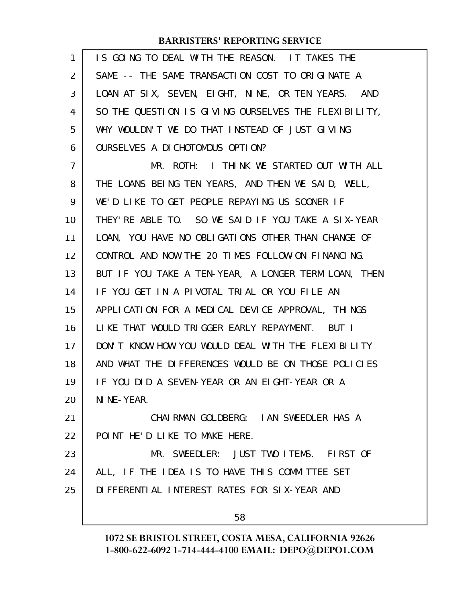| 1              | IS GOING TO DEAL WITH THE REASON. IT TAKES THE       |
|----------------|------------------------------------------------------|
| 2              | SAME -- THE SAME TRANSACTION COST TO ORIGINATE A     |
| 3              | LOAN AT SIX, SEVEN, EIGHT, NINE, OR TEN YEARS. AND   |
| 4              | SO THE QUESTION IS GIVING OURSELVES THE FLEXIBILITY, |
| 5              | WHY WOULDN'T WE DO THAT INSTEAD OF JUST GIVING       |
| 6              | OURSELVES A DICHOTOMOUS OPTION?                      |
| $\overline{7}$ | MR. ROTH: I THINK WE STARTED OUT WITH ALL            |
| 8              | THE LOANS BEING TEN YEARS, AND THEN WE SAID, WELL,   |
| 9              | WE'D LIKE TO GET PEOPLE REPAYING US SOONER IF        |
| 10             | THEY'RE ABLE TO. SO WE SAID IF YOU TAKE A SIX-YEAR   |
| 11             | LOAN, YOU HAVE NO OBLIGATIONS OTHER THAN CHANGE OF   |
| 12             | CONTROL AND NOW THE 20 TIMES FOLLOW-ON FINANCING.    |
| 13             | BUT IF YOU TAKE A TEN-YEAR, A LONGER TERM LOAN, THEN |
| 14             | IF YOU GET IN A PIVOTAL TRIAL OR YOU FILE AN         |
| 15             | APPLICATION FOR A MEDICAL DEVICE APPROVAL, THINGS    |
| 16             | LIKE THAT WOULD TRIGGER EARLY REPAYMENT. BUT I       |
| 17             | DON'T KNOW HOW YOU WOULD DEAL WITH THE FLEXIBILITY   |
| 18             | AND WHAT THE DIFFERENCES WOULD BE ON THOSE POLICIES  |
| 19             | IF YOU DID A SEVEN-YEAR OR AN EIGHT-YEAR OR A        |
| 20             | NI NE-YEAR.                                          |
| 21             | CHAIRMAN GOLDBERG: IAN SWEEDLER HAS A                |
| 22             | POINT HE'D LIKE TO MAKE HERE.                        |
| 23             | MR. SWEEDLER: JUST TWO ITEMS. FIRST OF               |
| 24             | ALL, IF THE IDEA IS TO HAVE THIS COMMITTEE SET       |
| 25             | DI FFERENTI AL INTEREST RATES FOR SIX-YEAR AND       |
|                | 58                                                   |
|                |                                                      |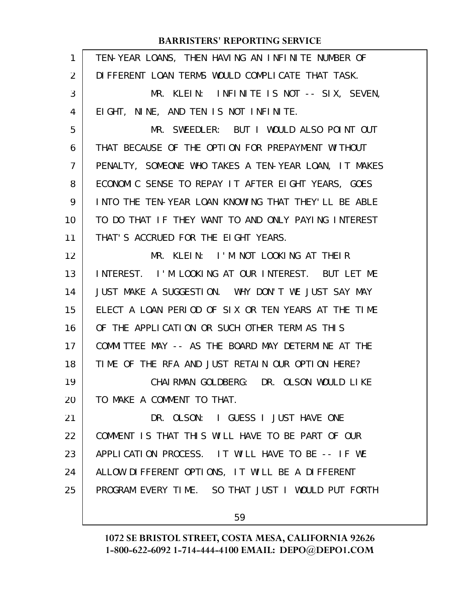| TEN-YEAR LOANS, THEN HAVING AN INFINITE NUMBER OF    |
|------------------------------------------------------|
| DI FFERENT LOAN TERMS WOULD COMPLICATE THAT TASK.    |
| MR. KLEIN: INFINITE IS NOT -- SIX, SEVEN,            |
| EIGHT, NINE, AND TEN IS NOT INFINITE.                |
| MR. SWEEDLER: BUT I WOULD ALSO POINT OUT             |
| THAT BECAUSE OF THE OPTION FOR PREPAYMENT WITHOUT    |
| PENALTY, SOMEONE WHO TAKES A TEN-YEAR LOAN, IT MAKES |
| ECONOMIC SENSE TO REPAY IT AFTER EIGHT YEARS, GOES   |
| INTO THE TEN-YEAR LOAN KNOWING THAT THEY'LL BE ABLE  |
| TO DO THAT IF THEY WANT TO AND ONLY PAYING INTEREST  |
| THAT'S ACCRUED FOR THE EIGHT YEARS.                  |
| MR. KLEIN: I'M NOT LOOKING AT THEIR                  |
| INTEREST. I'M LOOKING AT OUR INTEREST. BUT LET ME    |
| JUST MAKE A SUGGESTION. WHY DON'T WE JUST SAY MAY    |
| ELECT A LOAN PERIOD OF SIX OR TEN YEARS AT THE TIME  |
| OF THE APPLICATION OR SUCH OTHER TERM AS THIS        |
| COMMITTEE MAY -- AS THE BOARD MAY DETERMINE AT THE   |
| TIME OF THE RFA AND JUST RETAIN OUR OPTION HERE?     |
| CHAI RMAN GOLDBERG: DR. OLSON WOULD LIKE             |
| TO MAKE A COMMENT TO THAT.                           |
| DR. OLSON: I GUESS I JUST HAVE ONE                   |
| COMMENT IS THAT THIS WILL HAVE TO BE PART OF OUR     |
| APPLICATION PROCESS. IT WILL HAVE TO BE -- IF WE     |
| ALLOW DIFFERENT OPTIONS, IT WILL BE A DIFFERENT      |
| PROGRAM EVERY TIME. SO THAT JUST I WOULD PUT FORTH   |
| 59                                                   |
|                                                      |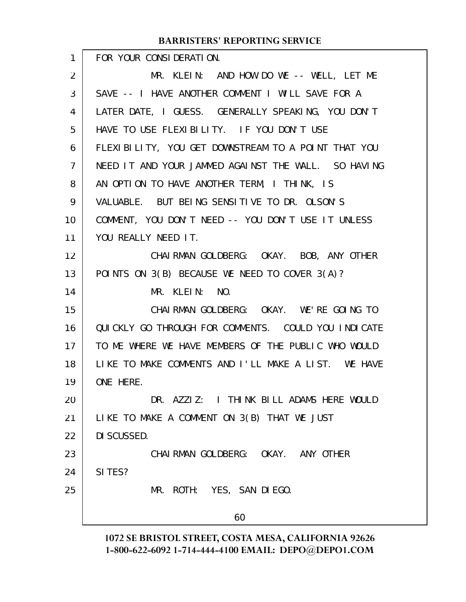| 1              | FOR YOUR CONSIDERATION.                             |
|----------------|-----------------------------------------------------|
| $\overline{2}$ | MR. KLEIN: AND HOW DO WE -- WELL, LET ME            |
| 3              | SAVE -- I HAVE ANOTHER COMMENT I WILL SAVE FOR A    |
| 4              | LATER DATE, I GUESS. GENERALLY SPEAKING, YOU DON'T  |
| 5              | HAVE TO USE FLEXIBILITY. IF YOU DON'T USE           |
| 6              | FLEXIBILITY, YOU GET DOWNSTREAM TO A POINT THAT YOU |
| $\overline{7}$ | NEED IT AND YOUR JAMMED AGAINST THE WALL. SO HAVING |
| 8              | AN OPTION TO HAVE ANOTHER TERM, I THINK, IS         |
| 9              | VALUABLE. BUT BEING SENSITIVE TO DR. OLSON'S        |
| 10             | COMMENT, YOU DON'T NEED -- YOU DON'T USE IT UNLESS  |
| 11             | YOU REALLY NEED IT.                                 |
| 12             | CHAIRMAN GOLDBERG: OKAY. BOB, ANY OTHER             |
| 13             | POINTS ON 3(B) BECAUSE WE NEED TO COVER 3(A)?       |
| 14             | MR. KLEIN: NO.                                      |
| 15             | CHAIRMAN GOLDBERG: OKAY. WE'RE GOING TO             |
| 16             | QUICKLY GO THROUGH FOR COMMENTS. COULD YOU INDICATE |
| 17             | TO ME WHERE WE HAVE MEMBERS OF THE PUBLIC WHO WOULD |
| 18             | LIKE TO MAKE COMMENTS AND I'LL MAKE A LIST. WE HAVE |
| 19             | ONE HERE.                                           |
| 20             | DR. AZZIZ: I THINK BILL ADAMS HERE WOULD            |
| 21             | LIKE TO MAKE A COMMENT ON 3(B) THAT WE JUST         |
| 22             | DI SCUSSED.                                         |
| 23             | CHAI RMAN GOLDBERG: OKAY. ANY OTHER                 |
| 24             | SI TES?                                             |
| 25             | MR. ROTH: YES, SAN DIEGO.                           |
|                | 60                                                  |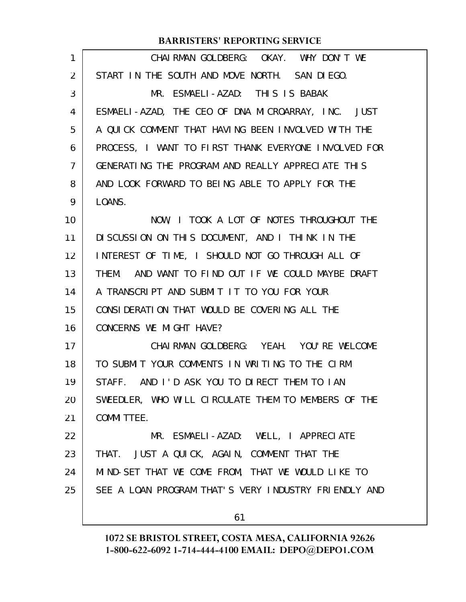| $\mathbf{1}$   | CHAIRMAN GOLDBERG: OKAY. WHY DON'T WE                |
|----------------|------------------------------------------------------|
| $\overline{2}$ | START IN THE SOUTH AND MOVE NORTH. SAN DIEGO.        |
| 3              | MR. ESMAELI-AZAD: THIS IS BABAK                      |
| 4              | ESMAELI-AZAD, THE CEO OF DNA MICROARRAY, INC. JUST   |
| 5              | A QUICK COMMENT THAT HAVING BEEN INVOLVED WITH THE   |
| 6              | PROCESS, I WANT TO FIRST THANK EVERYONE INVOLVED FOR |
| 7              | GENERATING THE PROGRAM AND REALLY APPRECIATE THIS    |
| 8              | AND LOOK FORWARD TO BEING ABLE TO APPLY FOR THE      |
| 9              | LOANS.                                               |
| 10             | NOW, I TOOK A LOT OF NOTES THROUGHOUT THE            |
| 11             | DISCUSSION ON THIS DOCUMENT, AND I THINK IN THE      |
| 12             | INTEREST OF TIME, I SHOULD NOT GO THROUGH ALL OF     |
| 13             | THEM. AND WANT TO FIND OUT IF WE COULD MAYBE DRAFT   |
| 14             | A TRANSCRIPT AND SUBMIT IT TO YOU FOR YOUR           |
| 15             | CONSIDERATION THAT WOULD BE COVERING ALL THE         |
| 16             | CONCERNS WE MIGHT HAVE?                              |
| 17             | CHAI RMAN GOLDBERG: YEAH. YOU'RE WELCOME             |
| 18             | TO SUBMIT YOUR COMMENTS IN WRITING TO THE CIRM       |
| 19             | STAFF. AND I'D ASK YOU TO DIRECT THEM TO IAN         |
| 20             | SWEEDLER, WHO WILL CIRCULATE THEM TO MEMBERS OF THE  |
| 21             | <b>COMMITTEE.</b>                                    |
| 22             | MR. ESMAELI-AZAD: WELL, I APPRECIATE                 |
| 23             | THAT. JUST A QUICK, AGAIN, COMMENT THAT THE          |
| 24             | MIND-SET THAT WE COME FROM, THAT WE WOULD LIKE TO    |
| 25             | SEE A LOAN PROGRAM THAT'S VERY INDUSTRY FRIENDLY AND |
|                | 61                                                   |
|                |                                                      |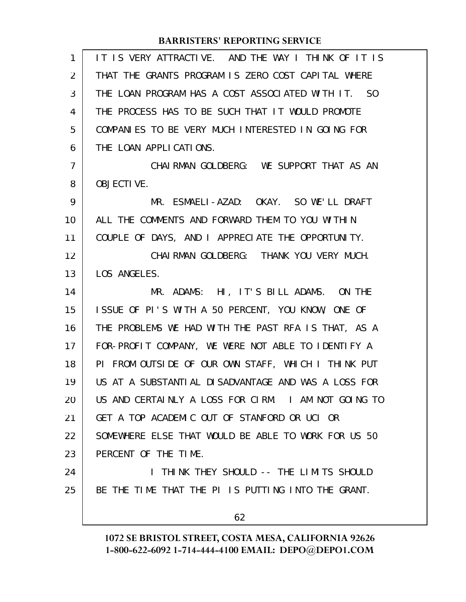| $\mathbf{1}$   | IT IS VERY ATTRACTIVE. AND THE WAY I THINK OF IT IS |
|----------------|-----------------------------------------------------|
| 2              | THAT THE GRANTS PROGRAM IS ZERO COST CAPITAL WHERE  |
| 3              | THE LOAN PROGRAM HAS A COST ASSOCIATED WITH IT. SO  |
| 4              | THE PROCESS HAS TO BE SUCH THAT IT WOULD PROMOTE    |
| 5              | COMPANIES TO BE VERY MUCH INTERESTED IN GOING FOR   |
| 6              | THE LOAN APPLICATIONS.                              |
| $\overline{7}$ | CHAIRMAN GOLDBERG: WE SUPPORT THAT AS AN            |
| 8              | <b>OBJECTIVE.</b>                                   |
| 9              | MR. ESMAELI-AZAD: OKAY. SO WE'LL DRAFT              |
| 10             | ALL THE COMMENTS AND FORWARD THEM TO YOU WITHIN     |
| 11             | COUPLE OF DAYS, AND I APPRECIATE THE OPPORTUNITY.   |
| 12             | CHAIRMAN GOLDBERG: THANK YOU VERY MUCH.             |
| 13             | LOS ANGELES.                                        |
| 14             | MR. ADAMS: HI, IT'S BILL ADAMS. ON THE              |
| 15             | ISSUE OF PI'S WITH A 50 PERCENT, YOU KNOW, ONE OF   |
| 16             | THE PROBLEMS WE HAD WITH THE PAST RFA IS THAT, AS A |
| 17             | FOR-PROFIT COMPANY, WE WERE NOT ABLE TO IDENTIFY A  |
| 18             | PI FROM OUTSIDE OF OUR OWN STAFF, WHICH I THINK PUT |
| 19             | US AT A SUBSTANTIAL DISADVANTAGE AND WAS A LOSS FOR |
| 20             | US AND CERTAINLY A LOSS FOR CIRM. I AM NOT GOING TO |
| 21             | GET A TOP ACADEMIC OUT OF STANFORD OR UCI OR        |
| 22             | SOMEWHERE ELSE THAT WOULD BE ABLE TO WORK FOR US 50 |
| 23             | PERCENT OF THE TIME.                                |
| 24             | I THINK THEY SHOULD -- THE LIMITS SHOULD            |
| 25             | BE THE TIME THAT THE PI IS PUTTING INTO THE GRANT.  |
|                | 62                                                  |
|                |                                                     |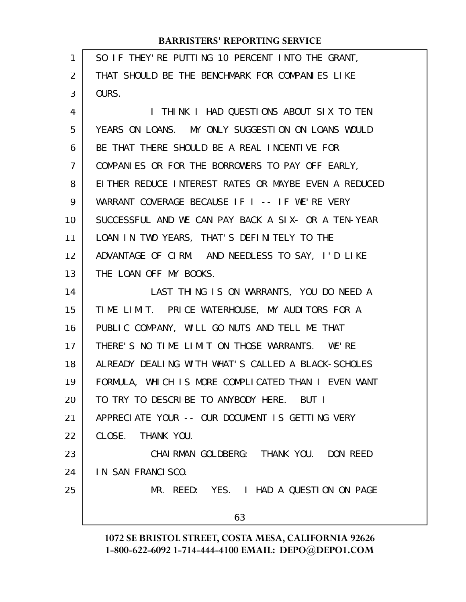| 1                 | SO IF THEY' RE PUTTING 10 PERCENT INTO THE GRANT,    |
|-------------------|------------------------------------------------------|
| 2                 | THAT SHOULD BE THE BENCHMARK FOR COMPANIES LIKE      |
| 3                 | OURS.                                                |
| 4                 | I THINK I HAD QUESTIONS ABOUT SIX TO TEN             |
| 5                 | YEARS ON LOANS. MY ONLY SUGGESTION ON LOANS WOULD    |
| 6                 | BE THAT THERE SHOULD BE A REAL INCENTIVE FOR         |
| $\overline{7}$    | COMPANIES OR FOR THE BORROWERS TO PAY OFF EARLY,     |
| 8                 | EITHER REDUCE INTEREST RATES OR MAYBE EVEN A REDUCED |
| 9                 | WARRANT COVERAGE BECAUSE IF I -- IF WE'RE VERY       |
| 10                | SUCCESSFUL AND WE CAN PAY BACK A SIX- OR A TEN-YEAR  |
| 11                | LOAN IN TWO YEARS, THAT'S DEFINITELY TO THE          |
| $12 \overline{ }$ | ADVANTAGE OF CIRM. AND NEEDLESS TO SAY, I'D LIKE     |
| 13                | THE LOAN OFF MY BOOKS.                               |
| 14                | LAST THING IS ON WARRANTS, YOU DO NEED A             |
| 15                | TIME LIMIT. PRICE WATERHOUSE, MY AUDITORS FOR A      |
| 16                | PUBLIC COMPANY, WILL GO NUTS AND TELL ME THAT        |
| 17                | THERE'S NO TIME LIMIT ON THOSE WARRANTS. WE'RE       |
| 18                | ALREADY DEALING WITH WHAT'S CALLED A BLACK-SCHOLES   |
| 19                | FORMULA, WHICH IS MORE COMPLICATED THAN I EVEN WANT  |
| 20                | TO TRY TO DESCRIBE TO ANYBODY HERE. BUT I            |
| 21                | APPRECIATE YOUR -- OUR DOCUMENT IS GETTING VERY      |
| 22                | CLOSE. THANK YOU.                                    |
| 23                | CHAI RMAN GOLDBERG: THANK YOU. DON REED              |
| 24                | IN SAN FRANCISCO.                                    |
| 25                | MR. REED: YES. I HAD A QUESTION ON PAGE              |
|                   | 63                                                   |
|                   |                                                      |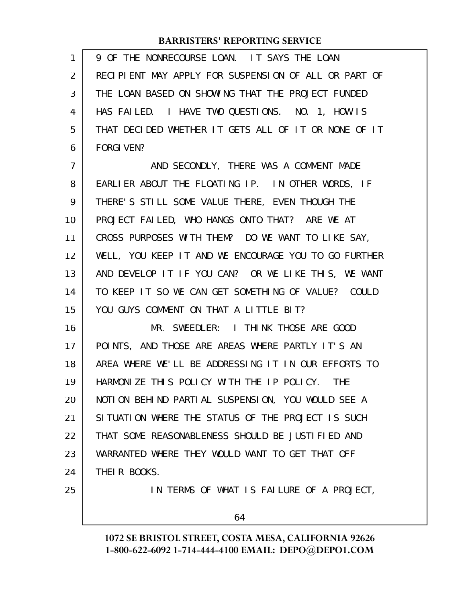| 1              | 9 OF THE NONRECOURSE LOAN. IT SAYS THE LOAN          |
|----------------|------------------------------------------------------|
| $\overline{2}$ | RECIPIENT MAY APPLY FOR SUSPENSION OF ALL OR PART OF |
| 3              | THE LOAN BASED ON SHOWING THAT THE PROJECT FUNDED    |
| 4              | HAS FAILED. I HAVE TWO QUESTIONS. NO. 1, HOW IS      |
| 5              | THAT DECIDED WHETHER IT GETS ALL OF IT OR NONE OF IT |
| 6              | <b>FORGI VEN?</b>                                    |
| $\overline{7}$ | AND SECONDLY, THERE WAS A COMMENT MADE               |
| 8              | EARLIER ABOUT THE FLOATING IP. IN OTHER WORDS, IF    |
| 9              | THERE'S STILL SOME VALUE THERE, EVEN THOUGH THE      |
| 10             | PROJECT FAILED, WHO HANGS ONTO THAT? ARE WE AT       |
| 11             | CROSS PURPOSES WITH THEM? DO WE WANT TO LIKE SAY,    |
| 12             | WELL, YOU KEEP IT AND WE ENCOURAGE YOU TO GO FURTHER |
| 13             | AND DEVELOP IT IF YOU CAN? OR WE LIKE THIS, WE WANT  |
| 14             | TO KEEP IT SO WE CAN GET SOMETHING OF VALUE? COULD   |
| 15             | YOU GUYS COMMENT ON THAT A LITTLE BIT?               |
| 16             | MR. SWEEDLER: I THINK THOSE ARE GOOD                 |
| 17             | POINTS, AND THOSE ARE AREAS WHERE PARTLY IT'S AN     |
| 18             | AREA WHERE WE'LL BE ADDRESSING IT IN OUR EFFORTS TO  |
| 19             | HARMONIZE THIS POLICY WITH THE IP POLICY. THE        |
| 20             | NOTION BEHIND PARTIAL SUSPENSION, YOU WOULD SEE A    |
| 21             | SITUATION WHERE THE STATUS OF THE PROJECT IS SUCH    |
| 22             | THAT SOME REASONABLENESS SHOULD BE JUSTIFIED AND     |
| 23             | WARRANTED WHERE THEY WOULD WANT TO GET THAT OFF      |
| 24             | THEIR BOOKS.                                         |
| 25             | IN TERMS OF WHAT IS FAILURE OF A PROJECT,            |
|                | 64                                                   |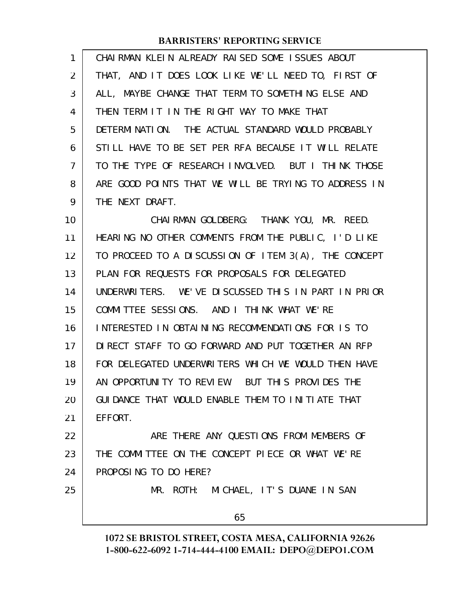| 1              | CHAIRMAN KLEIN ALREADY RAISED SOME ISSUES ABOUT      |
|----------------|------------------------------------------------------|
| $\overline{2}$ | THAT, AND IT DOES LOOK LIKE WE'LL NEED TO, FIRST OF  |
| 3              | ALL, MAYBE CHANGE THAT TERM TO SOMETHING ELSE AND    |
| 4              | THEN TERM IT IN THE RIGHT WAY TO MAKE THAT           |
| 5              | DETERMINATION. THE ACTUAL STANDARD WOULD PROBABLY    |
| 6              | STILL HAVE TO BE SET PER RFA BECAUSE IT WILL RELATE  |
| 7              | TO THE TYPE OF RESEARCH INVOLVED. BUT I THINK THOSE  |
| 8              | ARE GOOD POINTS THAT WE WILL BE TRYING TO ADDRESS IN |
| 9              | THE NEXT DRAFT.                                      |
| 10             | CHAIRMAN GOLDBERG: THANK YOU, MR. REED.              |
| 11             | HEARING NO OTHER COMMENTS FROM THE PUBLIC, I'D LIKE  |
| 12             | TO PROCEED TO A DISCUSSION OF ITEM 3(A), THE CONCEPT |
| 13             | PLAN FOR REQUESTS FOR PROPOSALS FOR DELEGATED        |
| 14             | UNDERWRITERS. WE'VE DISCUSSED THIS IN PART IN PRIOR  |
| 15             | COMMITTEE SESSIONS. AND I THINK WHAT WE'RE           |
| 16             | INTERESTED IN OBTAINING RECOMMENDATIONS FOR IS TO    |
| 17             | DIRECT STAFF TO GO FORWARD AND PUT TOGETHER AN RFP   |
| 18             | FOR DELEGATED UNDERWRITERS WHICH WE WOULD THEN HAVE  |
| 19             | AN OPPORTUNITY TO REVIEW. BUT THIS PROVIDES THE      |
| 20             | GUIDANCE THAT WOULD ENABLE THEM TO INITIATE THAT     |
| 21             | EFFORT.                                              |
| 22             | ARE THERE ANY QUESTIONS FROM MEMBERS OF              |
| 23             | THE COMMITTEE ON THE CONCEPT PIECE OR WHAT WE'RE     |
| 24             | PROPOSING TO DO HERE?                                |
| 25             | MR. ROTH: MICHAEL, IT'S DUANE IN SAN                 |
|                | 65                                                   |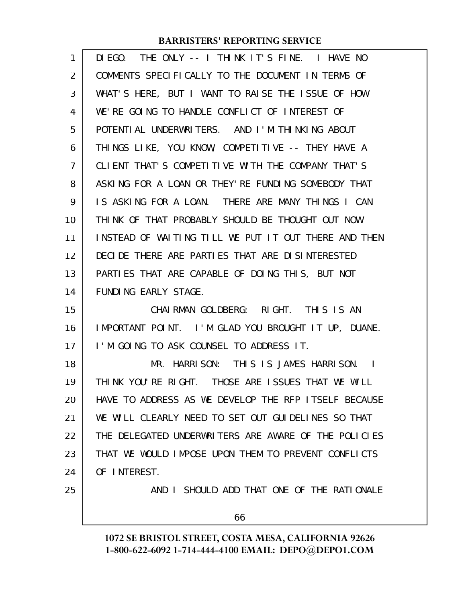| 1              | THE ONLY -- I THINK IT'S FINE. I HAVE NO<br>DI EGO.  |
|----------------|------------------------------------------------------|
| $\overline{2}$ | COMMENTS SPECIFICALLY TO THE DOCUMENT IN TERMS OF    |
| 3              | WHAT'S HERE, BUT I WANT TO RAISE THE ISSUE OF HOW    |
| 4              | WE'RE GOING TO HANDLE CONFLICT OF INTEREST OF        |
| 5              | POTENTIAL UNDERWRITERS. AND I'M THINKING ABOUT       |
| 6              | THINGS LIKE, YOU KNOW, COMPETITIVE -- THEY HAVE A    |
| 7              | CLIENT THAT'S COMPETITIVE WITH THE COMPANY THAT'S    |
| 8              | ASKING FOR A LOAN OR THEY' RE FUNDING SOMEBODY THAT  |
| 9              | IS ASKING FOR A LOAN. THERE ARE MANY THINGS I CAN    |
| 10             | THINK OF THAT PROBABLY SHOULD BE THOUGHT OUT NOW     |
| 11             | INSTEAD OF WAITING TILL WE PUT IT OUT THERE AND THEN |
| 12             | DECIDE THERE ARE PARTIES THAT ARE DISINTERESTED      |
| 13             | PARTIES THAT ARE CAPABLE OF DOING THIS, BUT NOT      |
| 14             | FUNDING EARLY STAGE.                                 |
| 15             | CHAIRMAN GOLDBERG: RIGHT. THIS IS AN                 |
| 16             | IMPORTANT POINT. I'M GLAD YOU BROUGHT IT UP, DUANE.  |
| 17             | I'M GOING TO ASK COUNSEL TO ADDRESS IT.              |
| 18             | MR. HARRISON: THIS IS JAMES HARRISON. I              |
| 19             | THINK YOU'RE RIGHT. THOSE ARE ISSUES THAT WE WILL    |
| 20             | HAVE TO ADDRESS AS WE DEVELOP THE RFP ITSELF BECAUSE |
| 21             | WE WILL CLEARLY NEED TO SET OUT GUIDELINES SO THAT   |
| 22             | THE DELEGATED UNDERWRITERS ARE AWARE OF THE POLICIES |
| 23             | THAT WE WOULD IMPOSE UPON THEM TO PREVENT CONFLICTS  |
| 24             | OF INTEREST.                                         |
| 25             | AND I SHOULD ADD THAT ONE OF THE RATIONALE           |
|                | 66                                                   |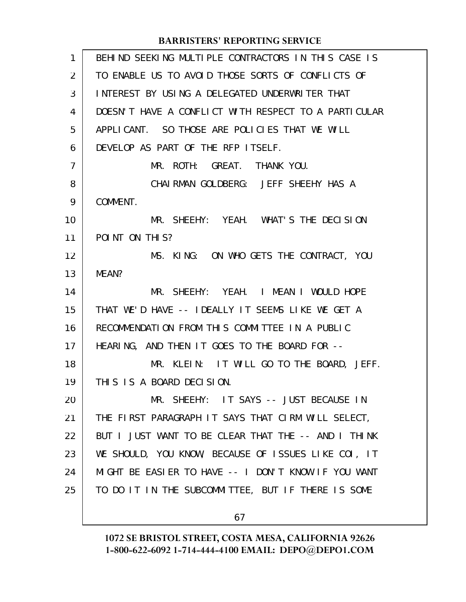| $\mathbf{1}$ | BEHIND SEEKING MULTIPLE CONTRACTORS IN THIS CASE IS  |
|--------------|------------------------------------------------------|
| 2            | TO ENABLE US TO AVOID THOSE SORTS OF CONFLICTS OF    |
| 3            | INTEREST BY USING A DELEGATED UNDERWRITER THAT       |
| 4            | DOESN'T HAVE A CONFLICT WITH RESPECT TO A PARTICULAR |
| 5            | APPLICANT. SO THOSE ARE POLICIES THAT WE WILL        |
| 6            | DEVELOP AS PART OF THE RFP LTSELF.                   |
| 7            | MR. ROTH: GREAT. THANK YOU.                          |
| 8            | CHAI RMAN GOLDBERG: JEFF SHEEHY HAS A                |
| 9            | COMMENT.                                             |
| 10           | MR. SHEEHY: YEAH. WHAT'S THE DECISION                |
| 11           | POINT ON THIS?                                       |
| 12           | MS. KING: ON WHO GETS THE CONTRACT, YOU              |
| 13           | MEAN?                                                |
| 14           | MR. SHEEHY: YEAH. I MEAN I WOULD HOPE                |
| 15           | THAT WE'D HAVE -- IDEALLY IT SEEMS LIKE WE GET A     |
| 16           | RECOMMENDATION FROM THIS COMMITTEE IN A PUBLIC       |
| 17           | HEARING, AND THEN IT GOES TO THE BOARD FOR --        |
| 18           | MR. KLEIN: IT WILL GO TO THE BOARD, JEFF.            |
| 19           | THIS IS A BOARD DECISION.                            |
| 20           | MR. SHEEHY: IT SAYS -- JUST BECAUSE IN               |
| 21           | THE FIRST PARAGRAPH IT SAYS THAT CIRM WILL SELECT,   |
| 22           | BUT I JUST WANT TO BE CLEAR THAT THE -- AND I THINK  |
| 23           | WE SHOULD, YOU KNOW, BECAUSE OF ISSUES LIKE COI, IT  |
| 24           | MIGHT BE EASIER TO HAVE -- I DON'T KNOW IF YOU WANT  |
| 25           | TO DO IT IN THE SUBCOMMITTEE, BUT IF THERE IS SOME   |
|              |                                                      |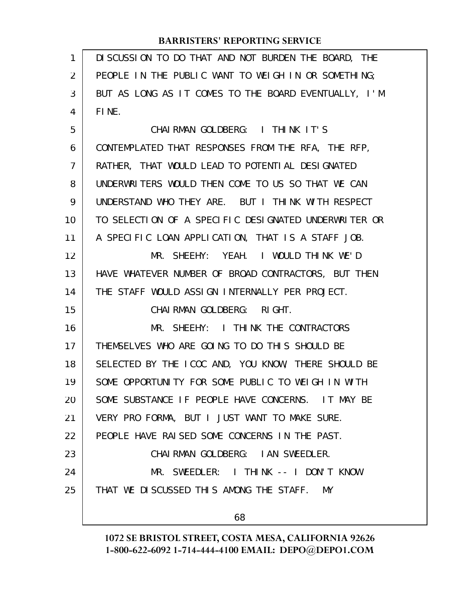| $\mathbf{1}$   | DI SCUSSION TO DO THAT AND NOT BURDEN THE BOARD, THE |
|----------------|------------------------------------------------------|
| 2              | PEOPLE IN THE PUBLIC WANT TO WEIGH IN OR SOMETHING;  |
| 3              | BUT AS LONG AS IT COMES TO THE BOARD EVENTUALLY, I'M |
| 4              | FINE.                                                |
| 5              | CHAIRMAN GOLDBERG: I THINK IT'S                      |
| 6              | CONTEMPLATED THAT RESPONSES FROM THE RFA, THE RFP,   |
| $\overline{7}$ | RATHER, THAT WOULD LEAD TO POTENTIAL DESIGNATED      |
| 8              | UNDERWRITERS WOULD THEN COME TO US SO THAT WE CAN    |
| 9              | UNDERSTAND WHO THEY ARE. BUT I THINK WITH RESPECT    |
| 10             | TO SELECTION OF A SPECIFIC DESIGNATED UNDERWRITER OR |
| 11             | A SPECIFIC LOAN APPLICATION, THAT IS A STAFF JOB.    |
| 12             | MR. SHEEHY: YEAH. I WOULD THINK WE'D                 |
| 13             | HAVE WHATEVER NUMBER OF BROAD CONTRACTORS, BUT THEN  |
| 14             | THE STAFF WOULD ASSIGN INTERNALLY PER PROJECT.       |
| 15             | CHAIRMAN GOLDBERG: RIGHT.                            |
| 16             | MR. SHEEHY: I THINK THE CONTRACTORS                  |
| 17             | THEMSELVES WHO ARE GOING TO DO THIS SHOULD BE        |
| 18             | SELECTED BY THE ICOC AND, YOU KNOW, THERE SHOULD BE  |
| 19             | SOME OPPORTUNITY FOR SOME PUBLIC TO WEIGH IN WITH    |
| 20             | SOME SUBSTANCE IF PEOPLE HAVE CONCERNS. IT MAY BE    |
| 21             | VERY PRO FORMA, BUT I JUST WANT TO MAKE SURE.        |
| 22             | PEOPLE HAVE RAISED SOME CONCERNS IN THE PAST.        |
| 23             | CHAIRMAN GOLDBERG: IAN SWEEDLER.                     |
| 24             | MR. SWEEDLER: I THINK -- I DON'T KNOW                |
| 25             | THAT WE DISCUSSED THIS AMONG THE STAFF. MY           |
|                | 68                                                   |
|                |                                                      |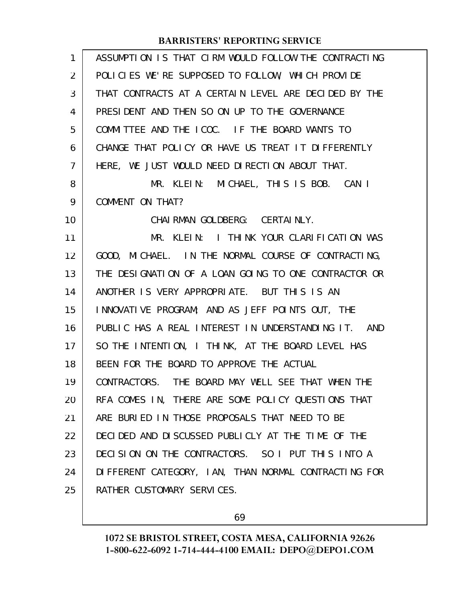| $\mathbf{1}$   | ASSUMPTION IS THAT CIRM WOULD FOLLOW THE CONTRACTING |
|----------------|------------------------------------------------------|
| 2              | POLICIES WE'RE SUPPOSED TO FOLLOW, WHICH PROVIDE     |
| 3              | THAT CONTRACTS AT A CERTAIN LEVEL ARE DECIDED BY THE |
| 4              | PRESIDENT AND THEN SO ON UP TO THE GOVERNANCE        |
| 5              | COMMITTEE AND THE ICOC. IF THE BOARD WANTS TO        |
| 6              | CHANGE THAT POLICY OR HAVE US TREAT IT DIFFERENTLY   |
| $\overline{7}$ | HERE, WE JUST WOULD NEED DIRECTION ABOUT THAT.       |
| 8              | MR. KLEIN: MICHAEL, THIS IS BOB. CAN I               |
| 9              | COMMENT ON THAT?                                     |
| 10             | CHAI RMAN GOLDBERG: CERTAINLY.                       |
| 11             | MR. KLEIN: I THINK YOUR CLARIFICATION WAS            |
| 12             | GOOD, MICHAEL. IN THE NORMAL COURSE OF CONTRACTING,  |
| 13             | THE DESIGNATION OF A LOAN GOING TO ONE CONTRACTOR OR |
| 14             | ANOTHER IS VERY APPROPRIATE. BUT THIS IS AN          |
| 15             | INNOVATIVE PROGRAM; AND AS JEFF POINTS OUT, THE      |
| 16             | PUBLIC HAS A REAL INTEREST IN UNDERSTANDING IT. AND  |
| 17             | SO THE INTENTION, I THINK, AT THE BOARD LEVEL HAS    |
| 18             | BEEN FOR THE BOARD TO APPROVE THE ACTUAL             |
| 19             | CONTRACTORS. THE BOARD MAY WELL SEE THAT WHEN THE    |
| 20             | RFA COMES IN, THERE ARE SOME POLICY QUESTIONS THAT   |
| 21             | ARE BURIED IN THOSE PROPOSALS THAT NEED TO BE        |
| 22             | DECIDED AND DISCUSSED PUBLICLY AT THE TIME OF THE    |
| 23             | DECISION ON THE CONTRACTORS. SO I PUT THIS INTO A    |
| 24             | DIFFERENT CATEGORY, IAN, THAN NORMAL CONTRACTING FOR |
| 25             | RATHER CUSTOMARY SERVICES.                           |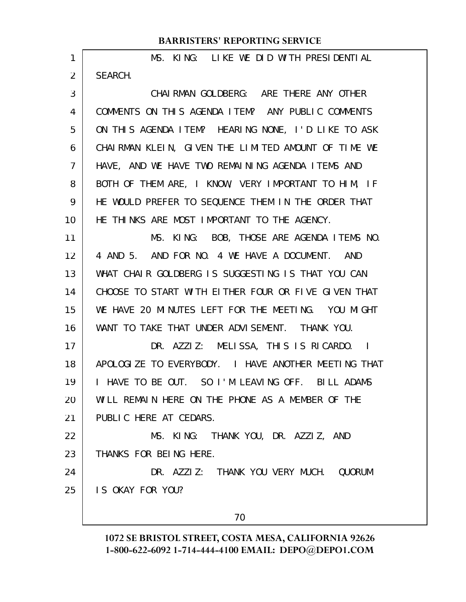| 1              | MS. KING: LIKE WE DID WITH PRESIDENTIAL                        |
|----------------|----------------------------------------------------------------|
| $\overline{2}$ | SEARCH.                                                        |
| 3              | CHAIRMAN GOLDBERG: ARE THERE ANY OTHER                         |
| 4              | COMMENTS ON THIS AGENDA ITEM? ANY PUBLIC COMMENTS              |
| 5              | ON THIS AGENDA ITEM? HEARING NONE, I'D LIKE TO ASK             |
| 6              | CHAIRMAN KLEIN, GIVEN THE LIMITED AMOUNT OF TIME WE            |
| $\overline{7}$ | HAVE, AND WE HAVE TWO REMAINING AGENDA ITEMS AND               |
| 8              | BOTH OF THEM ARE, I KNOW, VERY IMPORTANT TO HIM, IF            |
| 9              | HE WOULD PREFER TO SEQUENCE THEM IN THE ORDER THAT             |
| 10             | HE THINKS ARE MOST IMPORTANT TO THE AGENCY.                    |
| 11             | MS. KING: BOB, THOSE ARE AGENDA ITEMS NO.                      |
| 12             | 4 AND 5. AND FOR NO. 4 WE HAVE A DOCUMENT. AND                 |
| 13             | WHAT CHAIR GOLDBERG IS SUGGESTING IS THAT YOU CAN              |
| 14             | CHOOSE TO START WITH EITHER FOUR OR FIVE GIVEN THAT            |
| 15             | WE HAVE 20 MINUTES LEFT FOR THE MEETING. YOU MIGHT             |
| 16             | WANT TO TAKE THAT UNDER ADVISEMENT. THANK YOU.                 |
| 17             | DR. AZZIZ: MELISSA, THIS IS RICARDO. I                         |
| 18             | APOLOGIZE TO EVERYBODY. I HAVE ANOTHER MEETING THAT            |
| 19             | HAVE TO BE OUT. SO I'M LEAVING OFF. BILL ADAMS<br>$\mathbf{I}$ |
| 20             | WILL REMAIN HERE ON THE PHONE AS A MEMBER OF THE               |
| 21             | PUBLIC HERE AT CEDARS.                                         |
| 22             | MS. KING: THANK YOU, DR. AZZIZ, AND                            |
| 23             | THANKS FOR BEING HERE.                                         |
| 24             | DR. AZZIZ: THANK YOU VERY MUCH. QUORUM                         |
| 25             | IS OKAY FOR YOU?                                               |
|                | 70                                                             |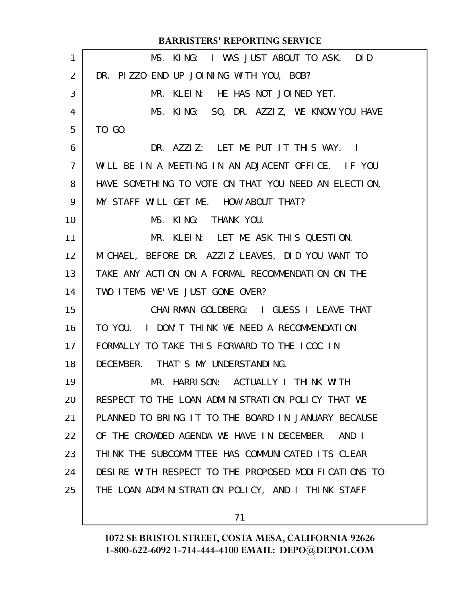|                   | <b>BARRISTERS' REPORTING SERVICE</b>                 |
|-------------------|------------------------------------------------------|
| 1                 | MS. KING: I WAS JUST ABOUT TO ASK. DID               |
| $\overline{2}$    | DR. PIZZO END UP JOINING WITH YOU, BOB?              |
| 3                 | MR. KLEIN: HE HAS NOT JOINED YET.                    |
| 4                 | MS. KING: SO, DR. AZZIZ, WE KNOW YOU HAVE            |
| 5                 | TO GO.                                               |
| 6                 | DR. AZZIZ: LET ME PUT IT THIS WAY. I                 |
| $\overline{7}$    | WILL BE IN A MEETING IN AN ADJACENT OFFICE. IF YOU   |
| 8                 | HAVE SOMETHING TO VOTE ON THAT YOU NEED AN ELECTION, |
| 9                 | MY STAFF WILL GET ME. HOW ABOUT THAT?                |
| 10                | MS. KING: THANK YOU.                                 |
| 11                | MR. KLEIN: LET ME ASK THIS QUESTION.                 |
| $12 \overline{ }$ | MICHAEL, BEFORE DR. AZZIZ LEAVES, DID YOU WANT TO    |
| 13                | TAKE ANY ACTION ON A FORMAL RECOMMENDATION ON THE    |
| 14                | TWO I TEMS WE'VE JUST GONE OVER?                     |
| 15                | CHAI RMAN GOLDBERG: I GUESS I LEAVE THAT             |
| 16                | TO YOU. I DON'T THINK WE NEED A RECOMMENDATION       |
| 17                | FORMALLY TO TAKE THIS FORWARD TO THE ICOC IN         |
| 18                | DECEMBER. THAT'S MY UNDERSTANDING.                   |
| 19                | MR. HARRISON: ACTUALLY I THINK WITH                  |
| 20                | RESPECT TO THE LOAN ADMINISTRATION POLICY THAT WE    |
| 21                | PLANNED TO BRING IT TO THE BOARD IN JANUARY BECAUSE  |
| 22                | OF THE CROWDED AGENDA WE HAVE IN DECEMBER.<br>AND I  |
| 23                | THINK THE SUBCOMMITTEE HAS COMMUNICATED ITS CLEAR    |
| 24                | DESIRE WITH RESPECT TO THE PROPOSED MODIFICATIONS TO |
| 25                | THE LOAN ADMINISTRATION POLICY, AND I THINK STAFF    |
|                   |                                                      |

71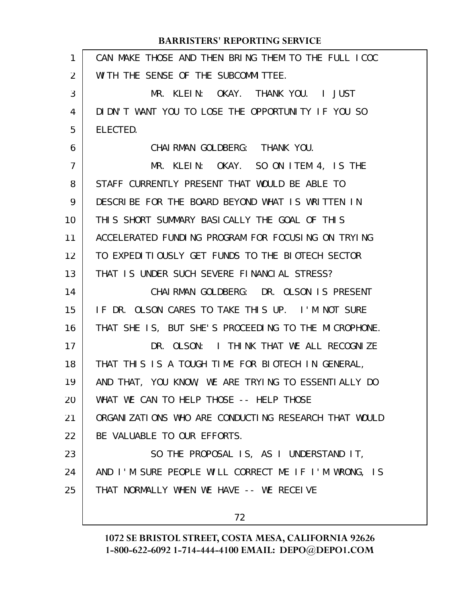| $\mathbf{1}$ | CAN MAKE THOSE AND THEN BRING THEM TO THE FULL ICOC  |
|--------------|------------------------------------------------------|
| 2            | WITH THE SENSE OF THE SUBCOMMITTEE.                  |
| 3            | MR. KLEIN: OKAY. THANK YOU. I JUST                   |
| 4            | DIDN'T WANT YOU TO LOSE THE OPPORTUNITY IF YOU SO    |
| 5            | ELECTED.                                             |
| 6            | CHAIRMAN GOLDBERG: THANK YOU.                        |
| 7            | MR. KLEIN: OKAY. SO ON ITEM 4, IS THE                |
| 8            | STAFF CURRENTLY PRESENT THAT WOULD BE ABLE TO        |
| 9            | DESCRIBE FOR THE BOARD BEYOND WHAT IS WRITTEN IN     |
| 10           | THIS SHORT SUMMARY BASICALLY THE GOAL OF THIS        |
| 11           | ACCELERATED FUNDING PROGRAM FOR FOCUSING ON TRYING   |
| 12           | TO EXPEDITIOUSLY GET FUNDS TO THE BIOTECH SECTOR     |
| 13           | THAT IS UNDER SUCH SEVERE FINANCIAL STRESS?          |
| 14           | CHAIRMAN GOLDBERG: DR. OLSON IS PRESENT              |
| 15           | IF DR. OLSON CARES TO TAKE THIS UP. I'M NOT SURE     |
| 16           | THAT SHE IS, BUT SHE'S PROCEEDING TO THE MICROPHONE. |
| 17           | DR. OLSON: I THINK THAT WE ALL RECOGNIZE             |
| 18           | THAT THIS IS A TOUGH TIME FOR BIOTECH IN GENERAL,    |
| 19           | AND THAT, YOU KNOW, WE ARE TRYING TO ESSENTIALLY DO  |
| 20           | WHAT WE CAN TO HELP THOSE -- HELP THOSE              |
| 21           | ORGANIZATIONS WHO ARE CONDUCTING RESEARCH THAT WOULD |
| 22           | BE VALUABLE TO OUR EFFORTS.                          |
| 23           | SO THE PROPOSAL IS, AS I UNDERSTAND IT,              |
| 24           | AND I'M SURE PEOPLE WILL CORRECT ME IF I'M WRONG, IS |
| 25           | THAT NORMALLY WHEN WE HAVE -- WE RECEIVE             |
|              | 72                                                   |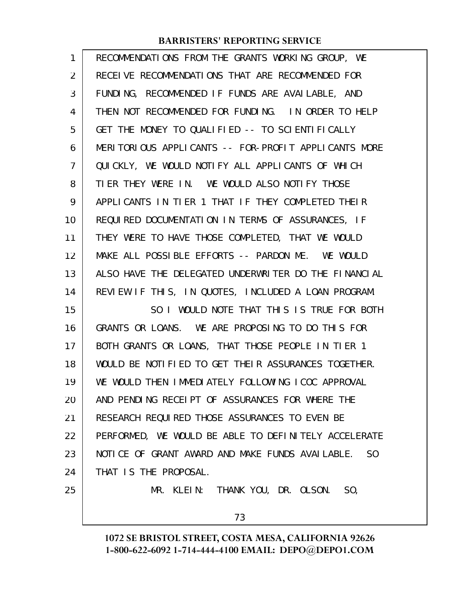| 1  | RECOMMENDATIONS FROM THE GRANTS WORKING GROUP, WE                 |
|----|-------------------------------------------------------------------|
| 2  | RECEIVE RECOMMENDATIONS THAT ARE RECOMMENDED FOR                  |
| 3  | FUNDING, RECOMMENDED IF FUNDS ARE AVAILABLE, AND                  |
| 4  | THEN NOT RECOMMENDED FOR FUNDING. IN ORDER TO HELP                |
| 5  | GET THE MONEY TO QUALIFIED -- TO SCIENTIFICALLY                   |
| 6  | MERITORIOUS APPLICANTS -- FOR-PROFIT APPLICANTS MORE              |
| 7  | QUICKLY, WE WOULD NOTIFY ALL APPLICANTS OF WHICH                  |
| 8  | TIER THEY WERE IN. WE WOULD ALSO NOTIFY THOSE                     |
| 9  | APPLICANTS IN TIER 1 THAT IF THEY COMPLETED THEIR                 |
| 10 | REQUIRED DOCUMENTATION IN TERMS OF ASSURANCES, IF                 |
| 11 | THEY WERE TO HAVE THOSE COMPLETED, THAT WE WOULD                  |
| 12 | MAKE ALL POSSIBLE EFFORTS -- PARDON ME. WE WOULD                  |
| 13 | ALSO HAVE THE DELEGATED UNDERWRITER DO THE FINANCIAL              |
| 14 | REVIEW IF THIS, IN QUOTES, INCLUDED A LOAN PROGRAM.               |
| 15 | SO I WOULD NOTE THAT THIS IS TRUE FOR BOTH                        |
| 16 | GRANTS OR LOANS. WE ARE PROPOSING TO DO THIS FOR                  |
| 17 | BOTH GRANTS OR LOANS, THAT THOSE PEOPLE IN TIER 1                 |
| 18 | WOULD BE NOTIFIED TO GET THEIR ASSURANCES TOGETHER.               |
| 19 | WE WOULD THEN IMMEDIATELY FOLLOWING ICOC APPROVAL                 |
| 20 | AND PENDING RECEIPT OF ASSURANCES FOR WHERE THE                   |
| 21 | RESEARCH REQUIRED THOSE ASSURANCES TO EVEN BE                     |
| 22 | PERFORMED, WE WOULD BE ABLE TO DEFINITELY ACCELERATE              |
| 23 | NOTICE OF GRANT AWARD AND MAKE FUNDS AVAILABLE.<br>S <sub>0</sub> |
| 24 | THAT IS THE PROPOSAL.                                             |
| 25 | MR. KLEIN: THANK YOU, DR. OLSON. SO,                              |
|    |                                                                   |

73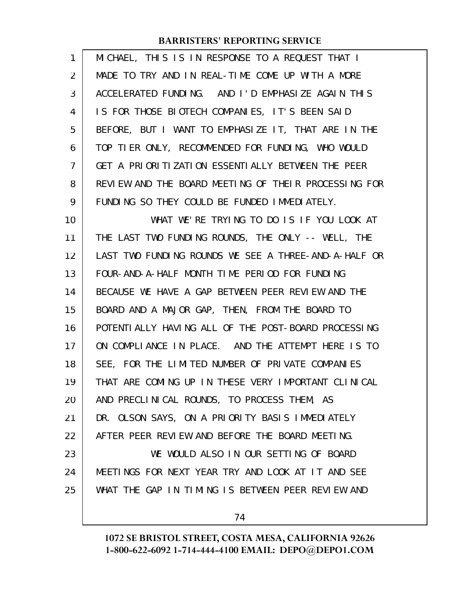| 1              | MICHAEL, THIS IS IN RESPONSE TO A REQUEST THAT I     |
|----------------|------------------------------------------------------|
| $\overline{2}$ | MADE TO TRY AND IN REAL-TIME COME UP WITH A MORE     |
| 3              | ACCELERATED FUNDING. AND I'D EMPHASIZE AGAIN THIS    |
| 4              | IS FOR THOSE BIOTECH COMPANIES, IT'S BEEN SAID       |
| 5              | BEFORE, BUT I WANT TO EMPHASIZE IT, THAT ARE IN THE  |
| 6              | TOP TIER ONLY, RECOMMENDED FOR FUNDING, WHO WOULD    |
| $\overline{7}$ | GET A PRIORITIZATION ESSENTIALLY BETWEEN THE PEER    |
| 8              | REVIEW AND THE BOARD MEETING OF THEIR PROCESSING FOR |
| 9              | FUNDING SO THEY COULD BE FUNDED IMMEDIATELY.         |
| 10             | WHAT WE'RE TRYING TO DO IS IF YOU LOOK AT            |
| 11             | THE LAST TWO FUNDING ROUNDS, THE ONLY -- WELL, THE   |
| 12             | LAST TWO FUNDING ROUNDS WE SEE A THREE-AND-A-HALF OR |
| 13             | FOUR-AND-A-HALF MONTH TIME PERIOD FOR FUNDING        |
| 14             | BECAUSE WE HAVE A GAP BETWEEN PEER REVIEW AND THE    |
| 15             | BOARD AND A MAJOR GAP, THEN, FROM THE BOARD TO       |
| 16             | POTENTI ALLY HAVING ALL OF THE POST-BOARD PROCESSING |
| 17             | ON COMPLIANCE IN PLACE. AND THE ATTEMPT HERE IS TO   |
| 18             | SEE, FOR THE LIMITED NUMBER OF PRIVATE COMPANIES     |
| 19             | THAT ARE COMING UP IN THESE VERY IMPORTANT CLINICAL  |
| 20             | AND PRECLINICAL ROUNDS, TO PROCESS THEM, AS          |
| 21             | DR. OLSON SAYS, ON A PRIORITY BASIS IMMEDIATELY      |
| 22             | AFTER PEER REVIEW AND BEFORE THE BOARD MEETING.      |
| 23             | WE WOULD ALSO IN OUR SETTING OF BOARD                |
| 24             | MEETINGS FOR NEXT YEAR TRY AND LOOK AT IT AND SEE    |
| 25             | WHAT THE GAP IN TIMING IS BETWEEN PEER REVIEW AND    |
|                |                                                      |

74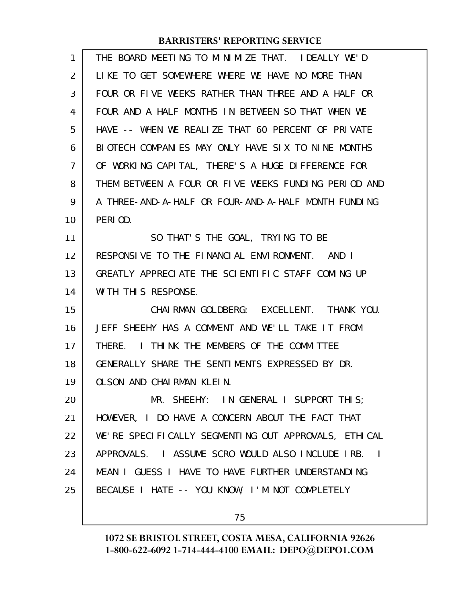| 1              | THE BOARD MEETING TO MINIMIZE THAT. IDEALLY WE'D     |
|----------------|------------------------------------------------------|
| $\overline{2}$ | LIKE TO GET SOMEWHERE WHERE WE HAVE NO MORE THAN     |
| 3              | FOUR OR FIVE WEEKS RATHER THAN THREE AND A HALF OR   |
| 4              | FOUR AND A HALF MONTHS IN BETWEEN SO THAT WHEN WE    |
| 5              | HAVE -- WHEN WE REALIZE THAT 60 PERCENT OF PRIVATE   |
| 6              | BIOTECH COMPANIES MAY ONLY HAVE SIX TO NINE MONTHS   |
| 7              | OF WORKING CAPITAL, THERE'S A HUGE DIFFERENCE FOR    |
| 8              | THEM BETWEEN A FOUR OR FIVE WEEKS FUNDING PERIOD AND |
| 9              | A THREE-AND-A-HALF OR FOUR-AND-A-HALF MONTH FUNDING  |
| 10             | PERIOD.                                              |
| 11             | SO THAT'S THE GOAL, TRYING TO BE                     |
| 12             | RESPONSIVE TO THE FINANCIAL ENVIRONMENT. AND I       |
| 13             | GREATLY APPRECIATE THE SCIENTIFIC STAFF COMING UP    |
| 14             | WITH THIS RESPONSE.                                  |
| 15             | CHAIRMAN GOLDBERG: EXCELLENT. THANK YOU.             |
| 16             | JEFF SHEEHY HAS A COMMENT AND WE'LL TAKE IT FROM     |
| 17             | THERE. I THINK THE MEMBERS OF THE COMMITTEE          |
| 18             | GENERALLY SHARE THE SENTIMENTS EXPRESSED BY DR.      |
| 19             | OLSON AND CHAIRMAN KLEIN.                            |
| 20             | MR. SHEEHY: IN GENERAL I SUPPORT THIS;               |
| 21             | HOWEVER, I DO HAVE A CONCERN ABOUT THE FACT THAT     |
| 22             | WE'RE SPECIFICALLY SEGMENTING OUT APPROVALS, ETHICAL |
| 23             | APPROVALS. I ASSUME SCRO WOULD ALSO INCLUDE IRB. I   |
| 24             | MEAN I GUESS I HAVE TO HAVE FURTHER UNDERSTANDING    |
| 25             | BECAUSE I HATE -- YOU KNOW, I'M NOT COMPLETELY       |
|                |                                                      |

75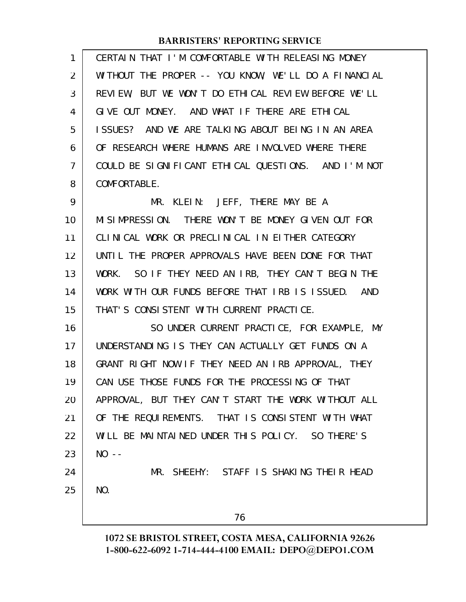| 1  | CERTAIN THAT I'M COMFORTABLE WITH RELEASING MONEY    |
|----|------------------------------------------------------|
| 2  | WITHOUT THE PROPER -- YOU KNOW, WE'LL DO A FINANCIAL |
| 3  | REVIEW, BUT WE WON'T DO ETHICAL REVIEW BEFORE WE'LL  |
| 4  | GIVE OUT MONEY. AND WHAT IF THERE ARE ETHICAL        |
| 5  | ISSUES? AND WE ARE TALKING ABOUT BEING IN AN AREA    |
| 6  | OF RESEARCH WHERE HUMANS ARE INVOLVED WHERE THERE    |
| 7  | COULD BE SIGNIFICANT ETHICAL QUESTIONS. AND I'M NOT  |
| 8  | COMFORTABLE.                                         |
| 9  | MR. KLEIN: JEFF, THERE MAY BE A                      |
| 10 | MISIMPRESSION. THERE WON'T BE MONEY GIVEN OUT FOR    |
| 11 | CLINICAL WORK OR PRECLINICAL IN EITHER CATEGORY      |
| 12 | UNTIL THE PROPER APPROVALS HAVE BEEN DONE FOR THAT   |
| 13 | WORK. SO IF THEY NEED AN IRB, THEY CAN'T BEGIN THE   |
| 14 | WORK WITH OUR FUNDS BEFORE THAT IRB IS ISSUED. AND   |
| 15 | THAT'S CONSISTENT WITH CURRENT PRACTICE.             |
| 16 | SO UNDER CURRENT PRACTICE, FOR EXAMPLE, MY           |
| 17 | UNDERSTANDING IS THEY CAN ACTUALLY GET FUNDS ON A    |
| 18 | GRANT RIGHT NOW IF THEY NEED AN IRB APPROVAL, THEY   |
| 19 | CAN USE THOSE FUNDS FOR THE PROCESSING OF THAT       |
| 20 | APPROVAL, BUT THEY CAN'T START THE WORK WITHOUT ALL  |
| 21 | OF THE REQUIREMENTS. THAT IS CONSISTENT WITH WHAT    |
| 22 | WILL BE MAINTAINED UNDER THIS POLICY. SO THERE'S     |
| 23 | $NO - -$                                             |
| 24 | MR. SHEEHY: STAFF IS SHAKING THEIR HEAD              |
| 25 | NO.                                                  |
|    | 76                                                   |
|    |                                                      |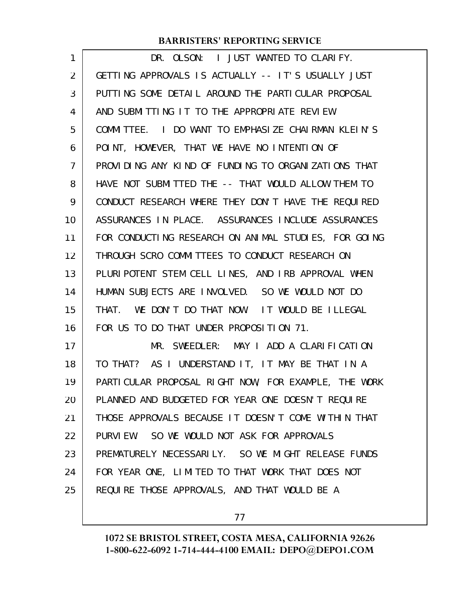| DR. OLSON: I JUST WANTED TO CLARIFY.                 |
|------------------------------------------------------|
| GETTING APPROVALS IS ACTUALLY -- IT'S USUALLY JUST   |
| PUTTING SOME DETAIL AROUND THE PARTICULAR PROPOSAL   |
|                                                      |
| COMMITTEE. I DO WANT TO EMPHASIZE CHAIRMAN KLEIN'S   |
| POINT, HOWEVER, THAT WE HAVE NO INTENTION OF         |
| PROVIDING ANY KIND OF FUNDING TO ORGANIZATIONS THAT  |
| HAVE NOT SUBMITTED THE -- THAT WOULD ALLOW THEM TO   |
| CONDUCT RESEARCH WHERE THEY DON'T HAVE THE REQUIRED  |
| ASSURANCES IN PLACE. ASSURANCES INCLUDE ASSURANCES   |
| FOR CONDUCTING RESEARCH ON ANIMAL STUDIES, FOR GOING |
| THROUGH SCRO COMMITTEES TO CONDUCT RESEARCH ON       |
| PLURIPOTENT STEM CELL LINES, AND IRB APPROVAL WHEN   |
| HUMAN SUBJECTS ARE INVOLVED. SO WE WOULD NOT DO      |
| THAT. WE DON'T DO THAT NOW. IT WOULD BE ILLEGAL      |
|                                                      |
| MR. SWEEDLER: MAY I ADD A CLARIFICATION              |
| TO THAT? AS I UNDERSTAND IT, IT MAY BE THAT IN A     |
| PARTICULAR PROPOSAL RIGHT NOW, FOR EXAMPLE, THE WORK |
| PLANNED AND BUDGETED FOR YEAR ONE DOESN'T REQUIRE    |
| THOSE APPROVALS BECAUSE IT DOESN'T COME WITHIN THAT  |
| PURVIEW. SO WE WOULD NOT ASK FOR APPROVALS           |
| PREMATURELY NECESSARILY. SO WE MIGHT RELEASE FUNDS   |
| FOR YEAR ONE, LIMITED TO THAT WORK THAT DOES NOT     |
| REQUIRE THOSE APPROVALS, AND THAT WOULD BE A         |
|                                                      |

77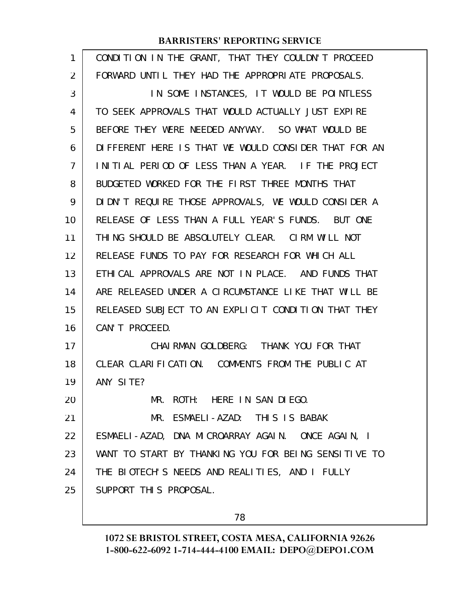| 1  | CONDITION IN THE GRANT, THAT THEY COULDN'T PROCEED   |
|----|------------------------------------------------------|
| 2  | FORWARD UNTIL THEY HAD THE APPROPRIATE PROPOSALS.    |
| 3  | IN SOME INSTANCES, IT WOULD BE POINTLESS             |
| 4  | TO SEEK APPROVALS THAT WOULD ACTUALLY JUST EXPIRE    |
| 5  | BEFORE THEY WERE NEEDED ANYWAY. SO WHAT WOULD BE     |
| 6  | DIFFERENT HERE IS THAT WE WOULD CONSIDER THAT FOR AN |
| 7  | INITIAL PERIOD OF LESS THAN A YEAR. IF THE PROJECT   |
| 8  | BUDGETED WORKED FOR THE FIRST THREE MONTHS THAT      |
| 9  | DIDN'T REQUIRE THOSE APPROVALS, WE WOULD CONSIDER A  |
| 10 | RELEASE OF LESS THAN A FULL YEAR'S FUNDS. BUT ONE    |
| 11 | THING SHOULD BE ABSOLUTELY CLEAR. CIRM WILL NOT      |
| 12 | RELEASE FUNDS TO PAY FOR RESEARCH FOR WHICH ALL      |
| 13 | ETHICAL APPROVALS ARE NOT IN PLACE. AND FUNDS THAT   |
| 14 | ARE RELEASED UNDER A CIRCUMSTANCE LIKE THAT WILL BE  |
| 15 | RELEASED SUBJECT TO AN EXPLICIT CONDITION THAT THEY  |
| 16 | CAN'T PROCEED.                                       |
| 17 | CHAI RMAN GOLDBERG: THANK YOU FOR THAT               |
| 18 | CLEAR CLARIFICATION. COMMENTS FROM THE PUBLIC AT     |
| 19 | ANY SITE?                                            |
| 20 | MR. ROTH: HERE IN SAN DIEGO.                         |
| 21 | MR. ESMAELI-AZAD: THIS IS BABAK                      |
| 22 | ESMAELI-AZAD, DNA MICROARRAY AGAIN. ONCE AGAIN, I    |
| 23 | WANT TO START BY THANKING YOU FOR BEING SENSITIVE TO |
| 24 | THE BIOTECH'S NEEDS AND REALITIES, AND I FULLY       |
| 25 | SUPPORT THIS PROPOSAL.                               |
|    |                                                      |

78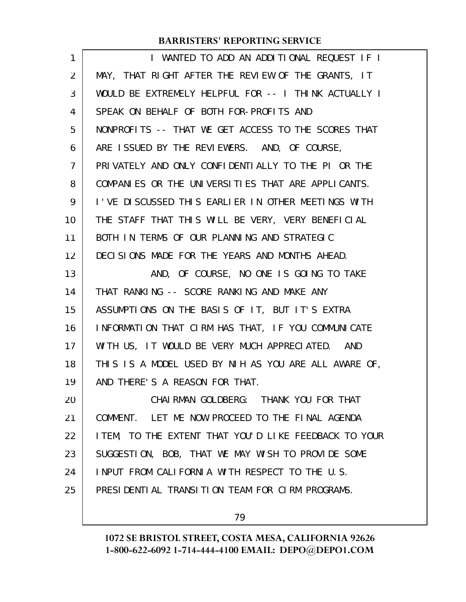| 1              | I WANTED TO ADD AN ADDITIONAL REQUEST IF I            |
|----------------|-------------------------------------------------------|
| 2              | MAY, THAT RIGHT AFTER THE REVIEW OF THE GRANTS, IT    |
| 3              | WOULD BE EXTREMELY HELPFUL FOR -- I THINK ACTUALLY I  |
| 4              | SPEAK ON BEHALF OF BOTH FOR-PROFITS AND               |
| 5              | NONPROFITS -- THAT WE GET ACCESS TO THE SCORES THAT   |
| 6              | ARE ISSUED BY THE REVIEWERS. AND, OF COURSE,          |
| $\overline{7}$ | PRIVATELY AND ONLY CONFIDENTIALLY TO THE PI OR THE    |
| 8              | COMPANIES OR THE UNIVERSITIES THAT ARE APPLICANTS.    |
| 9              | I'VE DISCUSSED THIS EARLIER IN OTHER MEETINGS WITH    |
| 10             | THE STAFF THAT THIS WILL BE VERY, VERY BENEFICIAL     |
| 11             | BOTH IN TERMS OF OUR PLANNING AND STRATEGIC           |
| 12             | DECISIONS MADE FOR THE YEARS AND MONTHS AHEAD.        |
| 13             | AND, OF COURSE, NO ONE IS GOING TO TAKE               |
| 14             | THAT RANKING -- SCORE RANKING AND MAKE ANY            |
| 15             | ASSUMPTIONS ON THE BASIS OF IT, BUT IT'S EXTRA        |
| 16             | INFORMATION THAT CIRM HAS THAT, IF YOU COMMUNICATE    |
| 17             | WITH US, IT WOULD BE VERY MUCH APPRECIATED. AND       |
| 18             | THIS IS A MODEL USED BY NIH AS YOU ARE ALL AWARE OF,  |
| 19             | AND THERE'S A REASON FOR THAT.                        |
| 20             | CHAI RMAN GOLDBERG: THANK YOU FOR THAT                |
| 21             | COMMENT. LET ME NOW PROCEED TO THE FINAL AGENDA       |
| 22             | I TEM, TO THE EXTENT THAT YOU'D LIKE FEEDBACK TO YOUR |
| 23             | SUGGESTION, BOB, THAT WE MAY WISH TO PROVIDE SOME     |
| 24             | INPUT FROM CALIFORNIA WITH RESPECT TO THE U.S.        |
| 25             | PRESIDENTIAL TRANSITION TEAM FOR CIRM PROGRAMS.       |
|                |                                                       |

79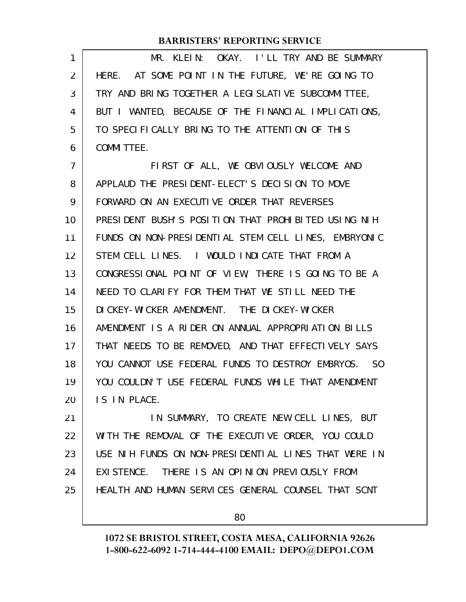| 1              | MR. KLEIN: OKAY. I'LL TRY AND BE SUMMARY             |
|----------------|------------------------------------------------------|
| 2              | HERE. AT SOME POINT IN THE FUTURE, WE'RE GOING TO    |
| 3              | TRY AND BRING TOGETHER A LEGISLATIVE SUBCOMMITTEE,   |
| 4              | BUT I WANTED, BECAUSE OF THE FINANCIAL IMPLICATIONS, |
| 5              | TO SPECIFICALLY BRING TO THE ATTENTION OF THIS       |
| 6              | <b>COMMITTEE.</b>                                    |
| $\overline{7}$ | FIRST OF ALL, WE OBVIOUSLY WELCOME AND               |
| 8              | APPLAUD THE PRESIDENT-ELECT'S DECISION TO MOVE       |
| 9              | FORWARD ON AN EXECUTIVE ORDER THAT REVERSES          |
| 10             | PRESIDENT BUSH'S POSITION THAT PROHIBITED USING NIH  |
| 11             | FUNDS ON NON-PRESIDENTIAL STEM CELL LINES, EMBRYONIC |
| 12             | STEM CELL LINES. I WOULD INDICATE THAT FROM A        |
| 13             | CONGRESSIONAL POINT OF VIEW, THERE IS GOING TO BE A  |
| 14             | NEED TO CLARIFY FOR THEM THAT WE STILL NEED THE      |
| 15             | DI CKEY-WI CKER AMENDMENT. THE DI CKEY-WI CKER       |
| 16             | AMENDMENT IS A RIDER ON ANNUAL APPROPRIATION BILLS   |
| 17             | THAT NEEDS TO BE REMOVED, AND THAT EFFECTIVELY SAYS  |
| 18             | YOU CANNOT USE FEDERAL FUNDS TO DESTROY EMBRYOS. SO  |
| 19             | YOU COULDN'T USE FEDERAL FUNDS WHILE THAT AMENDMENT  |
| 20             | IS IN PLACE.                                         |
| 21             | IN SUMMARY, TO CREATE NEW CELL LINES, BUT            |
| 22             | WITH THE REMOVAL OF THE EXECUTIVE ORDER, YOU COULD   |
| 23             | USE NIH FUNDS ON NON-PRESIDENTIAL LINES THAT WERE IN |
| 24             | EXISTENCE. THERE IS AN OPINION PREVIOUSLY FROM       |
| 25             | HEALTH AND HUMAN SERVICES GENERAL COUNSEL THAT SCNT  |
|                |                                                      |

80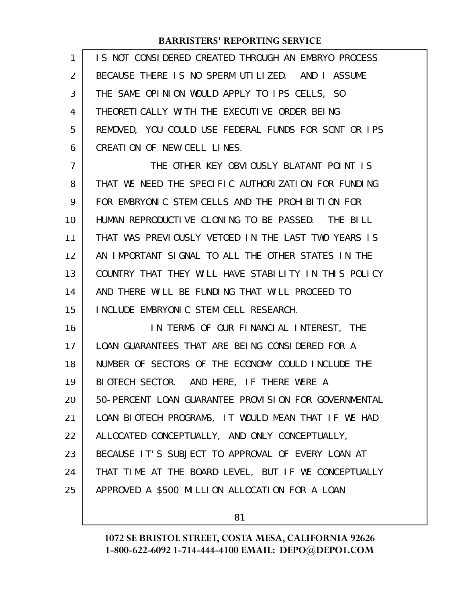| 1  | IS NOT CONSIDERED CREATED THROUGH AN EMBRYO PROCESS  |
|----|------------------------------------------------------|
| 2  | BECAUSE THERE IS NO SPERM UTILIZED. AND I ASSUME     |
| 3  | THE SAME OPINION WOULD APPLY TO IPS CELLS, SO        |
| 4  | THEORETI CALLY WITH THE EXECUTIVE ORDER BEING        |
| 5  | REMOVED, YOU COULD USE FEDERAL FUNDS FOR SCNT OR IPS |
| 6  | CREATION OF NEW CELL LINES.                          |
| 7  | THE OTHER KEY OBVIOUSLY BLATANT POINT IS             |
| 8  | THAT WE NEED THE SPECIFIC AUTHORIZATION FOR FUNDING  |
| 9  | FOR EMBRYONIC STEM CELLS AND THE PROHIBITION FOR     |
| 10 | HUMAN REPRODUCTIVE CLONING TO BE PASSED. THE BILL    |
| 11 | THAT WAS PREVIOUSLY VETOED IN THE LAST TWO YEARS IS  |
| 12 | AN IMPORTANT SIGNAL TO ALL THE OTHER STATES IN THE   |
| 13 | COUNTRY THAT THEY WILL HAVE STABILITY IN THIS POLICY |
| 14 | AND THERE WILL BE FUNDING THAT WILL PROCEED TO       |
| 15 | INCLUDE EMBRYONIC STEM CELL RESEARCH.                |
| 16 | IN TERMS OF OUR FINANCIAL INTEREST, THE              |
| 17 | LOAN GUARANTEES THAT ARE BEING CONSIDERED FOR A      |
| 18 | NUMBER OF SECTORS OF THE ECONOMY COULD INCLUDE THE   |
| 19 | BIOTECH SECTOR. AND HERE, IF THERE WERE A            |
| 20 | 50-PERCENT LOAN GUARANTEE PROVISION FOR GOVERNMENTAL |
| 21 | LOAN BIOTECH PROGRAMS, IT WOULD MEAN THAT IF WE HAD  |
| 22 | ALLOCATED CONCEPTUALLY, AND ONLY CONCEPTUALLY,       |
| 23 | BECAUSE IT'S SUBJECT TO APPROVAL OF EVERY LOAN AT    |
| 24 | THAT TIME AT THE BOARD LEVEL, BUT IF WE CONCEPTUALLY |
| 25 | APPROVED A \$500 MILLION ALLOCATION FOR A LOAN       |
|    |                                                      |

81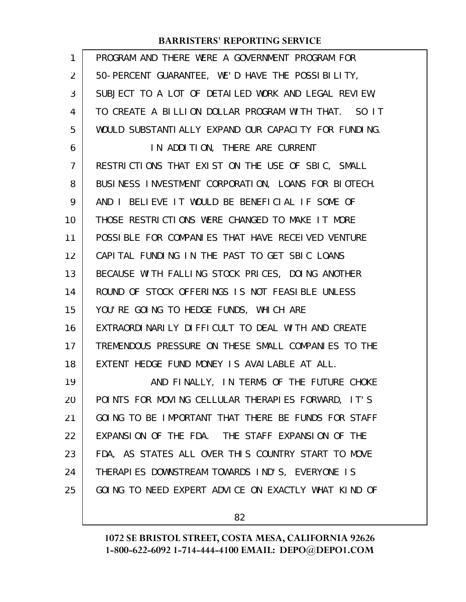| 1              | PROGRAM AND THERE WERE A GOVERNMENT PROGRAM FOR      |
|----------------|------------------------------------------------------|
| 2              | 50-PERCENT GUARANTEE, WE'D HAVE THE POSSIBILITY,     |
| 3              | SUBJECT TO A LOT OF DETAILED WORK AND LEGAL REVIEW,  |
| 4              | TO CREATE A BILLION DOLLAR PROGRAM WITH THAT. SO IT  |
| 5              | WOULD SUBSTANTIALLY EXPAND OUR CAPACITY FOR FUNDING. |
| 6              | IN ADDITION, THERE ARE CURRENT                       |
| $\overline{7}$ | RESTRICTIONS THAT EXIST ON THE USE OF SBIC, SMALL    |
| 8              | BUSINESS INVESTMENT CORPORATION, LOANS FOR BIOTECH.  |
| 9              | AND I BELIEVE IT WOULD BE BENEFICIAL IF SOME OF      |
| 10             | THOSE RESTRICTIONS WERE CHANGED TO MAKE IT MORE      |
| 11             | POSSIBLE FOR COMPANIES THAT HAVE RECEIVED VENTURE    |
| 12             | CAPITAL FUNDING IN THE PAST TO GET SBIC LOANS        |
| 13             | BECAUSE WITH FALLING STOCK PRICES, DOING ANOTHER     |
| 14             | ROUND OF STOCK OFFERINGS IS NOT FEASIBLE UNLESS      |
| 15             | YOU'RE GOING TO HEDGE FUNDS, WHICH ARE               |
| 16             | EXTRAORDINARILY DIFFICULT TO DEAL WITH AND CREATE    |
| 17             | TREMENDOUS PRESSURE ON THESE SMALL COMPANIES TO THE  |
| 18             | EXTENT HEDGE FUND MONEY IS AVAILABLE AT ALL.         |
| 19             | AND FINALLY, IN TERMS OF THE FUTURE CHOKE            |
| 20             | POINTS FOR MOVING CELLULAR THERAPIES FORWARD, IT'S   |
| 21             | GOING TO BE IMPORTANT THAT THERE BE FUNDS FOR STAFF  |
| 22             | EXPANSION OF THE FDA. THE STAFF EXPANSION OF THE     |
| 23             | FDA, AS STATES ALL OVER THIS COUNTRY START TO MOVE   |
| 24             | THERAPIES DOWNSTREAM TOWARDS IND'S, EVERYONE IS      |
| 25             | GOING TO NEED EXPERT ADVICE ON EXACTLY WHAT KIND OF  |
|                |                                                      |

82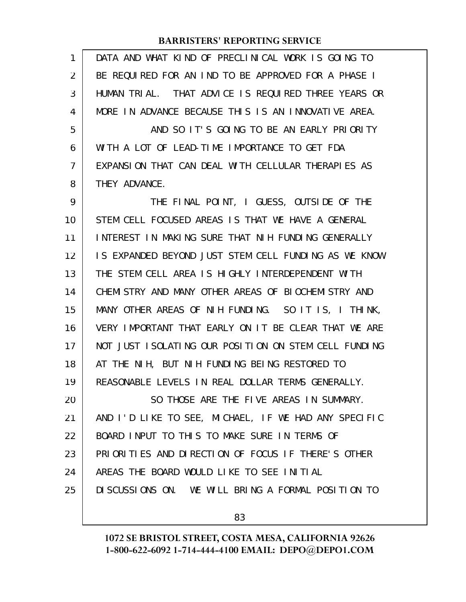| $\mathbf{1}$ | DATA AND WHAT KIND OF PRECLINICAL WORK IS GOING TO    |
|--------------|-------------------------------------------------------|
| 2            | BE REQUIRED FOR AN IND TO BE APPROVED FOR A PHASE I   |
| 3            | HUMAN TRIAL. THAT ADVICE IS REQUIRED THREE YEARS OR   |
| 4            | MORE IN ADVANCE BECAUSE THIS IS AN INNOVATIVE AREA.   |
| 5            | AND SO IT'S GOING TO BE AN EARLY PRIORITY             |
| 6            | WITH A LOT OF LEAD-TIME IMPORTANCE TO GET FDA         |
| 7            | EXPANSION THAT CAN DEAL WITH CELLULAR THERAPIES AS    |
| 8            | THEY ADVANCE.                                         |
| 9            | THE FINAL POINT, I GUESS, OUTSIDE OF THE              |
| 10           | STEM CELL FOCUSED AREAS IS THAT WE HAVE A GENERAL     |
| 11           | INTEREST IN MAKING SURE THAT NIH FUNDING GENERALLY    |
| 12           | IS EXPANDED BEYOND JUST STEM CELL FUNDING AS WE KNOW  |
| 13           | THE STEM CELL AREA IS HIGHLY INTERDEPENDENT WITH      |
| 14           | CHEMI STRY AND MANY OTHER AREAS OF BIOCHEMI STRY AND  |
| 15           | MANY OTHER AREAS OF NIH FUNDING. SO IT IS, I THINK,   |
| 16           | VERY IMPORTANT THAT EARLY ON IT BE CLEAR THAT WE ARE  |
| 17           | NOT JUST I SOLATING OUR POSITION ON STEM CELL FUNDING |
| 18           | AT THE NIH, BUT NIH FUNDING BEING RESTORED TO         |
| 19           | REASONABLE LEVELS IN REAL DOLLAR TERMS GENERALLY.     |
| 20           | SO THOSE ARE THE FIVE AREAS IN SUMMARY.               |
| 21           | AND I'D LIKE TO SEE, MICHAEL, IF WE HAD ANY SPECIFIC  |
| 22           | BOARD INPUT TO THIS TO MAKE SURE IN TERMS OF          |
| 23           | PRIORITIES AND DIRECTION OF FOCUS IF THERE'S OTHER    |
| 24           | AREAS THE BOARD WOULD LIKE TO SEE INITIAL             |
| 25           | DISCUSSIONS ON. WE WILL BRING A FORMAL POSITION TO    |
|              |                                                       |

83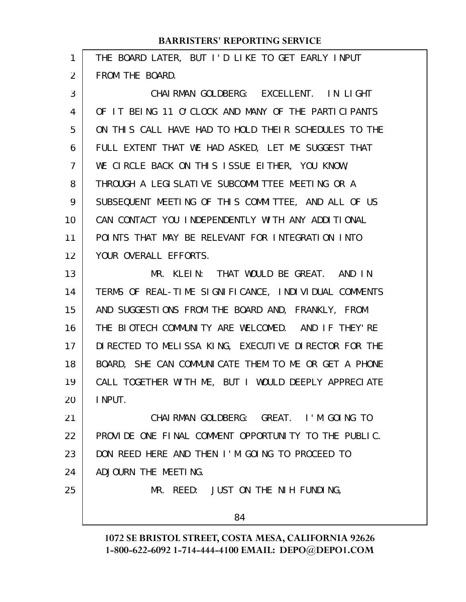|                | <b>BARRISTERS' REPORTING SERVICE</b>                 |
|----------------|------------------------------------------------------|
| 1              | THE BOARD LATER, BUT I'D LIKE TO GET EARLY INPUT     |
| 2              | FROM THE BOARD.                                      |
| 3              | CHAIRMAN GOLDBERG: EXCELLENT. IN LIGHT               |
| 4              | OF IT BEING 11 O'CLOCK AND MANY OF THE PARTICIPANTS  |
| 5              | ON THIS CALL HAVE HAD TO HOLD THEIR SCHEDULES TO THE |
| 6              | FULL EXTENT THAT WE HAD ASKED, LET ME SUGGEST THAT   |
| $\overline{7}$ | WE CIRCLE BACK ON THIS ISSUE EITHER, YOU KNOW,       |
| 8              | THROUGH A LEGISLATIVE SUBCOMMITTEE MEETING OR A      |
| 9              | SUBSEQUENT MEETING OF THIS COMMITTEE, AND ALL OF US  |
| 10             | CAN CONTACT YOU INDEPENDENTLY WITH ANY ADDITIONAL    |
| 11             | POINTS THAT MAY BE RELEVANT FOR INTEGRATION INTO     |
| 12             | YOUR OVERALL EFFORTS.                                |
| 13             | MR. KLEIN: THAT WOULD BE GREAT. AND IN               |
| 14             | TERMS OF REAL-TIME SIGNIFICANCE, INDIVIDUAL COMMENTS |
| 15             | AND SUGGESTIONS FROM THE BOARD AND, FRANKLY, FROM    |
| 16             | THE BIOTECH COMMUNITY ARE WELCOMED. AND IF THEY'RE   |
| 17             | DIRECTED TO MELISSA KING, EXECUTIVE DIRECTOR FOR THE |
| 18             | BOARD, SHE CAN COMMUNICATE THEM TO ME OR GET A PHONE |
| 19             | CALL TOGETHER WITH ME, BUT I WOULD DEEPLY APPRECIATE |
| 20             | I NPUT.                                              |
| 21             | CHAIRMAN GOLDBERG: GREAT. I'M GOING TO               |

PROVIDE ONE FINAL COMMENT OPPORTUNITY TO THE PUBLIC. DON REED HERE AND THEN I'M GOING TO PROCEED TO ADJOURN THE MEETING. 22 23 24

25

MR. REED: JUST ON THE NIH FUNDING,

84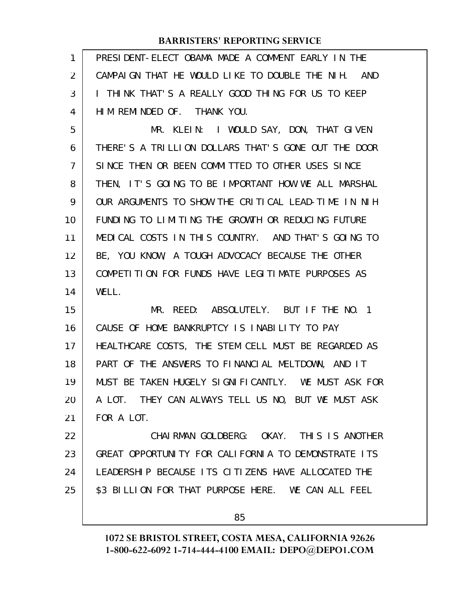| 1   PRESIDENT-ELECT OBAMA MADE A COMMENT EARLY IN THE |
|-------------------------------------------------------|
| 2 CAMPAIGN THAT HE WOULD LIKE TO DOUBLE THE NIH. AND  |
| 3   I THINK THAT'S A REALLY GOOD THING FOR US TO KEEP |
| 4   HIM REMINDED OF. THANK YOU.                       |

MR. KLEIN: I WOULD SAY, DON, THAT GIVEN THERE'S A TRILLION DOLLARS THAT'S GONE OUT THE DOOR SINCE THEN OR BEEN COMMITTED TO OTHER USES SINCE THEN, IT'S GOING TO BE IMPORTANT HOW WE ALL MARSHAL OUR ARGUMENTS TO SHOW THE CRITICAL LEAD-TIME IN NIH FUNDING TO LIMITING THE GROWTH OR REDUCING FUTURE MEDICAL COSTS IN THIS COUNTRY. AND THAT'S GOING TO BE, YOU KNOW, A TOUGH ADVOCACY BECAUSE THE OTHER COMPETITION FOR FUNDS HAVE LEGITIMATE PURPOSES AS WELL. 5 6 7 8 9 10 11 12 13 14

MR. REED: ABSOLUTELY. BUT IF THE NO. 1 CAUSE OF HOME BANKRUPTCY IS INABILITY TO PAY HEALTHCARE COSTS, THE STEM CELL MUST BE REGARDED AS PART OF THE ANSWERS TO FINANCIAL MELTDOWN, AND IT MUST BE TAKEN HUGELY SIGNIFICANTLY. WE MUST ASK FOR A LOT. THEY CAN ALWAYS TELL US NO, BUT WE MUST ASK FOR A LOT. 15 16 17 18 19 20 21

CHAIRMAN GOLDBERG: OKAY. THIS IS ANOTHER GREAT OPPORTUNITY FOR CALIFORNIA TO DEMONSTRATE ITS LEADERSHIP BECAUSE ITS CITIZENS HAVE ALLOCATED THE \$3 BILLION FOR THAT PURPOSE HERE. WE CAN ALL FEEL 22 23 24 25

85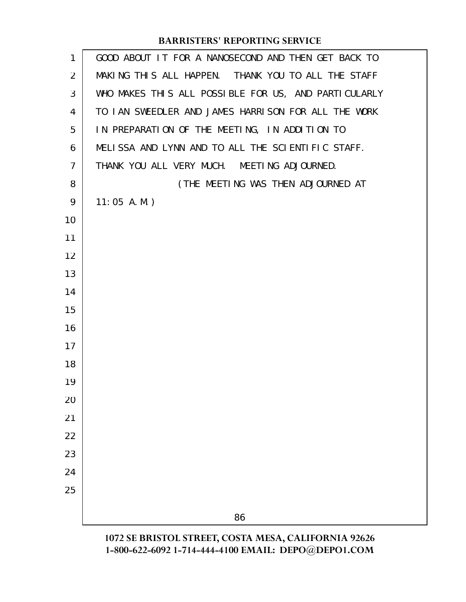| 1              | GOOD ABOUT IT FOR A NANOSECOND AND THEN GET BACK TO  |
|----------------|------------------------------------------------------|
| 2              | MAKING THIS ALL HAPPEN. THANK YOU TO ALL THE STAFF   |
| 3              | WHO MAKES THIS ALL POSSIBLE FOR US, AND PARTICULARLY |
| 4              | TO IAN SWEEDLER AND JAMES HARRISON FOR ALL THE WORK  |
| 5              | IN PREPARATION OF THE MEETING, IN ADDITION TO        |
| 6              | MELISSA AND LYNN AND TO ALL THE SCIENTIFIC STAFF.    |
| $\overline{7}$ | THANK YOU ALL VERY MUCH. MEETING ADJOURNED.          |
| 8              | (THE MEETING WAS THEN ADJOURNED AT                   |
| 9              | $11:05$ A.M.)                                        |
| 10             |                                                      |
| 11             |                                                      |
| 12             |                                                      |
| 13             |                                                      |
| 14             |                                                      |
| 15             |                                                      |
| 16             |                                                      |
| 17             |                                                      |
| 18             |                                                      |
| 19             |                                                      |
| 20             |                                                      |
| 21             |                                                      |
| 22             |                                                      |
| 23             |                                                      |
| 24             |                                                      |
| 25             |                                                      |
|                | 86                                                   |
|                | 1072 SE BRISTOL STREET, COSTA MESA, CALIFORNIA 92626 |

**1-800-622-6092 1-714-444-4100 EMAIL: DEPO@DEPO1.COM**